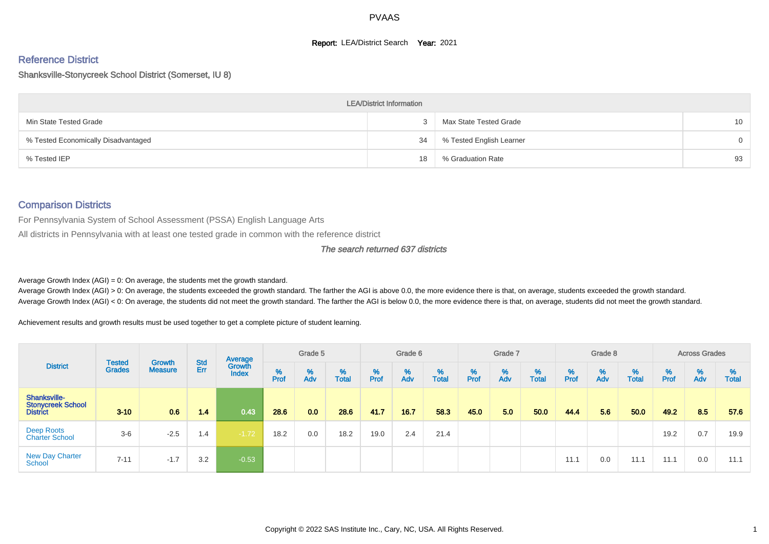#### **Report: LEA/District Search Year: 2021**

# Reference District

#### Shanksville-Stonycreek School District (Somerset, IU 8)

|                                     | <b>LEA/District Information</b> |                          |          |
|-------------------------------------|---------------------------------|--------------------------|----------|
| Min State Tested Grade              |                                 | Max State Tested Grade   | 10       |
| % Tested Economically Disadvantaged | 34                              | % Tested English Learner | $\Omega$ |
| % Tested IEP                        | 18                              | % Graduation Rate        | 93       |

#### Comparison Districts

For Pennsylvania System of School Assessment (PSSA) English Language Arts

All districts in Pennsylvania with at least one tested grade in common with the reference district

#### The search returned 637 districts

Average Growth Index  $(AGI) = 0$ : On average, the students met the growth standard.

Average Growth Index (AGI) > 0: On average, the students exceeded the growth standard. The farther the AGI is above 0.0, the more evidence there is that, on average, students exceeded the growth standard. Average Growth Index (AGI) < 0: On average, the students did not meet the growth standard. The farther the AGI is below 0.0, the more evidence there is that, on average, students did not meet the growth standard.

Achievement results and growth results must be used together to get a complete picture of student learning.

| <b>District</b>                                             |                                |                          |            | Average                |           | Grade 5  |                   |        | Grade 6  |                   |        | Grade 7  |                   |           | Grade 8  |                   |           | <b>Across Grades</b> |                   |
|-------------------------------------------------------------|--------------------------------|--------------------------|------------|------------------------|-----------|----------|-------------------|--------|----------|-------------------|--------|----------|-------------------|-----------|----------|-------------------|-----------|----------------------|-------------------|
|                                                             | <b>Tested</b><br><b>Grades</b> | Growth<br><b>Measure</b> | Std<br>Err | Growth<br><b>Index</b> | %<br>Prof | %<br>Adv | %<br><b>Total</b> | % Pref | %<br>Adv | %<br><b>Total</b> | % Pref | %<br>Adv | %<br><b>Total</b> | %<br>Prof | %<br>Adv | %<br><b>Total</b> | %<br>Prof | %<br>Adv             | %<br><b>Total</b> |
| Shanksville-<br><b>Stonycreek School</b><br><b>District</b> | $3 - 10$                       | 0.6                      | 1.4        | 0.43                   | 28.6      | 0.0      | 28.6              | 41.7   | 16.7     | 58.3              | 45.0   | 5.0      | 50.0              | 44.4      | 5.6      | 50.0              | 49.2      | 8.5                  | 57.6              |
| Deep Roots<br><b>Charter School</b>                         | $3-6$                          | $-2.5$                   | 1.4        | $-1.72$                | 18.2      | 0.0      | 18.2              | 19.0   | 2.4      | 21.4              |        |          |                   |           |          |                   | 19.2      | 0.7                  | 19.9              |
| <b>New Day Charter</b><br><b>School</b>                     | $7 - 11$                       | $-1.7$                   | 3.2        | $-0.53$                |           |          |                   |        |          |                   |        |          |                   | 11.1      | 0.0      | 11.1              | 11.1      | 0.0                  | 11.1              |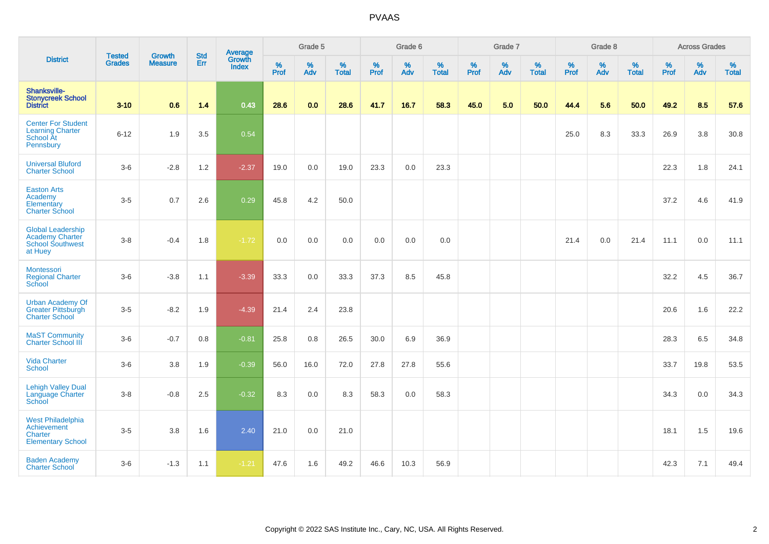|                                                                                          | <b>Tested</b> | <b>Growth</b>  | <b>Std</b> | Average                |              | Grade 5     |                   |              | Grade 6  |                      |              | Grade 7     |                   |              | Grade 8     |                      |              | <b>Across Grades</b> |                      |
|------------------------------------------------------------------------------------------|---------------|----------------|------------|------------------------|--------------|-------------|-------------------|--------------|----------|----------------------|--------------|-------------|-------------------|--------------|-------------|----------------------|--------------|----------------------|----------------------|
| <b>District</b>                                                                          | <b>Grades</b> | <b>Measure</b> | Err        | Growth<br><b>Index</b> | $\%$<br>Prof | $\%$<br>Adv | %<br><b>Total</b> | $\%$<br>Prof | %<br>Adv | $\%$<br><b>Total</b> | $\%$<br>Prof | $\%$<br>Adv | %<br><b>Total</b> | $\%$<br>Prof | $\%$<br>Adv | $\%$<br><b>Total</b> | $\%$<br>Prof | $\%$<br>Adv          | $\%$<br><b>Total</b> |
| Shanksville-<br><b>Stonycreek School</b><br><b>District</b>                              | $3 - 10$      | 0.6            | 1.4        | 0.43                   | 28.6         | 0.0         | 28.6              | 41.7         | 16.7     | 58.3                 | 45.0         | 5.0         | 50.0              | 44.4         | 5.6         | 50.0                 | 49.2         | 8.5                  | 57.6                 |
| <b>Center For Student</b><br><b>Learning Charter</b><br>School At<br>Pennsbury           | $6 - 12$      | 1.9            | 3.5        | 0.54                   |              |             |                   |              |          |                      |              |             |                   | 25.0         | 8.3         | 33.3                 | 26.9         | 3.8                  | 30.8                 |
| <b>Universal Bluford</b><br><b>Charter School</b>                                        | $3-6$         | $-2.8$         | 1.2        | $-2.37$                | 19.0         | 0.0         | 19.0              | 23.3         | 0.0      | 23.3                 |              |             |                   |              |             |                      | 22.3         | 1.8                  | 24.1                 |
| <b>Easton Arts</b><br>Academy<br>Elementary<br><b>Charter School</b>                     | $3-5$         | 0.7            | 2.6        | 0.29                   | 45.8         | 4.2         | 50.0              |              |          |                      |              |             |                   |              |             |                      | 37.2         | 4.6                  | 41.9                 |
| <b>Global Leadership</b><br><b>Academy Charter</b><br><b>School Southwest</b><br>at Huey | $3-8$         | $-0.4$         | 1.8        | $-1.72$                | 0.0          | 0.0         | 0.0               | 0.0          | 0.0      | 0.0                  |              |             |                   | 21.4         | 0.0         | 21.4                 | 11.1         | 0.0                  | 11.1                 |
| Montessori<br><b>Regional Charter</b><br>School                                          | $3-6$         | $-3.8$         | 1.1        | $-3.39$                | 33.3         | 0.0         | 33.3              | 37.3         | 8.5      | 45.8                 |              |             |                   |              |             |                      | 32.2         | 4.5                  | 36.7                 |
| <b>Urban Academy Of</b><br><b>Greater Pittsburgh</b><br><b>Charter School</b>            | $3-5$         | $-8.2$         | 1.9        | $-4.39$                | 21.4         | 2.4         | 23.8              |              |          |                      |              |             |                   |              |             |                      | 20.6         | 1.6                  | 22.2                 |
| <b>MaST Community</b><br><b>Charter School III</b>                                       | $3-6$         | $-0.7$         | $0.8\,$    | $-0.81$                | 25.8         | $0.8\,$     | 26.5              | 30.0         | 6.9      | 36.9                 |              |             |                   |              |             |                      | 28.3         | 6.5                  | 34.8                 |
| <b>Vida Charter</b><br><b>School</b>                                                     | $3-6$         | 3.8            | 1.9        | $-0.39$                | 56.0         | 16.0        | 72.0              | 27.8         | 27.8     | 55.6                 |              |             |                   |              |             |                      | 33.7         | 19.8                 | 53.5                 |
| <b>Lehigh Valley Dual</b><br>Language Charter<br>School                                  | $3-8$         | $-0.8$         | 2.5        | $-0.32$                | 8.3          | 0.0         | 8.3               | 58.3         | 0.0      | 58.3                 |              |             |                   |              |             |                      | 34.3         | 0.0                  | 34.3                 |
| <b>West Philadelphia</b><br>Achievement<br>Charter<br><b>Elementary School</b>           | $3-5$         | 3.8            | 1.6        | 2.40                   | 21.0         | 0.0         | 21.0              |              |          |                      |              |             |                   |              |             |                      | 18.1         | 1.5                  | 19.6                 |
| <b>Baden Academy</b><br><b>Charter School</b>                                            | $3-6$         | $-1.3$         | 1.1        | $-1.21$                | 47.6         | 1.6         | 49.2              | 46.6         | 10.3     | 56.9                 |              |             |                   |              |             |                      | 42.3         | 7.1                  | 49.4                 |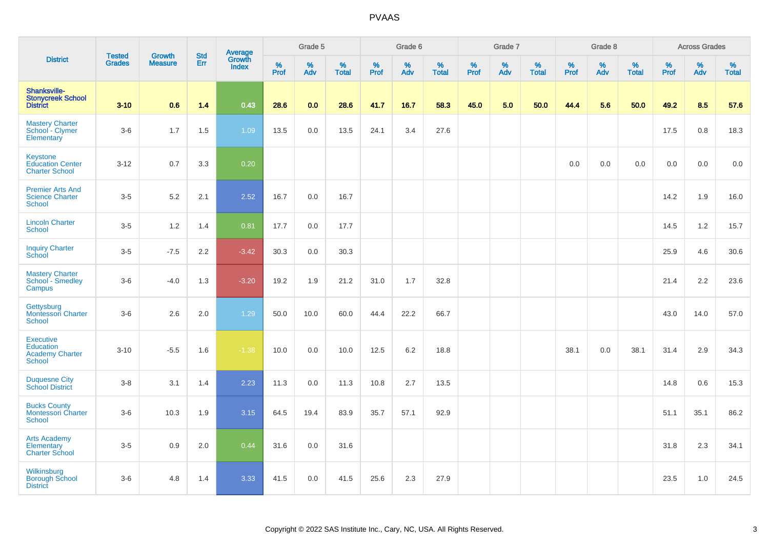|                                                                          |                                |                                 |                   | Average                |          | Grade 5  |                   |          | Grade 6  |                   |           | Grade 7  |                   |           | Grade 8  |                   |           | <b>Across Grades</b> |                   |
|--------------------------------------------------------------------------|--------------------------------|---------------------------------|-------------------|------------------------|----------|----------|-------------------|----------|----------|-------------------|-----------|----------|-------------------|-----------|----------|-------------------|-----------|----------------------|-------------------|
| <b>District</b>                                                          | <b>Tested</b><br><b>Grades</b> | <b>Growth</b><br><b>Measure</b> | <b>Std</b><br>Err | Growth<br><b>Index</b> | $%$ Prof | %<br>Adv | %<br><b>Total</b> | $%$ Prof | %<br>Adv | %<br><b>Total</b> | %<br>Prof | %<br>Adv | %<br><b>Total</b> | %<br>Prof | %<br>Adv | %<br><b>Total</b> | %<br>Prof | %<br>Adv             | %<br><b>Total</b> |
| Shanksville-<br><b>Stonycreek School</b><br><b>District</b>              | $3 - 10$                       | 0.6                             | 1.4               | 0.43                   | 28.6     | 0.0      | 28.6              | 41.7     | 16.7     | 58.3              | 45.0      | 5.0      | 50.0              | 44.4      | 5.6      | 50.0              | 49.2      | 8.5                  | 57.6              |
| <b>Mastery Charter</b><br>School - Clymer<br>Elementary                  | $3-6$                          | 1.7                             | 1.5               | 1.09                   | 13.5     | 0.0      | 13.5              | 24.1     | 3.4      | 27.6              |           |          |                   |           |          |                   | 17.5      | 0.8                  | 18.3              |
| Keystone<br><b>Education Center</b><br><b>Charter School</b>             | $3 - 12$                       | 0.7                             | 3.3               | 0.20                   |          |          |                   |          |          |                   |           |          |                   | 0.0       | 0.0      | 0.0               | 0.0       | 0.0                  | 0.0               |
| <b>Premier Arts And</b><br><b>Science Charter</b><br>School              | $3 - 5$                        | 5.2                             | 2.1               | 2.52                   | 16.7     | 0.0      | 16.7              |          |          |                   |           |          |                   |           |          |                   | 14.2      | 1.9                  | 16.0              |
| <b>Lincoln Charter</b><br><b>School</b>                                  | $3-5$                          | 1.2                             | 1.4               | 0.81                   | 17.7     | 0.0      | 17.7              |          |          |                   |           |          |                   |           |          |                   | 14.5      | 1.2                  | 15.7              |
| <b>Inquiry Charter</b><br>School                                         | $3-5$                          | $-7.5$                          | 2.2               | $-3.42$                | 30.3     | 0.0      | 30.3              |          |          |                   |           |          |                   |           |          |                   | 25.9      | 4.6                  | 30.6              |
| <b>Mastery Charter</b><br>School - Smedley<br>Campus                     | $3-6$                          | $-4.0$                          | 1.3               | $-3.20$                | 19.2     | 1.9      | 21.2              | 31.0     | 1.7      | 32.8              |           |          |                   |           |          |                   | 21.4      | 2.2                  | 23.6              |
| Gettysburg<br><b>Montessori Charter</b><br><b>School</b>                 | $3-6$                          | 2.6                             | 2.0               | 1.29                   | 50.0     | 10.0     | 60.0              | 44.4     | 22.2     | 66.7              |           |          |                   |           |          |                   | 43.0      | 14.0                 | 57.0              |
| <b>Executive</b><br>Education<br><b>Academy Charter</b><br><b>School</b> | $3 - 10$                       | $-5.5$                          | 1.6               | $-1.38$                | 10.0     | 0.0      | 10.0              | 12.5     | 6.2      | 18.8              |           |          |                   | 38.1      | 0.0      | 38.1              | 31.4      | 2.9                  | 34.3              |
| <b>Duquesne City</b><br><b>School District</b>                           | $3-8$                          | 3.1                             | 1.4               | 2.23                   | 11.3     | 0.0      | 11.3              | 10.8     | 2.7      | 13.5              |           |          |                   |           |          |                   | 14.8      | 0.6                  | 15.3              |
| <b>Bucks County</b><br>Montessori Charter<br>School                      | $3-6$                          | 10.3                            | 1.9               | 3.15                   | 64.5     | 19.4     | 83.9              | 35.7     | 57.1     | 92.9              |           |          |                   |           |          |                   | 51.1      | 35.1                 | 86.2              |
| <b>Arts Academy</b><br>Elementary<br><b>Charter School</b>               | $3-5$                          | 0.9                             | 2.0               | 0.44                   | 31.6     | 0.0      | 31.6              |          |          |                   |           |          |                   |           |          |                   | 31.8      | 2.3                  | 34.1              |
| Wilkinsburg<br><b>Borough School</b><br><b>District</b>                  | $3-6$                          | 4.8                             | 1.4               | 3.33                   | 41.5     | 0.0      | 41.5              | 25.6     | 2.3      | 27.9              |           |          |                   |           |          |                   | 23.5      | 1.0                  | 24.5              |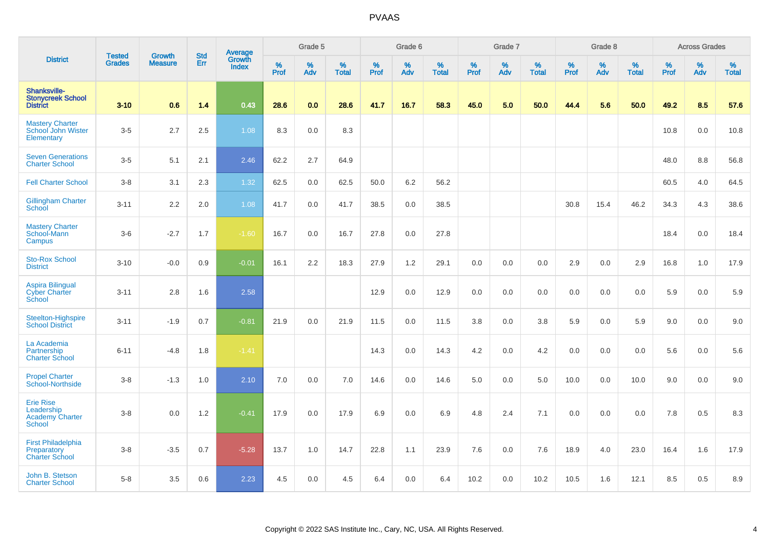|                                                                           |                                | <b>Growth</b>  | <b>Std</b> | Average                |              | Grade 5  |                   |           | Grade 6  |                   |           | Grade 7         |                   |           | Grade 8  |                   |           | <b>Across Grades</b> |                   |
|---------------------------------------------------------------------------|--------------------------------|----------------|------------|------------------------|--------------|----------|-------------------|-----------|----------|-------------------|-----------|-----------------|-------------------|-----------|----------|-------------------|-----------|----------------------|-------------------|
| <b>District</b>                                                           | <b>Tested</b><br><b>Grades</b> | <b>Measure</b> | Err        | Growth<br><b>Index</b> | $\%$<br>Prof | %<br>Adv | %<br><b>Total</b> | %<br>Prof | %<br>Adv | %<br><b>Total</b> | %<br>Prof | %<br><b>Adv</b> | %<br><b>Total</b> | %<br>Prof | %<br>Adv | %<br><b>Total</b> | %<br>Prof | %<br>Adv             | %<br><b>Total</b> |
| Shanksville-<br><b>Stonycreek School</b><br><b>District</b>               | $3 - 10$                       | 0.6            | 1.4        | 0.43                   | 28.6         | 0.0      | 28.6              | 41.7      | 16.7     | 58.3              | 45.0      | 5.0             | 50.0              | 44.4      | 5.6      | 50.0              | 49.2      | 8.5                  | 57.6              |
| <b>Mastery Charter</b><br>School John Wister<br>Elementary                | $3-5$                          | 2.7            | 2.5        | 1.08                   | 8.3          | 0.0      | 8.3               |           |          |                   |           |                 |                   |           |          |                   | 10.8      | 0.0                  | 10.8              |
| <b>Seven Generations</b><br><b>Charter School</b>                         | $3-5$                          | 5.1            | 2.1        | 2.46                   | 62.2         | 2.7      | 64.9              |           |          |                   |           |                 |                   |           |          |                   | 48.0      | 8.8                  | 56.8              |
| <b>Fell Charter School</b>                                                | $3-8$                          | 3.1            | 2.3        | 1.32                   | 62.5         | 0.0      | 62.5              | 50.0      | 6.2      | 56.2              |           |                 |                   |           |          |                   | 60.5      | 4.0                  | 64.5              |
| <b>Gillingham Charter</b><br><b>School</b>                                | $3 - 11$                       | 2.2            | 2.0        | 1.08                   | 41.7         | 0.0      | 41.7              | 38.5      | 0.0      | 38.5              |           |                 |                   | 30.8      | 15.4     | 46.2              | 34.3      | 4.3                  | 38.6              |
| <b>Mastery Charter</b><br>School-Mann<br>Campus                           | $3-6$                          | $-2.7$         | 1.7        | $-1.60$                | 16.7         | 0.0      | 16.7              | 27.8      | 0.0      | 27.8              |           |                 |                   |           |          |                   | 18.4      | 0.0                  | 18.4              |
| <b>Sto-Rox School</b><br><b>District</b>                                  | $3 - 10$                       | $-0.0$         | 0.9        | $-0.01$                | 16.1         | 2.2      | 18.3              | 27.9      | 1.2      | 29.1              | 0.0       | 0.0             | 0.0               | 2.9       | 0.0      | 2.9               | 16.8      | 1.0                  | 17.9              |
| <b>Aspira Bilingual</b><br><b>Cyber Charter</b><br>School                 | $3 - 11$                       | 2.8            | 1.6        | 2.58                   |              |          |                   | 12.9      | 0.0      | 12.9              | 0.0       | 0.0             | 0.0               | 0.0       | 0.0      | 0.0               | 5.9       | 0.0                  | 5.9               |
| Steelton-Highspire<br><b>School District</b>                              | $3 - 11$                       | $-1.9$         | 0.7        | $-0.81$                | 21.9         | 0.0      | 21.9              | 11.5      | 0.0      | 11.5              | 3.8       | 0.0             | 3.8               | 5.9       | 0.0      | 5.9               | 9.0       | 0.0                  | 9.0               |
| La Academia<br>Partnership<br><b>Charter School</b>                       | $6 - 11$                       | $-4.8$         | 1.8        | $-1.41$                |              |          |                   | 14.3      | 0.0      | 14.3              | 4.2       | 0.0             | 4.2               | 0.0       | 0.0      | 0.0               | 5.6       | 0.0                  | 5.6               |
| <b>Propel Charter</b><br>School-Northside                                 | $3-8$                          | $-1.3$         | 1.0        | 2.10                   | 7.0          | 0.0      | 7.0               | 14.6      | 0.0      | 14.6              | 5.0       | 0.0             | 5.0               | 10.0      | 0.0      | 10.0              | 9.0       | 0.0                  | 9.0               |
| <b>Erie Rise</b><br>Leadership<br><b>Academy Charter</b><br><b>School</b> | $3-8$                          | 0.0            | 1.2        | $-0.41$                | 17.9         | 0.0      | 17.9              | 6.9       | 0.0      | 6.9               | 4.8       | 2.4             | 7.1               | 0.0       | 0.0      | 0.0               | 7.8       | 0.5                  | 8.3               |
| <b>First Philadelphia</b><br>Preparatory<br><b>Charter School</b>         | $3-8$                          | $-3.5$         | 0.7        | $-5.28$                | 13.7         | 1.0      | 14.7              | 22.8      | 1.1      | 23.9              | 7.6       | 0.0             | 7.6               | 18.9      | 4.0      | 23.0              | 16.4      | 1.6                  | 17.9              |
| John B. Stetson<br><b>Charter School</b>                                  | $5-8$                          | 3.5            | 0.6        | 2.23                   | 4.5          | 0.0      | 4.5               | 6.4       | 0.0      | 6.4               | 10.2      | 0.0             | 10.2              | 10.5      | 1.6      | 12.1              | 8.5       | 0.5                  | 8.9               |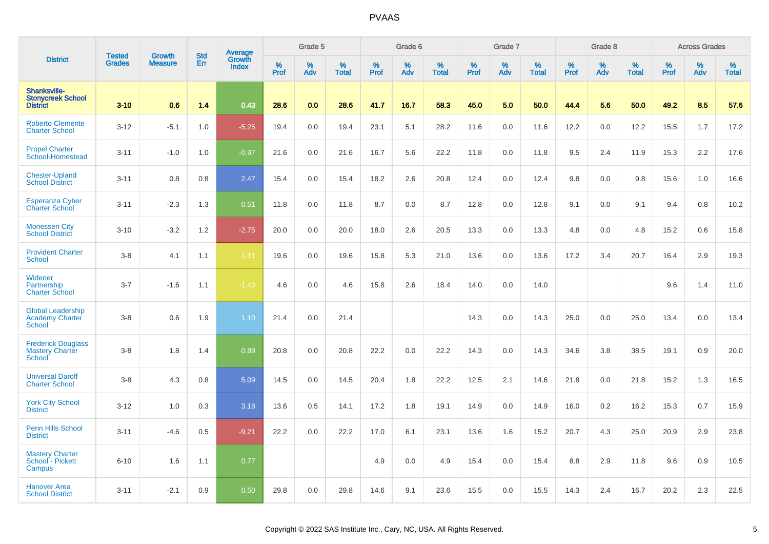|                                                                      | <b>Tested</b> | <b>Growth</b>  | <b>Std</b> | Average                |                     | Grade 5  |                   |                  | Grade 6  |                   |                  | Grade 7  |                   |                  | Grade 8  |                   |           | <b>Across Grades</b> |                   |
|----------------------------------------------------------------------|---------------|----------------|------------|------------------------|---------------------|----------|-------------------|------------------|----------|-------------------|------------------|----------|-------------------|------------------|----------|-------------------|-----------|----------------------|-------------------|
| <b>District</b>                                                      | <b>Grades</b> | <b>Measure</b> | Err        | Growth<br><b>Index</b> | $\%$<br><b>Prof</b> | %<br>Adv | %<br><b>Total</b> | %<br><b>Prof</b> | %<br>Adv | %<br><b>Total</b> | %<br><b>Prof</b> | %<br>Adv | %<br><b>Total</b> | %<br><b>Prof</b> | %<br>Adv | %<br><b>Total</b> | %<br>Prof | %<br>Adv             | %<br><b>Total</b> |
| <b>Shanksville-</b><br><b>Stonycreek School</b><br><b>District</b>   | $3 - 10$      | 0.6            | 1.4        | 0.43                   | 28.6                | 0.0      | 28.6              | 41.7             | 16.7     | 58.3              | 45.0             | 5.0      | 50.0              | 44.4             | 5.6      | 50.0              | 49.2      | 8.5                  | 57.6              |
| <b>Roberto Clemente</b><br><b>Charter School</b>                     | $3 - 12$      | $-5.1$         | 1.0        | $-5.25$                | 19.4                | 0.0      | 19.4              | 23.1             | 5.1      | 28.2              | 11.6             | 0.0      | 11.6              | 12.2             | 0.0      | 12.2              | 15.5      | 1.7                  | 17.2              |
| <b>Propel Charter</b><br>School-Homestead                            | $3 - 11$      | $-1.0$         | 1.0        | $-0.97$                | 21.6                | 0.0      | 21.6              | 16.7             | 5.6      | 22.2              | 11.8             | 0.0      | 11.8              | 9.5              | 2.4      | 11.9              | 15.3      | 2.2                  | 17.6              |
| <b>Chester-Upland</b><br><b>School District</b>                      | $3 - 11$      | 0.8            | 0.8        | 2.47                   | 15.4                | 0.0      | 15.4              | 18.2             | 2.6      | 20.8              | 12.4             | 0.0      | 12.4              | 9.8              | 0.0      | 9.8               | 15.6      | 1.0                  | 16.6              |
| <b>Esperanza Cyber</b><br><b>Charter School</b>                      | $3 - 11$      | $-2.3$         | 1.3        | 0.51                   | 11.8                | 0.0      | 11.8              | 8.7              | 0.0      | 8.7               | 12.8             | 0.0      | 12.8              | 9.1              | 0.0      | 9.1               | 9.4       | 0.8                  | 10.2              |
| <b>Monessen City</b><br><b>School District</b>                       | $3 - 10$      | $-3.2$         | 1.2        | $-2.75$                | 20.0                | 0.0      | 20.0              | 18.0             | 2.6      | 20.5              | 13.3             | 0.0      | 13.3              | 4.8              | 0.0      | 4.8               | 15.2      | 0.6                  | 15.8              |
| <b>Provident Charter</b><br><b>School</b>                            | $3 - 8$       | 4.1            | 1.1        | $-1.11$                | 19.6                | 0.0      | 19.6              | 15.8             | 5.3      | 21.0              | 13.6             | 0.0      | 13.6              | 17.2             | 3.4      | 20.7              | 16.4      | 2.9                  | 19.3              |
| Widener<br>Partnership<br><b>Charter School</b>                      | $3 - 7$       | $-1.6$         | 1.1        | $-1.43$                | 4.6                 | 0.0      | 4.6               | 15.8             | 2.6      | 18.4              | 14.0             | 0.0      | 14.0              |                  |          |                   | 9.6       | 1.4                  | 11.0              |
| <b>Global Leadership</b><br><b>Academy Charter</b><br>School         | $3 - 8$       | 0.6            | 1.9        | 1.10                   | 21.4                | 0.0      | 21.4              |                  |          |                   | 14.3             | 0.0      | 14.3              | 25.0             | 0.0      | 25.0              | 13.4      | 0.0                  | 13.4              |
| <b>Frederick Douglass</b><br><b>Mastery Charter</b><br><b>School</b> | $3 - 8$       | 1.8            | 1.4        | 0.89                   | 20.8                | 0.0      | 20.8              | 22.2             | 0.0      | 22.2              | 14.3             | 0.0      | 14.3              | 34.6             | 3.8      | 38.5              | 19.1      | 0.9                  | 20.0              |
| <b>Universal Daroff</b><br><b>Charter School</b>                     | $3 - 8$       | 4.3            | 0.8        | 5.09                   | 14.5                | 0.0      | 14.5              | 20.4             | 1.8      | 22.2              | 12.5             | 2.1      | 14.6              | 21.8             | 0.0      | 21.8              | 15.2      | 1.3                  | 16.5              |
| <b>York City School</b><br><b>District</b>                           | $3 - 12$      | 1.0            | 0.3        | 3.18                   | 13.6                | 0.5      | 14.1              | 17.2             | 1.8      | 19.1              | 14.9             | 0.0      | 14.9              | 16.0             | 0.2      | 16.2              | 15.3      | 0.7                  | 15.9              |
| <b>Penn Hills School</b><br><b>District</b>                          | $3 - 11$      | $-4.6$         | 0.5        | $-9.21$                | 22.2                | 0.0      | 22.2              | 17.0             | 6.1      | 23.1              | 13.6             | 1.6      | 15.2              | 20.7             | 4.3      | 25.0              | 20.9      | 2.9                  | 23.8              |
| <b>Mastery Charter</b><br>School - Pickett<br>Campus                 | $6 - 10$      | 1.6            | 1.1        | 0.77                   |                     |          |                   | 4.9              | 0.0      | 4.9               | 15.4             | 0.0      | 15.4              | 8.8              | 2.9      | 11.8              | 9.6       | 0.9                  | 10.5              |
| <b>Hanover Area</b><br><b>School District</b>                        | $3 - 11$      | $-2.1$         | 0.9        | 0.50                   | 29.8                | 0.0      | 29.8              | 14.6             | 9.1      | 23.6              | 15.5             | 0.0      | 15.5              | 14.3             | 2.4      | 16.7              | 20.2      | 2.3                  | 22.5              |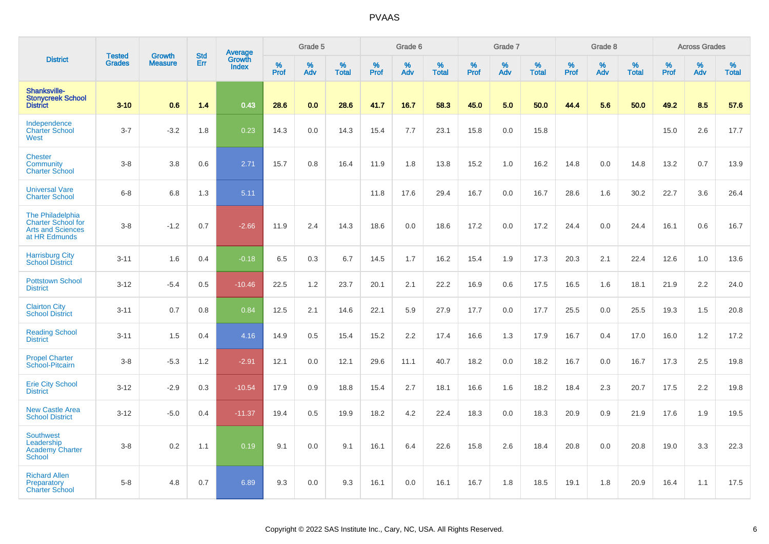|                                                                                            |                                |                          | <b>Std</b> | Average                |              | Grade 5  |                   |           | Grade 6  |                   |                  | Grade 7     |                   |           | Grade 8  |                   |              | <b>Across Grades</b> |                   |
|--------------------------------------------------------------------------------------------|--------------------------------|--------------------------|------------|------------------------|--------------|----------|-------------------|-----------|----------|-------------------|------------------|-------------|-------------------|-----------|----------|-------------------|--------------|----------------------|-------------------|
| <b>District</b>                                                                            | <b>Tested</b><br><b>Grades</b> | Growth<br><b>Measure</b> | Err        | Growth<br><b>Index</b> | $\%$<br>Prof | %<br>Adv | %<br><b>Total</b> | %<br>Prof | %<br>Adv | %<br><b>Total</b> | %<br><b>Prof</b> | $\%$<br>Adv | %<br><b>Total</b> | %<br>Prof | %<br>Adv | %<br><b>Total</b> | $\%$<br>Prof | %<br>Adv             | %<br><b>Total</b> |
| <b>Shanksville-</b><br><b>Stonycreek School</b><br><b>District</b>                         | $3 - 10$                       | 0.6                      | 1.4        | 0.43                   | 28.6         | 0.0      | 28.6              | 41.7      | 16.7     | 58.3              | 45.0             | 5.0         | 50.0              | 44.4      | 5.6      | 50.0              | 49.2         | 8.5                  | 57.6              |
| Independence<br><b>Charter School</b><br>West                                              | $3 - 7$                        | $-3.2$                   | 1.8        | 0.23                   | 14.3         | 0.0      | 14.3              | 15.4      | 7.7      | 23.1              | 15.8             | 0.0         | 15.8              |           |          |                   | 15.0         | 2.6                  | 17.7              |
| <b>Chester</b><br><b>Community</b><br><b>Charter School</b>                                | $3 - 8$                        | 3.8                      | 0.6        | 2.71                   | 15.7         | 0.8      | 16.4              | 11.9      | 1.8      | 13.8              | 15.2             | 1.0         | 16.2              | 14.8      | 0.0      | 14.8              | 13.2         | 0.7                  | 13.9              |
| <b>Universal Vare</b><br><b>Charter School</b>                                             | $6 - 8$                        | 6.8                      | 1.3        | 5.11                   |              |          |                   | 11.8      | 17.6     | 29.4              | 16.7             | 0.0         | 16.7              | 28.6      | 1.6      | 30.2              | 22.7         | 3.6                  | 26.4              |
| The Philadelphia<br><b>Charter School for</b><br><b>Arts and Sciences</b><br>at HR Edmunds | $3 - 8$                        | $-1.2$                   | 0.7        | $-2.66$                | 11.9         | 2.4      | 14.3              | 18.6      | 0.0      | 18.6              | 17.2             | 0.0         | 17.2              | 24.4      | 0.0      | 24.4              | 16.1         | 0.6                  | 16.7              |
| <b>Harrisburg City</b><br><b>School District</b>                                           | $3 - 11$                       | 1.6                      | 0.4        | $-0.18$                | 6.5          | 0.3      | 6.7               | 14.5      | 1.7      | 16.2              | 15.4             | 1.9         | 17.3              | 20.3      | 2.1      | 22.4              | 12.6         | 1.0                  | 13.6              |
| <b>Pottstown School</b><br><b>District</b>                                                 | $3 - 12$                       | $-5.4$                   | 0.5        | $-10.46$               | 22.5         | 1.2      | 23.7              | 20.1      | 2.1      | 22.2              | 16.9             | 0.6         | 17.5              | 16.5      | 1.6      | 18.1              | 21.9         | 2.2                  | 24.0              |
| <b>Clairton City</b><br><b>School District</b>                                             | $3 - 11$                       | 0.7                      | 0.8        | 0.84                   | 12.5         | 2.1      | 14.6              | 22.1      | 5.9      | 27.9              | 17.7             | 0.0         | 17.7              | 25.5      | 0.0      | 25.5              | 19.3         | 1.5                  | 20.8              |
| <b>Reading School</b><br><b>District</b>                                                   | $3 - 11$                       | 1.5                      | 0.4        | 4.16                   | 14.9         | 0.5      | 15.4              | 15.2      | 2.2      | 17.4              | 16.6             | 1.3         | 17.9              | 16.7      | 0.4      | 17.0              | 16.0         | 1.2                  | 17.2              |
| <b>Propel Charter</b><br>School-Pitcairn                                                   | $3 - 8$                        | $-5.3$                   | 1.2        | $-2.91$                | 12.1         | 0.0      | 12.1              | 29.6      | 11.1     | 40.7              | 18.2             | 0.0         | 18.2              | 16.7      | 0.0      | 16.7              | 17.3         | 2.5                  | 19.8              |
| <b>Erie City School</b><br><b>District</b>                                                 | $3 - 12$                       | $-2.9$                   | 0.3        | $-10.54$               | 17.9         | 0.9      | 18.8              | 15.4      | 2.7      | 18.1              | 16.6             | 1.6         | 18.2              | 18.4      | 2.3      | 20.7              | 17.5         | 2.2                  | 19.8              |
| <b>New Castle Area</b><br><b>School District</b>                                           | $3 - 12$                       | $-5.0$                   | 0.4        | $-11.37$               | 19.4         | 0.5      | 19.9              | 18.2      | 4.2      | 22.4              | 18.3             | 0.0         | 18.3              | 20.9      | 0.9      | 21.9              | 17.6         | 1.9                  | 19.5              |
| <b>Southwest</b><br>Leadership<br><b>Academy Charter</b><br><b>School</b>                  | $3 - 8$                        | 0.2                      | 1.1        | 0.19                   | 9.1          | 0.0      | 9.1               | 16.1      | 6.4      | 22.6              | 15.8             | 2.6         | 18.4              | 20.8      | 0.0      | 20.8              | 19.0         | 3.3                  | 22.3              |
| <b>Richard Allen</b><br>Preparatory<br><b>Charter School</b>                               | $5 - 8$                        | 4.8                      | 0.7        | 6.89                   | 9.3          | 0.0      | 9.3               | 16.1      | 0.0      | 16.1              | 16.7             | 1.8         | 18.5              | 19.1      | 1.8      | 20.9              | 16.4         | 1.1                  | 17.5              |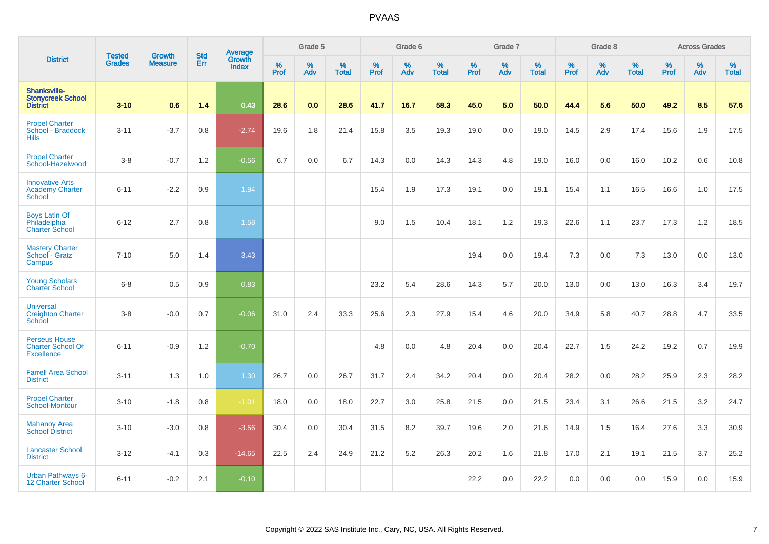|                                                                       |                                |                                 | <b>Std</b> | Average                |           | Grade 5  |                      |           | Grade 6  |                   |           | Grade 7  |                   |                  | Grade 8  |                   |                  | <b>Across Grades</b> |                   |
|-----------------------------------------------------------------------|--------------------------------|---------------------------------|------------|------------------------|-----------|----------|----------------------|-----------|----------|-------------------|-----------|----------|-------------------|------------------|----------|-------------------|------------------|----------------------|-------------------|
| <b>District</b>                                                       | <b>Tested</b><br><b>Grades</b> | <b>Growth</b><br><b>Measure</b> | Err        | Growth<br><b>Index</b> | %<br>Prof | %<br>Adv | $\%$<br><b>Total</b> | %<br>Prof | %<br>Adv | %<br><b>Total</b> | %<br>Prof | %<br>Adv | %<br><b>Total</b> | %<br><b>Prof</b> | %<br>Adv | %<br><b>Total</b> | %<br><b>Prof</b> | %<br>Adv             | %<br><b>Total</b> |
| Shanksville-<br><b>Stonycreek School</b><br><b>District</b>           | $3 - 10$                       | 0.6                             | 1.4        | 0.43                   | 28.6      | 0.0      | 28.6                 | 41.7      | 16.7     | 58.3              | 45.0      | 5.0      | 50.0              | 44.4             | 5.6      | 50.0              | 49.2             | 8.5                  | 57.6              |
| <b>Propel Charter</b><br>School - Braddock<br><b>Hills</b>            | $3 - 11$                       | $-3.7$                          | 0.8        | $-2.74$                | 19.6      | 1.8      | 21.4                 | 15.8      | 3.5      | 19.3              | 19.0      | 0.0      | 19.0              | 14.5             | 2.9      | 17.4              | 15.6             | 1.9                  | 17.5              |
| <b>Propel Charter</b><br>School-Hazelwood                             | $3-8$                          | $-0.7$                          | 1.2        | $-0.56$                | 6.7       | 0.0      | 6.7                  | 14.3      | 0.0      | 14.3              | 14.3      | 4.8      | 19.0              | 16.0             | 0.0      | 16.0              | 10.2             | 0.6                  | 10.8              |
| <b>Innovative Arts</b><br><b>Academy Charter</b><br><b>School</b>     | $6 - 11$                       | $-2.2$                          | 0.9        | 1.94                   |           |          |                      | 15.4      | 1.9      | 17.3              | 19.1      | 0.0      | 19.1              | 15.4             | 1.1      | 16.5              | 16.6             | 1.0                  | 17.5              |
| <b>Boys Latin Of</b><br>Philadelphia<br><b>Charter School</b>         | $6 - 12$                       | 2.7                             | 0.8        | 1.58                   |           |          |                      | 9.0       | 1.5      | 10.4              | 18.1      | 1.2      | 19.3              | 22.6             | 1.1      | 23.7              | 17.3             | 1.2                  | 18.5              |
| <b>Mastery Charter</b><br>School - Gratz<br>Campus                    | $7 - 10$                       | 5.0                             | 1.4        | 3.43                   |           |          |                      |           |          |                   | 19.4      | 0.0      | 19.4              | 7.3              | 0.0      | 7.3               | 13.0             | 0.0                  | 13.0              |
| <b>Young Scholars</b><br><b>Charter School</b>                        | $6 - 8$                        | 0.5                             | 0.9        | 0.83                   |           |          |                      | 23.2      | 5.4      | 28.6              | 14.3      | 5.7      | 20.0              | 13.0             | 0.0      | 13.0              | 16.3             | 3.4                  | 19.7              |
| <b>Universal</b><br><b>Creighton Charter</b><br>School                | $3-8$                          | $-0.0$                          | 0.7        | $-0.06$                | 31.0      | 2.4      | 33.3                 | 25.6      | 2.3      | 27.9              | 15.4      | 4.6      | 20.0              | 34.9             | 5.8      | 40.7              | 28.8             | 4.7                  | 33.5              |
| <b>Perseus House</b><br><b>Charter School Of</b><br><b>Excellence</b> | $6 - 11$                       | $-0.9$                          | 1.2        | $-0.70$                |           |          |                      | 4.8       | 0.0      | 4.8               | 20.4      | 0.0      | 20.4              | 22.7             | 1.5      | 24.2              | 19.2             | 0.7                  | 19.9              |
| <b>Farrell Area School</b><br><b>District</b>                         | $3 - 11$                       | 1.3                             | 1.0        | 1.30                   | 26.7      | 0.0      | 26.7                 | 31.7      | 2.4      | 34.2              | 20.4      | 0.0      | 20.4              | 28.2             | 0.0      | 28.2              | 25.9             | 2.3                  | 28.2              |
| <b>Propel Charter</b><br>School-Montour                               | $3 - 10$                       | $-1.8$                          | 0.8        | $-1.01$                | 18.0      | 0.0      | 18.0                 | 22.7      | 3.0      | 25.8              | 21.5      | 0.0      | 21.5              | 23.4             | 3.1      | 26.6              | 21.5             | 3.2                  | 24.7              |
| <b>Mahanoy Area</b><br><b>School District</b>                         | $3 - 10$                       | $-3.0$                          | 0.8        | $-3.56$                | 30.4      | 0.0      | 30.4                 | 31.5      | 8.2      | 39.7              | 19.6      | 2.0      | 21.6              | 14.9             | 1.5      | 16.4              | 27.6             | 3.3                  | 30.9              |
| <b>Lancaster School</b><br><b>District</b>                            | $3 - 12$                       | $-4.1$                          | 0.3        | $-14.65$               | 22.5      | 2.4      | 24.9                 | 21.2      | 5.2      | 26.3              | 20.2      | 1.6      | 21.8              | 17.0             | 2.1      | 19.1              | 21.5             | 3.7                  | 25.2              |
| <b>Urban Pathways 6-</b><br>12 Charter School                         | $6 - 11$                       | $-0.2$                          | 2.1        | $-0.10$                |           |          |                      |           |          |                   | 22.2      | 0.0      | 22.2              | 0.0              | 0.0      | 0.0               | 15.9             | 0.0                  | 15.9              |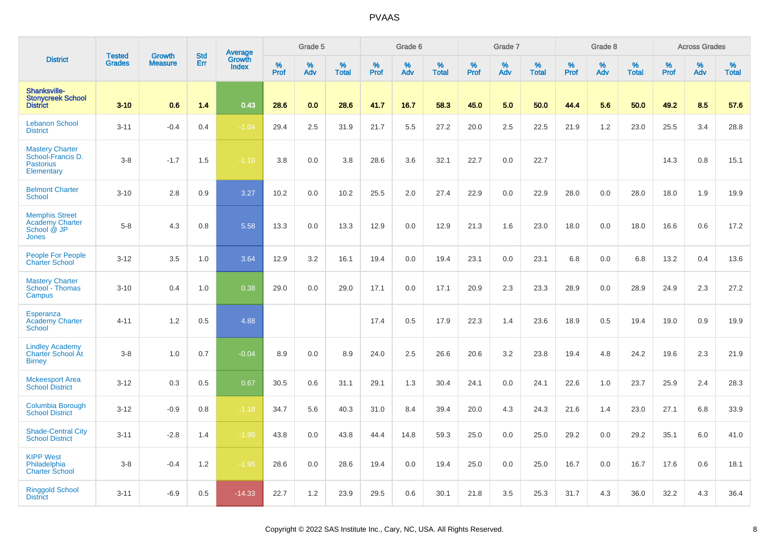|                                                                                | <b>Tested</b> | <b>Growth</b>  | <b>Std</b> | Average                |           | Grade 5  |                   |           | Grade 6  |                   |           | Grade 7  |                   |           | Grade 8  |                   |              | <b>Across Grades</b> |                   |
|--------------------------------------------------------------------------------|---------------|----------------|------------|------------------------|-----------|----------|-------------------|-----------|----------|-------------------|-----------|----------|-------------------|-----------|----------|-------------------|--------------|----------------------|-------------------|
| <b>District</b>                                                                | <b>Grades</b> | <b>Measure</b> | Err        | Growth<br><b>Index</b> | %<br>Prof | %<br>Adv | %<br><b>Total</b> | %<br>Prof | %<br>Adv | %<br><b>Total</b> | %<br>Prof | %<br>Adv | %<br><b>Total</b> | %<br>Prof | %<br>Adv | %<br><b>Total</b> | $\%$<br>Prof | %<br>Adv             | %<br><b>Total</b> |
| Shanksville-<br><b>Stonycreek School</b><br><b>District</b>                    | $3 - 10$      | 0.6            | 1.4        | 0.43                   | 28.6      | 0.0      | 28.6              | 41.7      | 16.7     | 58.3              | 45.0      | 5.0      | 50.0              | 44.4      | 5.6      | 50.0              | 49.2         | 8.5                  | 57.6              |
| <b>Lebanon School</b><br><b>District</b>                                       | $3 - 11$      | $-0.4$         | 0.4        | $-1.04$                | 29.4      | 2.5      | 31.9              | 21.7      | 5.5      | 27.2              | 20.0      | 2.5      | 22.5              | 21.9      | 1.2      | 23.0              | 25.5         | 3.4                  | 28.8              |
| <b>Mastery Charter</b><br>School-Francis D.<br><b>Pastorius</b><br>Elementary  | $3 - 8$       | $-1.7$         | 1.5        | $-1.16$                | 3.8       | 0.0      | 3.8               | 28.6      | 3.6      | 32.1              | 22.7      | 0.0      | 22.7              |           |          |                   | 14.3         | 0.8                  | 15.1              |
| <b>Belmont Charter</b><br><b>School</b>                                        | $3 - 10$      | 2.8            | 0.9        | 3.27                   | 10.2      | 0.0      | 10.2              | 25.5      | 2.0      | 27.4              | 22.9      | 0.0      | 22.9              | 28.0      | 0.0      | 28.0              | 18.0         | 1.9                  | 19.9              |
| <b>Memphis Street</b><br><b>Academy Charter</b><br>School @ JP<br><b>Jones</b> | $5 - 8$       | 4.3            | 0.8        | 5.58                   | 13.3      | 0.0      | 13.3              | 12.9      | 0.0      | 12.9              | 21.3      | 1.6      | 23.0              | 18.0      | 0.0      | 18.0              | 16.6         | 0.6                  | 17.2              |
| People For People<br><b>Charter School</b>                                     | $3 - 12$      | 3.5            | 1.0        | 3.64                   | 12.9      | 3.2      | 16.1              | 19.4      | 0.0      | 19.4              | 23.1      | 0.0      | 23.1              | 6.8       | 0.0      | 6.8               | 13.2         | 0.4                  | 13.6              |
| <b>Mastery Charter</b><br>School - Thomas<br>Campus                            | $3 - 10$      | 0.4            | 1.0        | 0.38                   | 29.0      | 0.0      | 29.0              | 17.1      | 0.0      | 17.1              | 20.9      | 2.3      | 23.3              | 28.9      | 0.0      | 28.9              | 24.9         | 2.3                  | 27.2              |
| Esperanza<br><b>Academy Charter</b><br>School                                  | $4 - 11$      | 1.2            | 0.5        | 4.88                   |           |          |                   | 17.4      | 0.5      | 17.9              | 22.3      | 1.4      | 23.6              | 18.9      | 0.5      | 19.4              | 19.0         | 0.9                  | 19.9              |
| <b>Lindley Academy</b><br>Charter School At<br><b>Birney</b>                   | $3 - 8$       | 1.0            | 0.7        | $-0.04$                | 8.9       | 0.0      | 8.9               | 24.0      | 2.5      | 26.6              | 20.6      | 3.2      | 23.8              | 19.4      | 4.8      | 24.2              | 19.6         | 2.3                  | 21.9              |
| <b>Mckeesport Area</b><br><b>School District</b>                               | $3 - 12$      | 0.3            | 0.5        | 0.67                   | 30.5      | 0.6      | 31.1              | 29.1      | 1.3      | 30.4              | 24.1      | 0.0      | 24.1              | 22.6      | 1.0      | 23.7              | 25.9         | 2.4                  | 28.3              |
| <b>Columbia Borough</b><br><b>School District</b>                              | $3 - 12$      | $-0.9$         | 0.8        | $-1.18$                | 34.7      | 5.6      | 40.3              | 31.0      | 8.4      | 39.4              | 20.0      | 4.3      | 24.3              | 21.6      | 1.4      | 23.0              | 27.1         | 6.8                  | 33.9              |
| <b>Shade-Central City</b><br><b>School District</b>                            | $3 - 11$      | $-2.8$         | 1.4        | $-1.99$                | 43.8      | 0.0      | 43.8              | 44.4      | 14.8     | 59.3              | 25.0      | 0.0      | 25.0              | 29.2      | 0.0      | 29.2              | 35.1         | 6.0                  | 41.0              |
| <b>KIPP West</b><br>Philadelphia<br><b>Charter School</b>                      | $3 - 8$       | $-0.4$         | 1.2        | $-1.95$                | 28.6      | 0.0      | 28.6              | 19.4      | 0.0      | 19.4              | 25.0      | 0.0      | 25.0              | 16.7      | 0.0      | 16.7              | 17.6         | 0.6                  | 18.1              |
| <b>Ringgold School</b><br><b>District</b>                                      | $3 - 11$      | $-6.9$         | 0.5        | $-14.33$               | 22.7      | 1.2      | 23.9              | 29.5      | 0.6      | 30.1              | 21.8      | 3.5      | 25.3              | 31.7      | 4.3      | 36.0              | 32.2         | 4.3                  | 36.4              |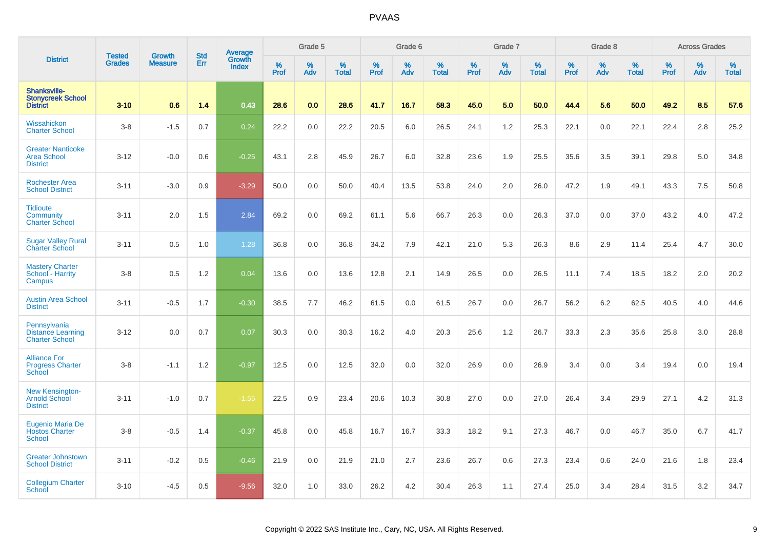|                                                                   | <b>Tested</b> | <b>Growth</b>  | <b>Std</b> |                                   |              | Grade 5  |                   |              | Grade 6  |                   |              | Grade 7  |                   |              | Grade 8  |                   |           | <b>Across Grades</b> |                   |
|-------------------------------------------------------------------|---------------|----------------|------------|-----------------------------------|--------------|----------|-------------------|--------------|----------|-------------------|--------------|----------|-------------------|--------------|----------|-------------------|-----------|----------------------|-------------------|
| <b>District</b>                                                   | <b>Grades</b> | <b>Measure</b> | Err        | Average<br>Growth<br><b>Index</b> | $\%$<br>Prof | %<br>Adv | %<br><b>Total</b> | $\%$<br>Prof | %<br>Adv | %<br><b>Total</b> | $\%$<br>Prof | %<br>Adv | %<br><b>Total</b> | $\%$<br>Prof | %<br>Adv | %<br><b>Total</b> | %<br>Prof | %<br>Adv             | %<br><b>Total</b> |
| Shanksville-<br><b>Stonycreek School</b><br><b>District</b>       | $3 - 10$      | 0.6            | 1.4        | 0.43                              | 28.6         | 0.0      | 28.6              | 41.7         | 16.7     | 58.3              | 45.0         | 5.0      | 50.0              | 44.4         | 5.6      | 50.0              | 49.2      | 8.5                  | 57.6              |
| Wissahickon<br><b>Charter School</b>                              | $3-8$         | $-1.5$         | 0.7        | 0.24                              | 22.2         | 0.0      | 22.2              | 20.5         | 6.0      | 26.5              | 24.1         | 1.2      | 25.3              | 22.1         | 0.0      | 22.1              | 22.4      | 2.8                  | 25.2              |
| <b>Greater Nanticoke</b><br><b>Area School</b><br><b>District</b> | $3-12$        | $-0.0$         | 0.6        | $-0.25$                           | 43.1         | 2.8      | 45.9              | 26.7         | 6.0      | 32.8              | 23.6         | 1.9      | 25.5              | 35.6         | 3.5      | 39.1              | 29.8      | 5.0                  | 34.8              |
| <b>Rochester Area</b><br><b>School District</b>                   | $3 - 11$      | $-3.0$         | 0.9        | $-3.29$                           | 50.0         | 0.0      | 50.0              | 40.4         | 13.5     | 53.8              | 24.0         | 2.0      | 26.0              | 47.2         | 1.9      | 49.1              | 43.3      | 7.5                  | 50.8              |
| <b>Tidioute</b><br>Community<br><b>Charter School</b>             | $3 - 11$      | 2.0            | 1.5        | 2.84                              | 69.2         | 0.0      | 69.2              | 61.1         | 5.6      | 66.7              | 26.3         | 0.0      | 26.3              | 37.0         | 0.0      | 37.0              | 43.2      | 4.0                  | 47.2              |
| <b>Sugar Valley Rural</b><br><b>Charter School</b>                | $3 - 11$      | 0.5            | 1.0        | 1.28                              | 36.8         | 0.0      | 36.8              | 34.2         | 7.9      | 42.1              | 21.0         | 5.3      | 26.3              | 8.6          | 2.9      | 11.4              | 25.4      | 4.7                  | 30.0              |
| <b>Mastery Charter</b><br>School - Harrity<br>Campus              | $3-8$         | 0.5            | 1.2        | 0.04                              | 13.6         | 0.0      | 13.6              | 12.8         | 2.1      | 14.9              | 26.5         | 0.0      | 26.5              | 11.1         | 7.4      | 18.5              | 18.2      | 2.0                  | 20.2              |
| <b>Austin Area School</b><br><b>District</b>                      | $3 - 11$      | $-0.5$         | 1.7        | $-0.30$                           | 38.5         | 7.7      | 46.2              | 61.5         | 0.0      | 61.5              | 26.7         | 0.0      | 26.7              | 56.2         | 6.2      | 62.5              | 40.5      | 4.0                  | 44.6              |
| Pennsylvania<br><b>Distance Learning</b><br><b>Charter School</b> | $3 - 12$      | 0.0            | 0.7        | 0.07                              | 30.3         | 0.0      | 30.3              | 16.2         | 4.0      | 20.3              | 25.6         | 1.2      | 26.7              | 33.3         | 2.3      | 35.6              | 25.8      | 3.0                  | 28.8              |
| <b>Alliance For</b><br><b>Progress Charter</b><br><b>School</b>   | $3 - 8$       | $-1.1$         | 1.2        | $-0.97$                           | 12.5         | 0.0      | 12.5              | 32.0         | 0.0      | 32.0              | 26.9         | 0.0      | 26.9              | 3.4          | 0.0      | 3.4               | 19.4      | 0.0                  | 19.4              |
| New Kensington-<br><b>Arnold School</b><br><b>District</b>        | $3 - 11$      | $-1.0$         | 0.7        | $-1.55$                           | 22.5         | 0.9      | 23.4              | 20.6         | 10.3     | 30.8              | 27.0         | 0.0      | 27.0              | 26.4         | 3.4      | 29.9              | 27.1      | 4.2                  | 31.3              |
| <b>Eugenio Maria De</b><br><b>Hostos Charter</b><br>School        | $3-8$         | $-0.5$         | 1.4        | $-0.37$                           | 45.8         | 0.0      | 45.8              | 16.7         | 16.7     | 33.3              | 18.2         | 9.1      | 27.3              | 46.7         | 0.0      | 46.7              | 35.0      | 6.7                  | 41.7              |
| <b>Greater Johnstown</b><br><b>School District</b>                | $3 - 11$      | $-0.2$         | 0.5        | $-0.46$                           | 21.9         | 0.0      | 21.9              | 21.0         | 2.7      | 23.6              | 26.7         | 0.6      | 27.3              | 23.4         | 0.6      | 24.0              | 21.6      | 1.8                  | 23.4              |
| <b>Collegium Charter</b><br>School                                | $3 - 10$      | $-4.5$         | 0.5        | $-9.56$                           | 32.0         | 1.0      | 33.0              | 26.2         | 4.2      | 30.4              | 26.3         | 1.1      | 27.4              | 25.0         | 3.4      | 28.4              | 31.5      | 3.2                  | 34.7              |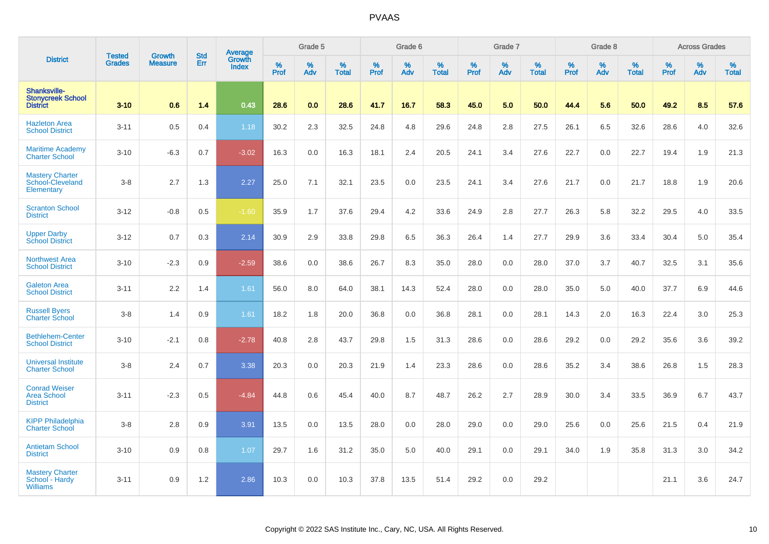|                                                               |                                |                                 | <b>Std</b> | Average                |              | Grade 5  |                   |           | Grade 6  |                   |           | Grade 7  |                   |           | Grade 8  |                   |           | <b>Across Grades</b> |                   |
|---------------------------------------------------------------|--------------------------------|---------------------------------|------------|------------------------|--------------|----------|-------------------|-----------|----------|-------------------|-----------|----------|-------------------|-----------|----------|-------------------|-----------|----------------------|-------------------|
| <b>District</b>                                               | <b>Tested</b><br><b>Grades</b> | <b>Growth</b><br><b>Measure</b> | Err        | Growth<br><b>Index</b> | $\%$<br>Prof | %<br>Adv | %<br><b>Total</b> | %<br>Prof | %<br>Adv | %<br><b>Total</b> | %<br>Prof | %<br>Adv | %<br><b>Total</b> | %<br>Prof | %<br>Adv | %<br><b>Total</b> | %<br>Prof | %<br>Adv             | %<br><b>Total</b> |
| Shanksville-<br><b>Stonycreek School</b><br><b>District</b>   | $3 - 10$                       | 0.6                             | 1.4        | 0.43                   | 28.6         | 0.0      | 28.6              | 41.7      | 16.7     | 58.3              | 45.0      | 5.0      | 50.0              | 44.4      | 5.6      | 50.0              | 49.2      | 8.5                  | 57.6              |
| <b>Hazleton Area</b><br><b>School District</b>                | $3 - 11$                       | 0.5                             | 0.4        | 1.18                   | 30.2         | 2.3      | 32.5              | 24.8      | 4.8      | 29.6              | 24.8      | 2.8      | 27.5              | 26.1      | 6.5      | 32.6              | 28.6      | 4.0                  | 32.6              |
| <b>Maritime Academy</b><br><b>Charter School</b>              | $3 - 10$                       | $-6.3$                          | 0.7        | $-3.02$                | 16.3         | 0.0      | 16.3              | 18.1      | 2.4      | 20.5              | 24.1      | 3.4      | 27.6              | 22.7      | 0.0      | 22.7              | 19.4      | 1.9                  | 21.3              |
| <b>Mastery Charter</b><br>School-Cleveland<br>Elementary      | $3-8$                          | 2.7                             | 1.3        | 2.27                   | 25.0         | 7.1      | 32.1              | 23.5      | 0.0      | 23.5              | 24.1      | 3.4      | 27.6              | 21.7      | 0.0      | 21.7              | 18.8      | 1.9                  | 20.6              |
| <b>Scranton School</b><br><b>District</b>                     | $3 - 12$                       | $-0.8$                          | 0.5        | $-1.60$                | 35.9         | 1.7      | 37.6              | 29.4      | 4.2      | 33.6              | 24.9      | 2.8      | 27.7              | 26.3      | 5.8      | 32.2              | 29.5      | 4.0                  | 33.5              |
| <b>Upper Darby</b><br><b>School District</b>                  | $3 - 12$                       | 0.7                             | 0.3        | 2.14                   | 30.9         | 2.9      | 33.8              | 29.8      | 6.5      | 36.3              | 26.4      | 1.4      | 27.7              | 29.9      | 3.6      | 33.4              | 30.4      | 5.0                  | 35.4              |
| <b>Northwest Area</b><br><b>School District</b>               | $3 - 10$                       | $-2.3$                          | 0.9        | $-2.59$                | 38.6         | 0.0      | 38.6              | 26.7      | 8.3      | 35.0              | 28.0      | 0.0      | 28.0              | 37.0      | 3.7      | 40.7              | 32.5      | 3.1                  | 35.6              |
| <b>Galeton Area</b><br><b>School District</b>                 | $3 - 11$                       | 2.2                             | 1.4        | 1.61                   | 56.0         | 8.0      | 64.0              | 38.1      | 14.3     | 52.4              | 28.0      | 0.0      | 28.0              | 35.0      | 5.0      | 40.0              | 37.7      | 6.9                  | 44.6              |
| <b>Russell Byers</b><br><b>Charter School</b>                 | $3-8$                          | 1.4                             | 0.9        | 1.61                   | 18.2         | 1.8      | 20.0              | 36.8      | 0.0      | 36.8              | 28.1      | 0.0      | 28.1              | 14.3      | 2.0      | 16.3              | 22.4      | 3.0                  | 25.3              |
| <b>Bethlehem-Center</b><br><b>School District</b>             | $3 - 10$                       | $-2.1$                          | 0.8        | $-2.78$                | 40.8         | 2.8      | 43.7              | 29.8      | 1.5      | 31.3              | 28.6      | 0.0      | 28.6              | 29.2      | 0.0      | 29.2              | 35.6      | 3.6                  | 39.2              |
| <b>Universal Institute</b><br><b>Charter School</b>           | $3-8$                          | 2.4                             | 0.7        | 3.38                   | 20.3         | 0.0      | 20.3              | 21.9      | 1.4      | 23.3              | 28.6      | 0.0      | 28.6              | 35.2      | 3.4      | 38.6              | 26.8      | 1.5                  | 28.3              |
| <b>Conrad Weiser</b><br><b>Area School</b><br><b>District</b> | $3 - 11$                       | $-2.3$                          | 0.5        | $-4.84$                | 44.8         | 0.6      | 45.4              | 40.0      | 8.7      | 48.7              | 26.2      | 2.7      | 28.9              | 30.0      | 3.4      | 33.5              | 36.9      | 6.7                  | 43.7              |
| <b>KIPP Philadelphia</b><br><b>Charter School</b>             | $3-8$                          | 2.8                             | 0.9        | 3.91                   | 13.5         | 0.0      | 13.5              | 28.0      | 0.0      | 28.0              | 29.0      | 0.0      | 29.0              | 25.6      | 0.0      | 25.6              | 21.5      | 0.4                  | 21.9              |
| <b>Antietam School</b><br><b>District</b>                     | $3 - 10$                       | 0.9                             | 0.8        | 1.07                   | 29.7         | 1.6      | 31.2              | 35.0      | 5.0      | 40.0              | 29.1      | 0.0      | 29.1              | 34.0      | 1.9      | 35.8              | 31.3      | 3.0                  | 34.2              |
| <b>Mastery Charter</b><br>School - Hardy<br><b>Williams</b>   | $3 - 11$                       | 0.9                             | 1.2        | 2.86                   | 10.3         | 0.0      | 10.3              | 37.8      | 13.5     | 51.4              | 29.2      | 0.0      | 29.2              |           |          |                   | 21.1      | 3.6                  | 24.7              |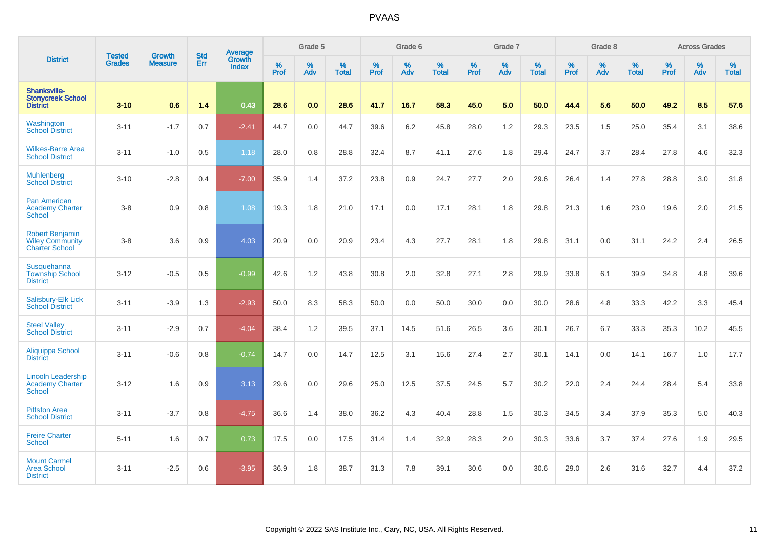|                                                                           |                                |                                 |                   | Average                |           | Grade 5  |                   |           | Grade 6  |                   |           | Grade 7  |                   |           | Grade 8  |                   |           | <b>Across Grades</b> |                   |
|---------------------------------------------------------------------------|--------------------------------|---------------------------------|-------------------|------------------------|-----------|----------|-------------------|-----------|----------|-------------------|-----------|----------|-------------------|-----------|----------|-------------------|-----------|----------------------|-------------------|
| <b>District</b>                                                           | <b>Tested</b><br><b>Grades</b> | <b>Growth</b><br><b>Measure</b> | <b>Std</b><br>Err | Growth<br><b>Index</b> | %<br>Prof | %<br>Adv | %<br><b>Total</b> | %<br>Prof | %<br>Adv | %<br><b>Total</b> | %<br>Prof | %<br>Adv | %<br><b>Total</b> | %<br>Prof | %<br>Adv | %<br><b>Total</b> | %<br>Prof | %<br>Adv             | %<br><b>Total</b> |
| Shanksville-<br><b>Stonycreek School</b><br><b>District</b>               | $3 - 10$                       | 0.6                             | 1.4               | 0.43                   | 28.6      | 0.0      | 28.6              | 41.7      | 16.7     | 58.3              | 45.0      | 5.0      | 50.0              | 44.4      | 5.6      | 50.0              | 49.2      | 8.5                  | 57.6              |
| Washington<br><b>School District</b>                                      | $3 - 11$                       | $-1.7$                          | 0.7               | $-2.41$                | 44.7      | 0.0      | 44.7              | 39.6      | 6.2      | 45.8              | 28.0      | 1.2      | 29.3              | 23.5      | 1.5      | 25.0              | 35.4      | 3.1                  | 38.6              |
| <b>Wilkes-Barre Area</b><br><b>School District</b>                        | $3 - 11$                       | $-1.0$                          | 0.5               | 1.18                   | 28.0      | 0.8      | 28.8              | 32.4      | 8.7      | 41.1              | 27.6      | 1.8      | 29.4              | 24.7      | 3.7      | 28.4              | 27.8      | 4.6                  | 32.3              |
| <b>Muhlenberg</b><br><b>School District</b>                               | $3 - 10$                       | $-2.8$                          | 0.4               | $-7.00$                | 35.9      | 1.4      | 37.2              | 23.8      | 0.9      | 24.7              | 27.7      | 2.0      | 29.6              | 26.4      | 1.4      | 27.8              | 28.8      | 3.0                  | 31.8              |
| <b>Pan American</b><br><b>Academy Charter</b><br><b>School</b>            | $3-8$                          | 0.9                             | 0.8               | 1.08                   | 19.3      | 1.8      | 21.0              | 17.1      | 0.0      | 17.1              | 28.1      | 1.8      | 29.8              | 21.3      | 1.6      | 23.0              | 19.6      | 2.0                  | 21.5              |
| <b>Robert Benjamin</b><br><b>Wiley Community</b><br><b>Charter School</b> | $3-8$                          | 3.6                             | 0.9               | 4.03                   | 20.9      | 0.0      | 20.9              | 23.4      | 4.3      | 27.7              | 28.1      | 1.8      | 29.8              | 31.1      | 0.0      | 31.1              | 24.2      | 2.4                  | 26.5              |
| Susquehanna<br><b>Township School</b><br><b>District</b>                  | $3 - 12$                       | $-0.5$                          | 0.5               | $-0.99$                | 42.6      | 1.2      | 43.8              | 30.8      | 2.0      | 32.8              | 27.1      | 2.8      | 29.9              | 33.8      | 6.1      | 39.9              | 34.8      | 4.8                  | 39.6              |
| Salisbury-Elk Lick<br><b>School District</b>                              | $3 - 11$                       | $-3.9$                          | 1.3               | $-2.93$                | 50.0      | 8.3      | 58.3              | 50.0      | 0.0      | 50.0              | 30.0      | 0.0      | 30.0              | 28.6      | 4.8      | 33.3              | 42.2      | 3.3                  | 45.4              |
| <b>Steel Valley</b><br><b>School District</b>                             | $3 - 11$                       | $-2.9$                          | 0.7               | $-4.04$                | 38.4      | 1.2      | 39.5              | 37.1      | 14.5     | 51.6              | 26.5      | 3.6      | 30.1              | 26.7      | 6.7      | 33.3              | 35.3      | 10.2                 | 45.5              |
| Aliquippa School<br><b>District</b>                                       | $3 - 11$                       | $-0.6$                          | 0.8               | $-0.74$                | 14.7      | 0.0      | 14.7              | 12.5      | 3.1      | 15.6              | 27.4      | 2.7      | 30.1              | 14.1      | 0.0      | 14.1              | 16.7      | 1.0                  | 17.7              |
| <b>Lincoln Leadership</b><br><b>Academy Charter</b><br><b>School</b>      | $3 - 12$                       | 1.6                             | 0.9               | 3.13                   | 29.6      | 0.0      | 29.6              | 25.0      | 12.5     | 37.5              | 24.5      | 5.7      | 30.2              | 22.0      | 2.4      | 24.4              | 28.4      | 5.4                  | 33.8              |
| <b>Pittston Area</b><br><b>School District</b>                            | $3 - 11$                       | $-3.7$                          | 0.8               | $-4.75$                | 36.6      | 1.4      | 38.0              | 36.2      | 4.3      | 40.4              | 28.8      | 1.5      | 30.3              | 34.5      | 3.4      | 37.9              | 35.3      | 5.0                  | 40.3              |
| <b>Freire Charter</b><br><b>School</b>                                    | $5 - 11$                       | 1.6                             | 0.7               | 0.73                   | 17.5      | 0.0      | 17.5              | 31.4      | 1.4      | 32.9              | 28.3      | 2.0      | 30.3              | 33.6      | 3.7      | 37.4              | 27.6      | 1.9                  | 29.5              |
| <b>Mount Carmel</b><br><b>Area School</b><br><b>District</b>              | $3 - 11$                       | $-2.5$                          | 0.6               | $-3.95$                | 36.9      | 1.8      | 38.7              | 31.3      | 7.8      | 39.1              | 30.6      | 0.0      | 30.6              | 29.0      | 2.6      | 31.6              | 32.7      | 4.4                  | 37.2              |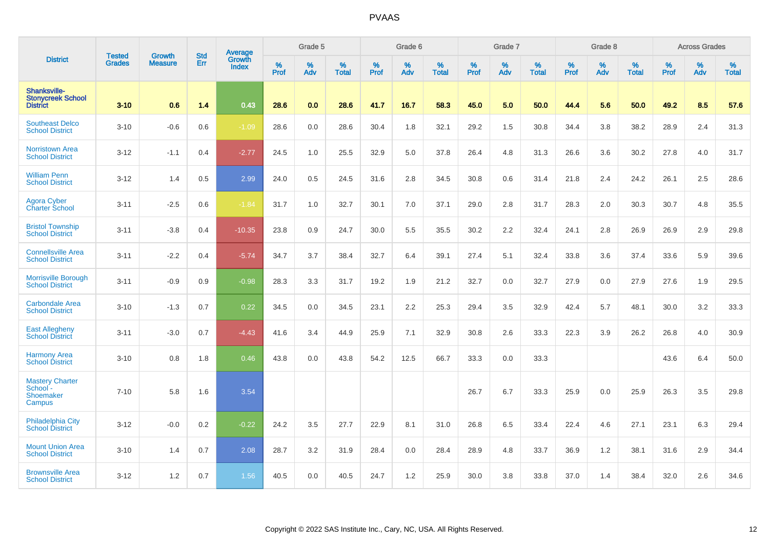|                                                             | <b>Tested</b> | <b>Growth</b>  | <b>Std</b> | <b>Average</b>         |              | Grade 5  |                   |           | Grade 6  |                   |           | Grade 7  |                   |           | Grade 8  |                   |           | <b>Across Grades</b> |                   |
|-------------------------------------------------------------|---------------|----------------|------------|------------------------|--------------|----------|-------------------|-----------|----------|-------------------|-----------|----------|-------------------|-----------|----------|-------------------|-----------|----------------------|-------------------|
| <b>District</b>                                             | <b>Grades</b> | <b>Measure</b> | Err        | Growth<br><b>Index</b> | $\%$<br>Prof | %<br>Adv | %<br><b>Total</b> | %<br>Prof | %<br>Adv | %<br><b>Total</b> | %<br>Prof | %<br>Adv | %<br><b>Total</b> | %<br>Prof | %<br>Adv | %<br><b>Total</b> | %<br>Prof | %<br>Adv             | %<br><b>Total</b> |
| Shanksville-<br><b>Stonycreek School</b><br><b>District</b> | $3 - 10$      | 0.6            | 1.4        | 0.43                   | 28.6         | 0.0      | 28.6              | 41.7      | 16.7     | 58.3              | 45.0      | 5.0      | 50.0              | 44.4      | 5.6      | 50.0              | 49.2      | 8.5                  | 57.6              |
| <b>Southeast Delco</b><br><b>School District</b>            | $3 - 10$      | $-0.6$         | 0.6        | $-1.09$                | 28.6         | 0.0      | 28.6              | 30.4      | 1.8      | 32.1              | 29.2      | 1.5      | 30.8              | 34.4      | 3.8      | 38.2              | 28.9      | 2.4                  | 31.3              |
| <b>Norristown Area</b><br><b>School District</b>            | $3 - 12$      | $-1.1$         | 0.4        | $-2.77$                | 24.5         | 1.0      | 25.5              | 32.9      | 5.0      | 37.8              | 26.4      | 4.8      | 31.3              | 26.6      | 3.6      | 30.2              | 27.8      | 4.0                  | 31.7              |
| <b>William Penn</b><br><b>School District</b>               | $3 - 12$      | 1.4            | 0.5        | 2.99                   | 24.0         | 0.5      | 24.5              | 31.6      | 2.8      | 34.5              | 30.8      | 0.6      | 31.4              | 21.8      | 2.4      | 24.2              | 26.1      | 2.5                  | 28.6              |
| <b>Agora Cyber</b><br><b>Charter School</b>                 | $3 - 11$      | $-2.5$         | 0.6        | $-1.84$                | 31.7         | 1.0      | 32.7              | 30.1      | 7.0      | 37.1              | 29.0      | 2.8      | 31.7              | 28.3      | 2.0      | 30.3              | 30.7      | 4.8                  | 35.5              |
| <b>Bristol Township</b><br><b>School District</b>           | $3 - 11$      | $-3.8$         | 0.4        | $-10.35$               | 23.8         | 0.9      | 24.7              | 30.0      | 5.5      | 35.5              | 30.2      | 2.2      | 32.4              | 24.1      | 2.8      | 26.9              | 26.9      | 2.9                  | 29.8              |
| <b>Connellsville Area</b><br><b>School District</b>         | $3 - 11$      | $-2.2$         | 0.4        | $-5.74$                | 34.7         | 3.7      | 38.4              | 32.7      | 6.4      | 39.1              | 27.4      | 5.1      | 32.4              | 33.8      | 3.6      | 37.4              | 33.6      | 5.9                  | 39.6              |
| <b>Morrisville Borough</b><br><b>School District</b>        | $3 - 11$      | $-0.9$         | 0.9        | $-0.98$                | 28.3         | 3.3      | 31.7              | 19.2      | 1.9      | 21.2              | 32.7      | 0.0      | 32.7              | 27.9      | 0.0      | 27.9              | 27.6      | 1.9                  | 29.5              |
| <b>Carbondale Area</b><br><b>School District</b>            | $3 - 10$      | $-1.3$         | 0.7        | 0.22                   | 34.5         | 0.0      | 34.5              | 23.1      | 2.2      | 25.3              | 29.4      | 3.5      | 32.9              | 42.4      | 5.7      | 48.1              | 30.0      | 3.2                  | 33.3              |
| East Allegheny<br>School District                           | $3 - 11$      | $-3.0$         | 0.7        | $-4.43$                | 41.6         | 3.4      | 44.9              | 25.9      | 7.1      | 32.9              | 30.8      | 2.6      | 33.3              | 22.3      | 3.9      | 26.2              | 26.8      | 4.0                  | 30.9              |
| <b>Harmony Area</b><br><b>School District</b>               | $3 - 10$      | 0.8            | 1.8        | 0.46                   | 43.8         | 0.0      | 43.8              | 54.2      | 12.5     | 66.7              | 33.3      | 0.0      | 33.3              |           |          |                   | 43.6      | 6.4                  | 50.0              |
| <b>Mastery Charter</b><br>School -<br>Shoemaker<br>Campus   | $7 - 10$      | 5.8            | 1.6        | 3.54                   |              |          |                   |           |          |                   | 26.7      | 6.7      | 33.3              | 25.9      | 0.0      | 25.9              | 26.3      | 3.5                  | 29.8              |
| <b>Philadelphia City</b><br><b>School District</b>          | $3 - 12$      | $-0.0$         | 0.2        | $-0.22$                | 24.2         | 3.5      | 27.7              | 22.9      | 8.1      | 31.0              | 26.8      | 6.5      | 33.4              | 22.4      | 4.6      | 27.1              | 23.1      | 6.3                  | 29.4              |
| <b>Mount Union Area</b><br><b>School District</b>           | $3 - 10$      | 1.4            | 0.7        | 2.08                   | 28.7         | 3.2      | 31.9              | 28.4      | 0.0      | 28.4              | 28.9      | 4.8      | 33.7              | 36.9      | 1.2      | 38.1              | 31.6      | 2.9                  | 34.4              |
| <b>Brownsville Area</b><br><b>School District</b>           | $3 - 12$      | 1.2            | 0.7        | 1.56                   | 40.5         | 0.0      | 40.5              | 24.7      | 1.2      | 25.9              | 30.0      | 3.8      | 33.8              | 37.0      | 1.4      | 38.4              | 32.0      | 2.6                  | 34.6              |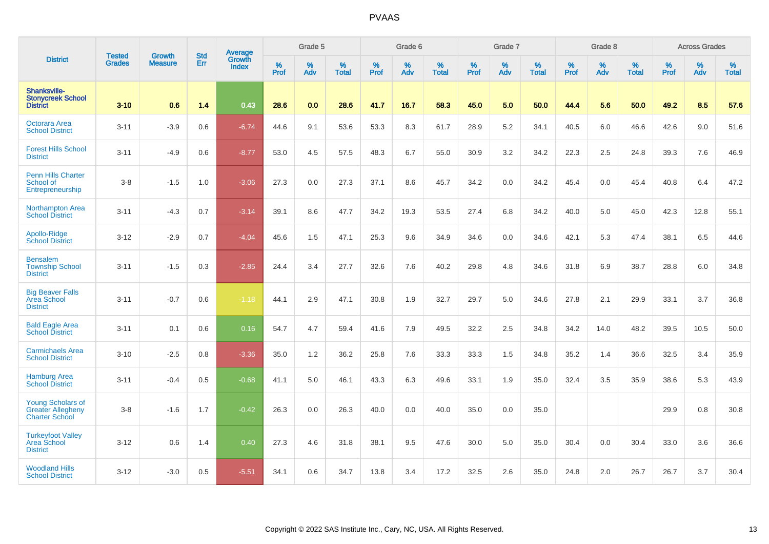|                                                                               |                                |                          | <b>Std</b> | <b>Average</b>         |           | Grade 5  |                   |           | Grade 6  |                   |           | Grade 7  |                   |           | Grade 8  |                   |           | <b>Across Grades</b> |                   |
|-------------------------------------------------------------------------------|--------------------------------|--------------------------|------------|------------------------|-----------|----------|-------------------|-----------|----------|-------------------|-----------|----------|-------------------|-----------|----------|-------------------|-----------|----------------------|-------------------|
| <b>District</b>                                                               | <b>Tested</b><br><b>Grades</b> | Growth<br><b>Measure</b> | Err        | Growth<br><b>Index</b> | %<br>Prof | %<br>Adv | %<br><b>Total</b> | %<br>Prof | %<br>Adv | %<br><b>Total</b> | %<br>Prof | %<br>Adv | %<br><b>Total</b> | %<br>Prof | %<br>Adv | %<br><b>Total</b> | %<br>Prof | %<br>Adv             | %<br><b>Total</b> |
| <b>Shanksville-</b><br><b>Stonycreek School</b><br><b>District</b>            | $3 - 10$                       | 0.6                      | 1.4        | 0.43                   | 28.6      | 0.0      | 28.6              | 41.7      | 16.7     | 58.3              | 45.0      | 5.0      | 50.0              | 44.4      | 5.6      | 50.0              | 49.2      | 8.5                  | 57.6              |
| Octorara Area<br><b>School District</b>                                       | $3 - 11$                       | $-3.9$                   | 0.6        | $-6.74$                | 44.6      | 9.1      | 53.6              | 53.3      | 8.3      | 61.7              | 28.9      | 5.2      | 34.1              | 40.5      | 6.0      | 46.6              | 42.6      | 9.0                  | 51.6              |
| <b>Forest Hills School</b><br><b>District</b>                                 | $3 - 11$                       | $-4.9$                   | 0.6        | $-8.77$                | 53.0      | 4.5      | 57.5              | 48.3      | 6.7      | 55.0              | 30.9      | 3.2      | 34.2              | 22.3      | 2.5      | 24.8              | 39.3      | 7.6                  | 46.9              |
| <b>Penn Hills Charter</b><br>School of<br>Entrepreneurship                    | $3-8$                          | $-1.5$                   | 1.0        | $-3.06$                | 27.3      | 0.0      | 27.3              | 37.1      | 8.6      | 45.7              | 34.2      | 0.0      | 34.2              | 45.4      | 0.0      | 45.4              | 40.8      | 6.4                  | 47.2              |
| <b>Northampton Area</b><br><b>School District</b>                             | $3 - 11$                       | $-4.3$                   | 0.7        | $-3.14$                | 39.1      | 8.6      | 47.7              | 34.2      | 19.3     | 53.5              | 27.4      | 6.8      | 34.2              | 40.0      | 5.0      | 45.0              | 42.3      | 12.8                 | 55.1              |
| Apollo-Ridge<br><b>School District</b>                                        | $3 - 12$                       | $-2.9$                   | 0.7        | $-4.04$                | 45.6      | 1.5      | 47.1              | 25.3      | 9.6      | 34.9              | 34.6      | 0.0      | 34.6              | 42.1      | 5.3      | 47.4              | 38.1      | 6.5                  | 44.6              |
| <b>Bensalem</b><br><b>Township School</b><br><b>District</b>                  | $3 - 11$                       | $-1.5$                   | 0.3        | $-2.85$                | 24.4      | 3.4      | 27.7              | 32.6      | 7.6      | 40.2              | 29.8      | 4.8      | 34.6              | 31.8      | 6.9      | 38.7              | 28.8      | 6.0                  | 34.8              |
| <b>Big Beaver Falls</b><br><b>Area School</b><br><b>District</b>              | $3 - 11$                       | $-0.7$                   | 0.6        | $-1.18$                | 44.1      | 2.9      | 47.1              | 30.8      | 1.9      | 32.7              | 29.7      | 5.0      | 34.6              | 27.8      | 2.1      | 29.9              | 33.1      | 3.7                  | 36.8              |
| <b>Bald Eagle Area</b><br><b>School District</b>                              | $3 - 11$                       | 0.1                      | 0.6        | 0.16                   | 54.7      | 4.7      | 59.4              | 41.6      | 7.9      | 49.5              | 32.2      | 2.5      | 34.8              | 34.2      | 14.0     | 48.2              | 39.5      | 10.5                 | 50.0              |
| <b>Carmichaels Area</b><br><b>School District</b>                             | $3 - 10$                       | $-2.5$                   | 0.8        | $-3.36$                | 35.0      | 1.2      | 36.2              | 25.8      | 7.6      | 33.3              | 33.3      | 1.5      | 34.8              | 35.2      | 1.4      | 36.6              | 32.5      | 3.4                  | 35.9              |
| <b>Hamburg Area</b><br><b>School District</b>                                 | $3 - 11$                       | $-0.4$                   | 0.5        | $-0.68$                | 41.1      | 5.0      | 46.1              | 43.3      | 6.3      | 49.6              | 33.1      | 1.9      | 35.0              | 32.4      | 3.5      | 35.9              | 38.6      | 5.3                  | 43.9              |
| <b>Young Scholars of</b><br><b>Greater Allegheny</b><br><b>Charter School</b> | $3-8$                          | $-1.6$                   | 1.7        | $-0.42$                | 26.3      | 0.0      | 26.3              | 40.0      | 0.0      | 40.0              | 35.0      | 0.0      | 35.0              |           |          |                   | 29.9      | 0.8                  | 30.8              |
| <b>Turkeyfoot Valley</b><br>Area School<br><b>District</b>                    | $3 - 12$                       | 0.6                      | 1.4        | 0.40                   | 27.3      | 4.6      | 31.8              | 38.1      | 9.5      | 47.6              | 30.0      | 5.0      | 35.0              | 30.4      | 0.0      | 30.4              | 33.0      | 3.6                  | 36.6              |
| <b>Woodland Hills</b><br><b>School District</b>                               | $3 - 12$                       | $-3.0$                   | 0.5        | $-5.51$                | 34.1      | 0.6      | 34.7              | 13.8      | 3.4      | 17.2              | 32.5      | 2.6      | 35.0              | 24.8      | 2.0      | 26.7              | 26.7      | 3.7                  | 30.4              |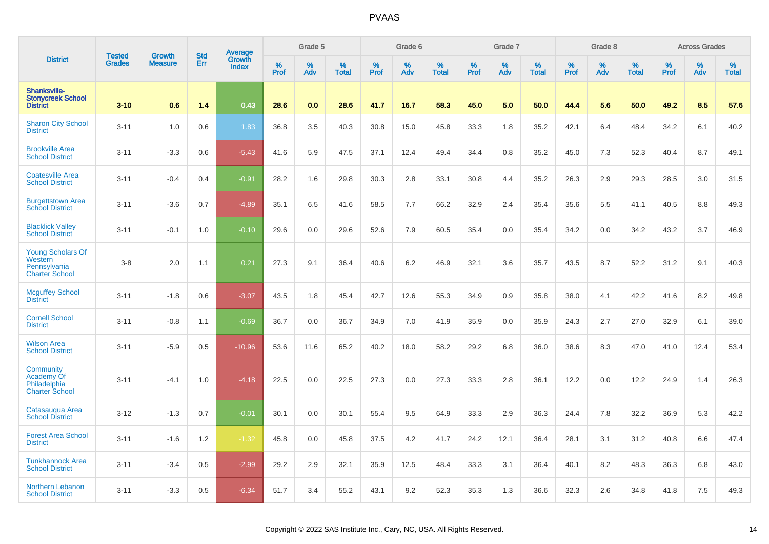|                                                                              |                                | <b>Growth</b>  | <b>Std</b> | <b>Average</b><br>Growth |              | Grade 5  |                   |           | Grade 6  |                   |           | Grade 7  |                   |           | Grade 8  |                   |           | <b>Across Grades</b> |                   |
|------------------------------------------------------------------------------|--------------------------------|----------------|------------|--------------------------|--------------|----------|-------------------|-----------|----------|-------------------|-----------|----------|-------------------|-----------|----------|-------------------|-----------|----------------------|-------------------|
| <b>District</b>                                                              | <b>Tested</b><br><b>Grades</b> | <b>Measure</b> | Err        | <b>Index</b>             | $\%$<br>Prof | %<br>Adv | %<br><b>Total</b> | %<br>Prof | %<br>Adv | %<br><b>Total</b> | %<br>Prof | %<br>Adv | %<br><b>Total</b> | %<br>Prof | %<br>Adv | %<br><b>Total</b> | %<br>Prof | %<br>Adv             | %<br><b>Total</b> |
| Shanksville-<br><b>Stonycreek School</b><br><b>District</b>                  | $3 - 10$                       | 0.6            | 1.4        | 0.43                     | 28.6         | 0.0      | 28.6              | 41.7      | 16.7     | 58.3              | 45.0      | 5.0      | 50.0              | 44.4      | 5.6      | 50.0              | 49.2      | 8.5                  | 57.6              |
| <b>Sharon City School</b><br><b>District</b>                                 | $3 - 11$                       | 1.0            | 0.6        | 1.83                     | 36.8         | 3.5      | 40.3              | 30.8      | 15.0     | 45.8              | 33.3      | 1.8      | 35.2              | 42.1      | 6.4      | 48.4              | 34.2      | 6.1                  | 40.2              |
| <b>Brookville Area</b><br><b>School District</b>                             | $3 - 11$                       | $-3.3$         | 0.6        | $-5.43$                  | 41.6         | 5.9      | 47.5              | 37.1      | 12.4     | 49.4              | 34.4      | 0.8      | 35.2              | 45.0      | 7.3      | 52.3              | 40.4      | 8.7                  | 49.1              |
| <b>Coatesville Area</b><br><b>School District</b>                            | $3 - 11$                       | $-0.4$         | 0.4        | $-0.91$                  | 28.2         | 1.6      | 29.8              | 30.3      | 2.8      | 33.1              | 30.8      | 4.4      | 35.2              | 26.3      | 2.9      | 29.3              | 28.5      | 3.0                  | 31.5              |
| <b>Burgettstown Area</b><br><b>School District</b>                           | $3 - 11$                       | $-3.6$         | 0.7        | $-4.89$                  | 35.1         | 6.5      | 41.6              | 58.5      | 7.7      | 66.2              | 32.9      | 2.4      | 35.4              | 35.6      | 5.5      | 41.1              | 40.5      | 8.8                  | 49.3              |
| <b>Blacklick Valley</b><br><b>School District</b>                            | $3 - 11$                       | $-0.1$         | 1.0        | $-0.10$                  | 29.6         | 0.0      | 29.6              | 52.6      | 7.9      | 60.5              | 35.4      | 0.0      | 35.4              | 34.2      | 0.0      | 34.2              | 43.2      | 3.7                  | 46.9              |
| <b>Young Scholars Of</b><br>Western<br>Pennsylvania<br><b>Charter School</b> | $3-8$                          | 2.0            | 1.1        | 0.21                     | 27.3         | 9.1      | 36.4              | 40.6      | 6.2      | 46.9              | 32.1      | 3.6      | 35.7              | 43.5      | 8.7      | 52.2              | 31.2      | 9.1                  | 40.3              |
| <b>Mcguffey School</b><br><b>District</b>                                    | $3 - 11$                       | $-1.8$         | 0.6        | $-3.07$                  | 43.5         | 1.8      | 45.4              | 42.7      | 12.6     | 55.3              | 34.9      | 0.9      | 35.8              | 38.0      | 4.1      | 42.2              | 41.6      | 8.2                  | 49.8              |
| <b>Cornell School</b><br><b>District</b>                                     | $3 - 11$                       | $-0.8$         | 1.1        | $-0.69$                  | 36.7         | 0.0      | 36.7              | 34.9      | 7.0      | 41.9              | 35.9      | 0.0      | 35.9              | 24.3      | 2.7      | 27.0              | 32.9      | 6.1                  | 39.0              |
| <b>Wilson Area</b><br><b>School District</b>                                 | $3 - 11$                       | $-5.9$         | 0.5        | $-10.96$                 | 53.6         | 11.6     | 65.2              | 40.2      | 18.0     | 58.2              | 29.2      | 6.8      | 36.0              | 38.6      | 8.3      | 47.0              | 41.0      | 12.4                 | 53.4              |
| Community<br>Academy Of<br>Philadelphia<br><b>Charter School</b>             | $3 - 11$                       | $-4.1$         | 1.0        | $-4.18$                  | 22.5         | 0.0      | 22.5              | 27.3      | 0.0      | 27.3              | 33.3      | 2.8      | 36.1              | 12.2      | 0.0      | 12.2              | 24.9      | 1.4                  | 26.3              |
| Catasaugua Area<br><b>School District</b>                                    | $3 - 12$                       | $-1.3$         | 0.7        | $-0.01$                  | 30.1         | 0.0      | 30.1              | 55.4      | 9.5      | 64.9              | 33.3      | 2.9      | 36.3              | 24.4      | 7.8      | 32.2              | 36.9      | 5.3                  | 42.2              |
| <b>Forest Area School</b><br><b>District</b>                                 | $3 - 11$                       | $-1.6$         | 1.2        | $-1.32$                  | 45.8         | 0.0      | 45.8              | 37.5      | 4.2      | 41.7              | 24.2      | 12.1     | 36.4              | 28.1      | 3.1      | 31.2              | 40.8      | 6.6                  | 47.4              |
| <b>Tunkhannock Area</b><br><b>School District</b>                            | $3 - 11$                       | $-3.4$         | 0.5        | $-2.99$                  | 29.2         | 2.9      | 32.1              | 35.9      | 12.5     | 48.4              | 33.3      | 3.1      | 36.4              | 40.1      | 8.2      | 48.3              | 36.3      | 6.8                  | 43.0              |
| Northern Lebanon<br><b>School District</b>                                   | $3 - 11$                       | $-3.3$         | 0.5        | $-6.34$                  | 51.7         | 3.4      | 55.2              | 43.1      | 9.2      | 52.3              | 35.3      | 1.3      | 36.6              | 32.3      | 2.6      | 34.8              | 41.8      | 7.5                  | 49.3              |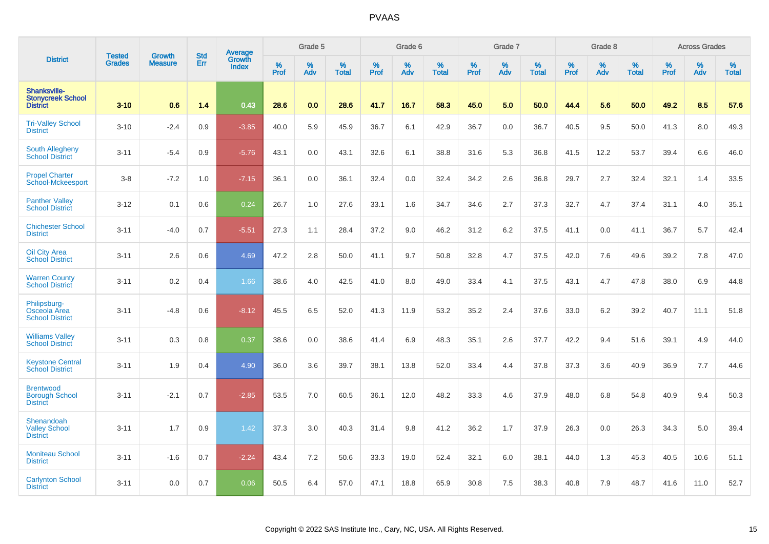|                                                              |                                | <b>Growth</b>  | <b>Std</b> | Average                |              | Grade 5  |                   |              | Grade 6  |                   |              | Grade 7  |                   |           | Grade 8  |                   |           | <b>Across Grades</b> |                   |
|--------------------------------------------------------------|--------------------------------|----------------|------------|------------------------|--------------|----------|-------------------|--------------|----------|-------------------|--------------|----------|-------------------|-----------|----------|-------------------|-----------|----------------------|-------------------|
| <b>District</b>                                              | <b>Tested</b><br><b>Grades</b> | <b>Measure</b> | Err        | Growth<br><b>Index</b> | $\%$<br>Prof | %<br>Adv | %<br><b>Total</b> | $\%$<br>Prof | %<br>Adv | %<br><b>Total</b> | $\%$<br>Prof | %<br>Adv | %<br><b>Total</b> | %<br>Prof | %<br>Adv | %<br><b>Total</b> | %<br>Prof | %<br>Adv             | %<br><b>Total</b> |
| Shanksville-<br><b>Stonycreek School</b><br><b>District</b>  | $3 - 10$                       | 0.6            | 1.4        | 0.43                   | 28.6         | 0.0      | 28.6              | 41.7         | 16.7     | 58.3              | 45.0         | 5.0      | 50.0              | 44.4      | 5.6      | 50.0              | 49.2      | 8.5                  | 57.6              |
| <b>Tri-Valley School</b><br><b>District</b>                  | $3 - 10$                       | $-2.4$         | 0.9        | $-3.85$                | 40.0         | 5.9      | 45.9              | 36.7         | 6.1      | 42.9              | 36.7         | 0.0      | 36.7              | 40.5      | 9.5      | 50.0              | 41.3      | 8.0                  | 49.3              |
| <b>South Allegheny</b><br><b>School District</b>             | $3 - 11$                       | $-5.4$         | 0.9        | $-5.76$                | 43.1         | 0.0      | 43.1              | 32.6         | 6.1      | 38.8              | 31.6         | 5.3      | 36.8              | 41.5      | 12.2     | 53.7              | 39.4      | 6.6                  | 46.0              |
| <b>Propel Charter</b><br>School-Mckeesport                   | $3-8$                          | $-7.2$         | 1.0        | $-7.15$                | 36.1         | 0.0      | 36.1              | 32.4         | 0.0      | 32.4              | 34.2         | 2.6      | 36.8              | 29.7      | 2.7      | 32.4              | 32.1      | 1.4                  | 33.5              |
| <b>Panther Valley</b><br><b>School District</b>              | $3 - 12$                       | 0.1            | 0.6        | 0.24                   | 26.7         | 1.0      | 27.6              | 33.1         | 1.6      | 34.7              | 34.6         | 2.7      | 37.3              | 32.7      | 4.7      | 37.4              | 31.1      | 4.0                  | 35.1              |
| <b>Chichester School</b><br><b>District</b>                  | $3 - 11$                       | $-4.0$         | 0.7        | $-5.51$                | 27.3         | 1.1      | 28.4              | 37.2         | 9.0      | 46.2              | 31.2         | 6.2      | 37.5              | 41.1      | 0.0      | 41.1              | 36.7      | 5.7                  | 42.4              |
| Oil City Area<br><b>School District</b>                      | $3 - 11$                       | 2.6            | 0.6        | 4.69                   | 47.2         | 2.8      | 50.0              | 41.1         | 9.7      | 50.8              | 32.8         | 4.7      | 37.5              | 42.0      | 7.6      | 49.6              | 39.2      | 7.8                  | 47.0              |
| <b>Warren County</b><br><b>School District</b>               | $3 - 11$                       | 0.2            | 0.4        | 1.66                   | 38.6         | 4.0      | 42.5              | 41.0         | 8.0      | 49.0              | 33.4         | 4.1      | 37.5              | 43.1      | 4.7      | 47.8              | 38.0      | 6.9                  | 44.8              |
| Philipsburg-<br>Osceola Area<br><b>School District</b>       | $3 - 11$                       | $-4.8$         | 0.6        | $-8.12$                | 45.5         | 6.5      | 52.0              | 41.3         | 11.9     | 53.2              | 35.2         | 2.4      | 37.6              | 33.0      | 6.2      | 39.2              | 40.7      | 11.1                 | 51.8              |
| <b>Williams Valley</b><br><b>School District</b>             | $3 - 11$                       | 0.3            | 0.8        | 0.37                   | 38.6         | 0.0      | 38.6              | 41.4         | 6.9      | 48.3              | 35.1         | 2.6      | 37.7              | 42.2      | 9.4      | 51.6              | 39.1      | 4.9                  | 44.0              |
| <b>Keystone Central</b><br><b>School District</b>            | $3 - 11$                       | 1.9            | 0.4        | 4.90                   | 36.0         | 3.6      | 39.7              | 38.1         | 13.8     | 52.0              | 33.4         | 4.4      | 37.8              | 37.3      | 3.6      | 40.9              | 36.9      | 7.7                  | 44.6              |
| <b>Brentwood</b><br><b>Borough School</b><br><b>District</b> | $3 - 11$                       | $-2.1$         | 0.7        | $-2.85$                | 53.5         | 7.0      | 60.5              | 36.1         | 12.0     | 48.2              | 33.3         | 4.6      | 37.9              | 48.0      | 6.8      | 54.8              | 40.9      | 9.4                  | 50.3              |
| Shenandoah<br><b>Valley School</b><br><b>District</b>        | $3 - 11$                       | 1.7            | 0.9        | 1.42                   | 37.3         | 3.0      | 40.3              | 31.4         | 9.8      | 41.2              | 36.2         | 1.7      | 37.9              | 26.3      | 0.0      | 26.3              | 34.3      | 5.0                  | 39.4              |
| <b>Moniteau School</b><br><b>District</b>                    | $3 - 11$                       | $-1.6$         | 0.7        | $-2.24$                | 43.4         | 7.2      | 50.6              | 33.3         | 19.0     | 52.4              | 32.1         | 6.0      | 38.1              | 44.0      | 1.3      | 45.3              | 40.5      | 10.6                 | 51.1              |
| <b>Carlynton School</b><br><b>District</b>                   | $3 - 11$                       | 0.0            | 0.7        | 0.06                   | 50.5         | 6.4      | 57.0              | 47.1         | 18.8     | 65.9              | 30.8         | 7.5      | 38.3              | 40.8      | 7.9      | 48.7              | 41.6      | 11.0                 | 52.7              |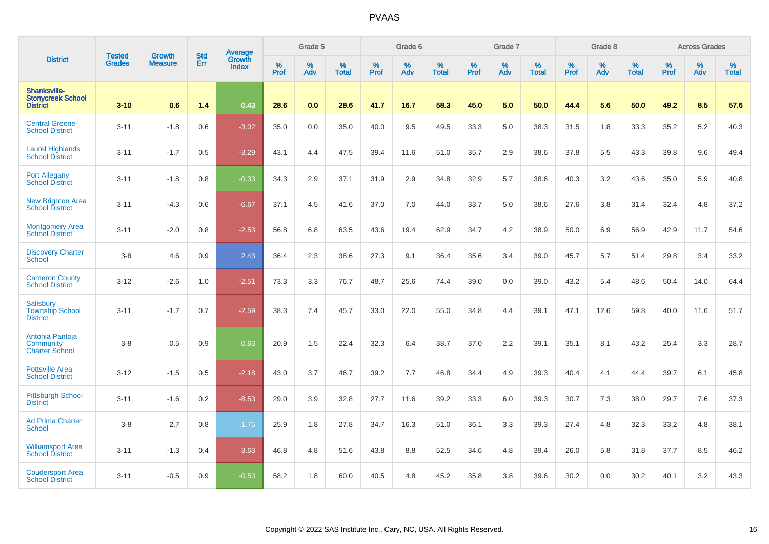|                                                                    | <b>Tested</b> | <b>Growth</b>  | <b>Std</b> | Average                       |              | Grade 5  |                   |           | Grade 6  |                   |           | Grade 7  |                   |           | Grade 8  |                   |           | <b>Across Grades</b> |                   |
|--------------------------------------------------------------------|---------------|----------------|------------|-------------------------------|--------------|----------|-------------------|-----------|----------|-------------------|-----------|----------|-------------------|-----------|----------|-------------------|-----------|----------------------|-------------------|
| <b>District</b>                                                    | <b>Grades</b> | <b>Measure</b> | Err        | <b>Growth</b><br><b>Index</b> | $\%$<br>Prof | %<br>Adv | %<br><b>Total</b> | %<br>Prof | %<br>Adv | %<br><b>Total</b> | %<br>Prof | %<br>Adv | %<br><b>Total</b> | %<br>Prof | %<br>Adv | %<br><b>Total</b> | %<br>Prof | %<br>Adv             | %<br><b>Total</b> |
| <b>Shanksville-</b><br><b>Stonycreek School</b><br><b>District</b> | $3 - 10$      | 0.6            | 1.4        | 0.43                          | 28.6         | 0.0      | 28.6              | 41.7      | 16.7     | 58.3              | 45.0      | 5.0      | 50.0              | 44.4      | 5.6      | 50.0              | 49.2      | 8.5                  | 57.6              |
| <b>Central Greene</b><br><b>School District</b>                    | $3 - 11$      | $-1.8$         | 0.6        | $-3.02$                       | 35.0         | 0.0      | 35.0              | 40.0      | 9.5      | 49.5              | 33.3      | 5.0      | 38.3              | 31.5      | 1.8      | 33.3              | 35.2      | $5.2\,$              | 40.3              |
| <b>Laurel Highlands</b><br><b>School District</b>                  | $3 - 11$      | $-1.7$         | 0.5        | $-3.29$                       | 43.1         | 4.4      | 47.5              | 39.4      | 11.6     | 51.0              | 35.7      | 2.9      | 38.6              | 37.8      | 5.5      | 43.3              | 39.8      | 9.6                  | 49.4              |
| <b>Port Allegany</b><br><b>School District</b>                     | $3 - 11$      | $-1.8$         | 0.8        | $-0.33$                       | 34.3         | 2.9      | 37.1              | 31.9      | 2.9      | 34.8              | 32.9      | 5.7      | 38.6              | 40.3      | 3.2      | 43.6              | 35.0      | 5.9                  | 40.8              |
| <b>New Brighton Area</b><br>School District                        | $3 - 11$      | $-4.3$         | 0.6        | $-6.67$                       | 37.1         | 4.5      | 41.6              | 37.0      | 7.0      | 44.0              | 33.7      | 5.0      | 38.6              | 27.6      | 3.8      | 31.4              | 32.4      | 4.8                  | 37.2              |
| Montgomery Area<br>School District                                 | $3 - 11$      | $-2.0$         | 0.8        | $-2.53$                       | 56.8         | 6.8      | 63.5              | 43.6      | 19.4     | 62.9              | 34.7      | 4.2      | 38.9              | 50.0      | 6.9      | 56.9              | 42.9      | 11.7                 | 54.6              |
| <b>Discovery Charter</b><br>School                                 | $3-8$         | 4.6            | 0.9        | 2.43                          | 36.4         | 2.3      | 38.6              | 27.3      | 9.1      | 36.4              | 35.6      | 3.4      | 39.0              | 45.7      | 5.7      | 51.4              | 29.8      | 3.4                  | 33.2              |
| <b>Cameron County</b><br><b>School District</b>                    | $3 - 12$      | $-2.6$         | 1.0        | $-2.51$                       | 73.3         | 3.3      | 76.7              | 48.7      | 25.6     | 74.4              | 39.0      | 0.0      | 39.0              | 43.2      | 5.4      | 48.6              | 50.4      | 14.0                 | 64.4              |
| Salisbury<br><b>Township School</b><br><b>District</b>             | $3 - 11$      | $-1.7$         | 0.7        | $-2.59$                       | 38.3         | 7.4      | 45.7              | 33.0      | 22.0     | 55.0              | 34.8      | 4.4      | 39.1              | 47.1      | 12.6     | 59.8              | 40.0      | 11.6                 | 51.7              |
| Antonia Pantoja<br>Community<br><b>Charter School</b>              | $3-8$         | 0.5            | 0.9        | 0.63                          | 20.9         | 1.5      | 22.4              | 32.3      | 6.4      | 38.7              | 37.0      | 2.2      | 39.1              | 35.1      | 8.1      | 43.2              | 25.4      | 3.3                  | 28.7              |
| <b>Pottsville Area</b><br><b>School District</b>                   | $3 - 12$      | $-1.5$         | 0.5        | $-2.18$                       | 43.0         | 3.7      | 46.7              | 39.2      | 7.7      | 46.8              | 34.4      | 4.9      | 39.3              | 40.4      | 4.1      | 44.4              | 39.7      | 6.1                  | 45.8              |
| <b>Pittsburgh School</b><br><b>District</b>                        | $3 - 11$      | $-1.6$         | 0.2        | $-8.53$                       | 29.0         | 3.9      | 32.8              | 27.7      | 11.6     | 39.2              | 33.3      | 6.0      | 39.3              | 30.7      | 7.3      | 38.0              | 29.7      | 7.6                  | 37.3              |
| <b>Ad Prima Charter</b><br><b>School</b>                           | $3-8$         | 2.7            | 0.8        | 1.75                          | 25.9         | 1.8      | 27.8              | 34.7      | 16.3     | 51.0              | 36.1      | 3.3      | 39.3              | 27.4      | 4.8      | 32.3              | 33.2      | 4.8                  | 38.1              |
| <b>Williamsport Area</b><br><b>School District</b>                 | $3 - 11$      | $-1.3$         | 0.4        | $-3.63$                       | 46.8         | 4.8      | 51.6              | 43.8      | 8.8      | 52.5              | 34.6      | 4.8      | 39.4              | 26.0      | 5.8      | 31.8              | 37.7      | 8.5                  | 46.2              |
| <b>Coudersport Area</b><br><b>School District</b>                  | $3 - 11$      | $-0.5$         | 0.9        | $-0.53$                       | 58.2         | 1.8      | 60.0              | 40.5      | 4.8      | 45.2              | 35.8      | 3.8      | 39.6              | 30.2      | 0.0      | 30.2              | 40.1      | 3.2                  | 43.3              |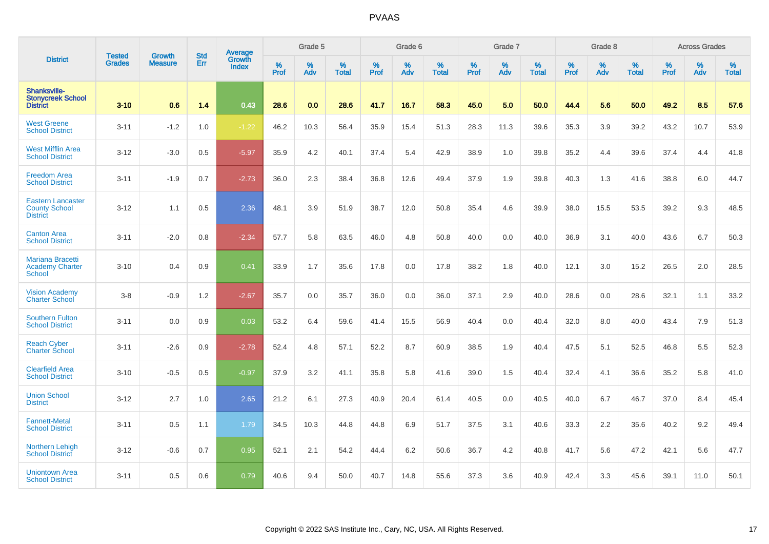|                                                                     | <b>Tested</b> | <b>Growth</b>  | <b>Std</b> | Average                |           | Grade 5  |                   |           | Grade 6  |                   |           | Grade 7  |                   |           | Grade 8  |                   |           | <b>Across Grades</b> |                   |
|---------------------------------------------------------------------|---------------|----------------|------------|------------------------|-----------|----------|-------------------|-----------|----------|-------------------|-----------|----------|-------------------|-----------|----------|-------------------|-----------|----------------------|-------------------|
| <b>District</b>                                                     | <b>Grades</b> | <b>Measure</b> | Err        | <b>Growth</b><br>Index | %<br>Prof | %<br>Adv | %<br><b>Total</b> | %<br>Prof | %<br>Adv | %<br><b>Total</b> | %<br>Prof | %<br>Adv | %<br><b>Total</b> | %<br>Prof | %<br>Adv | %<br><b>Total</b> | %<br>Prof | %<br>Adv             | %<br><b>Total</b> |
| <b>Shanksville-</b><br><b>Stonycreek School</b><br><b>District</b>  | $3 - 10$      | 0.6            | 1.4        | 0.43                   | 28.6      | 0.0      | 28.6              | 41.7      | 16.7     | 58.3              | 45.0      | 5.0      | 50.0              | 44.4      | 5.6      | 50.0              | 49.2      | 8.5                  | 57.6              |
| <b>West Greene</b><br><b>School District</b>                        | $3 - 11$      | $-1.2$         | 1.0        | $-1.22$                | 46.2      | 10.3     | 56.4              | 35.9      | 15.4     | 51.3              | 28.3      | 11.3     | 39.6              | 35.3      | 3.9      | 39.2              | 43.2      | 10.7                 | 53.9              |
| <b>West Mifflin Area</b><br><b>School District</b>                  | $3 - 12$      | $-3.0$         | 0.5        | $-5.97$                | 35.9      | 4.2      | 40.1              | 37.4      | 5.4      | 42.9              | 38.9      | 1.0      | 39.8              | 35.2      | 4.4      | 39.6              | 37.4      | 4.4                  | 41.8              |
| <b>Freedom Area</b><br><b>School District</b>                       | $3 - 11$      | $-1.9$         | 0.7        | $-2.73$                | 36.0      | 2.3      | 38.4              | 36.8      | 12.6     | 49.4              | 37.9      | 1.9      | 39.8              | 40.3      | 1.3      | 41.6              | 38.8      | 6.0                  | 44.7              |
| <b>Eastern Lancaster</b><br><b>County School</b><br><b>District</b> | $3 - 12$      | 1.1            | 0.5        | 2.36                   | 48.1      | 3.9      | 51.9              | 38.7      | 12.0     | 50.8              | 35.4      | 4.6      | 39.9              | 38.0      | 15.5     | 53.5              | 39.2      | 9.3                  | 48.5              |
| <b>Canton Area</b><br><b>School District</b>                        | $3 - 11$      | $-2.0$         | 0.8        | $-2.34$                | 57.7      | 5.8      | 63.5              | 46.0      | 4.8      | 50.8              | 40.0      | 0.0      | 40.0              | 36.9      | 3.1      | 40.0              | 43.6      | 6.7                  | 50.3              |
| <b>Mariana Bracetti</b><br><b>Academy Charter</b><br>School         | $3 - 10$      | 0.4            | 0.9        | 0.41                   | 33.9      | 1.7      | 35.6              | 17.8      | 0.0      | 17.8              | 38.2      | 1.8      | 40.0              | 12.1      | 3.0      | 15.2              | 26.5      | 2.0                  | 28.5              |
| <b>Vision Academy</b><br><b>Charter School</b>                      | $3 - 8$       | $-0.9$         | 1.2        | $-2.67$                | 35.7      | 0.0      | 35.7              | 36.0      | 0.0      | 36.0              | 37.1      | 2.9      | 40.0              | 28.6      | 0.0      | 28.6              | 32.1      | 1.1                  | 33.2              |
| <b>Southern Fulton</b><br><b>School District</b>                    | $3 - 11$      | 0.0            | 0.9        | 0.03                   | 53.2      | 6.4      | 59.6              | 41.4      | 15.5     | 56.9              | 40.4      | 0.0      | 40.4              | 32.0      | 8.0      | 40.0              | 43.4      | 7.9                  | 51.3              |
| <b>Reach Cyber</b><br><b>Charter School</b>                         | $3 - 11$      | $-2.6$         | 0.9        | $-2.78$                | 52.4      | 4.8      | 57.1              | 52.2      | 8.7      | 60.9              | 38.5      | 1.9      | 40.4              | 47.5      | 5.1      | 52.5              | 46.8      | 5.5                  | 52.3              |
| <b>Clearfield Area</b><br><b>School District</b>                    | $3 - 10$      | $-0.5$         | 0.5        | $-0.97$                | 37.9      | 3.2      | 41.1              | 35.8      | 5.8      | 41.6              | 39.0      | 1.5      | 40.4              | 32.4      | 4.1      | 36.6              | 35.2      | 5.8                  | 41.0              |
| <b>Union School</b><br><b>District</b>                              | $3 - 12$      | 2.7            | 1.0        | 2.65                   | 21.2      | 6.1      | 27.3              | 40.9      | 20.4     | 61.4              | 40.5      | 0.0      | 40.5              | 40.0      | 6.7      | 46.7              | 37.0      | 8.4                  | 45.4              |
| <b>Fannett-Metal</b><br><b>School District</b>                      | $3 - 11$      | 0.5            | 1.1        | 1.79                   | 34.5      | 10.3     | 44.8              | 44.8      | 6.9      | 51.7              | 37.5      | 3.1      | 40.6              | 33.3      | 2.2      | 35.6              | 40.2      | 9.2                  | 49.4              |
| Northern Lehigh<br><b>School District</b>                           | $3 - 12$      | $-0.6$         | 0.7        | 0.95                   | 52.1      | 2.1      | 54.2              | 44.4      | 6.2      | 50.6              | 36.7      | 4.2      | 40.8              | 41.7      | 5.6      | 47.2              | 42.1      | 5.6                  | 47.7              |
| <b>Uniontown Area</b><br><b>School District</b>                     | $3 - 11$      | 0.5            | 0.6        | 0.79                   | 40.6      | 9.4      | 50.0              | 40.7      | 14.8     | 55.6              | 37.3      | 3.6      | 40.9              | 42.4      | 3.3      | 45.6              | 39.1      | 11.0                 | 50.1              |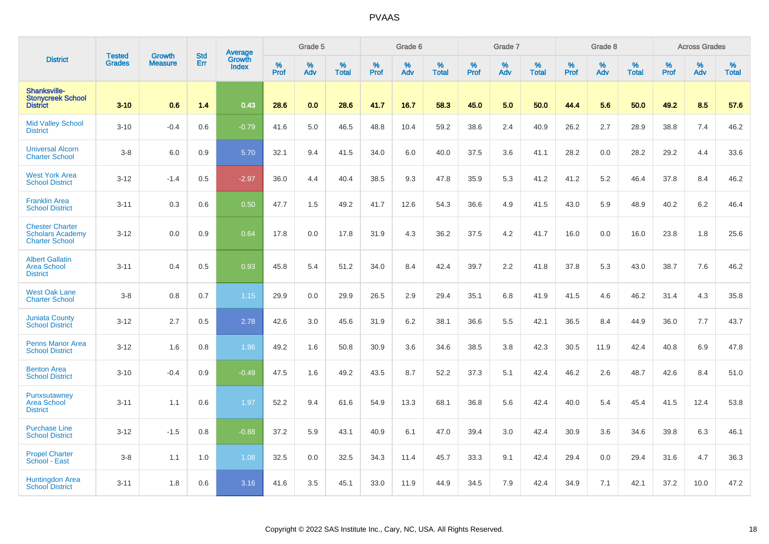|                                                                            |                                | <b>Growth</b>  | <b>Std</b> | <b>Average</b>         |              | Grade 5  |                   |           | Grade 6  |                   |           | Grade 7  |                   |           | Grade 8  |                   |           | <b>Across Grades</b> |                   |
|----------------------------------------------------------------------------|--------------------------------|----------------|------------|------------------------|--------------|----------|-------------------|-----------|----------|-------------------|-----------|----------|-------------------|-----------|----------|-------------------|-----------|----------------------|-------------------|
| <b>District</b>                                                            | <b>Tested</b><br><b>Grades</b> | <b>Measure</b> | Err        | Growth<br><b>Index</b> | $\%$<br>Prof | %<br>Adv | %<br><b>Total</b> | %<br>Prof | %<br>Adv | %<br><b>Total</b> | %<br>Prof | %<br>Adv | %<br><b>Total</b> | %<br>Prof | %<br>Adv | %<br><b>Total</b> | %<br>Prof | %<br>Adv             | %<br><b>Total</b> |
| Shanksville-<br><b>Stonycreek School</b><br><b>District</b>                | $3 - 10$                       | 0.6            | 1.4        | 0.43                   | 28.6         | 0.0      | 28.6              | 41.7      | 16.7     | 58.3              | 45.0      | 5.0      | 50.0              | 44.4      | 5.6      | 50.0              | 49.2      | 8.5                  | 57.6              |
| <b>Mid Valley School</b><br><b>District</b>                                | $3 - 10$                       | $-0.4$         | 0.6        | $-0.79$                | 41.6         | 5.0      | 46.5              | 48.8      | 10.4     | 59.2              | 38.6      | 2.4      | 40.9              | 26.2      | 2.7      | 28.9              | 38.8      | 7.4                  | 46.2              |
| <b>Universal Alcorn</b><br><b>Charter School</b>                           | $3-8$                          | 6.0            | 0.9        | 5.70                   | 32.1         | 9.4      | 41.5              | 34.0      | 6.0      | 40.0              | 37.5      | 3.6      | 41.1              | 28.2      | 0.0      | 28.2              | 29.2      | 4.4                  | 33.6              |
| <b>West York Area</b><br><b>School District</b>                            | $3 - 12$                       | $-1.4$         | 0.5        | $-2.97$                | 36.0         | 4.4      | 40.4              | 38.5      | 9.3      | 47.8              | 35.9      | 5.3      | 41.2              | 41.2      | 5.2      | 46.4              | 37.8      | 8.4                  | 46.2              |
| <b>Franklin Area</b><br><b>School District</b>                             | $3 - 11$                       | 0.3            | 0.6        | 0.50                   | 47.7         | 1.5      | 49.2              | 41.7      | 12.6     | 54.3              | 36.6      | 4.9      | 41.5              | 43.0      | 5.9      | 48.9              | 40.2      | 6.2                  | 46.4              |
| <b>Chester Charter</b><br><b>Scholars Academy</b><br><b>Charter School</b> | $3 - 12$                       | 0.0            | 0.9        | 0.64                   | 17.8         | 0.0      | 17.8              | 31.9      | 4.3      | 36.2              | 37.5      | 4.2      | 41.7              | 16.0      | 0.0      | 16.0              | 23.8      | 1.8                  | 25.6              |
| <b>Albert Gallatin</b><br><b>Area School</b><br><b>District</b>            | $3 - 11$                       | 0.4            | 0.5        | 0.93                   | 45.8         | 5.4      | 51.2              | 34.0      | 8.4      | 42.4              | 39.7      | 2.2      | 41.8              | 37.8      | 5.3      | 43.0              | 38.7      | 7.6                  | 46.2              |
| <b>West Oak Lane</b><br><b>Charter School</b>                              | $3-8$                          | 0.8            | 0.7        | 1.15                   | 29.9         | 0.0      | 29.9              | 26.5      | 2.9      | 29.4              | 35.1      | 6.8      | 41.9              | 41.5      | 4.6      | 46.2              | 31.4      | 4.3                  | 35.8              |
| <b>Juniata County</b><br><b>School District</b>                            | $3 - 12$                       | 2.7            | 0.5        | 2.78                   | 42.6         | 3.0      | 45.6              | 31.9      | 6.2      | 38.1              | 36.6      | 5.5      | 42.1              | 36.5      | 8.4      | 44.9              | 36.0      | 7.7                  | 43.7              |
| <b>Penns Manor Area</b><br><b>School District</b>                          | $3 - 12$                       | 1.6            | 0.8        | 1.96                   | 49.2         | 1.6      | 50.8              | 30.9      | 3.6      | 34.6              | 38.5      | 3.8      | 42.3              | 30.5      | 11.9     | 42.4              | 40.8      | 6.9                  | 47.8              |
| <b>Benton Area</b><br><b>School District</b>                               | $3 - 10$                       | $-0.4$         | 0.9        | $-0.49$                | 47.5         | 1.6      | 49.2              | 43.5      | 8.7      | 52.2              | 37.3      | 5.1      | 42.4              | 46.2      | 2.6      | 48.7              | 42.6      | 8.4                  | 51.0              |
| Punxsutawney<br><b>Area School</b><br><b>District</b>                      | $3 - 11$                       | 1.1            | 0.6        | 1.97                   | 52.2         | 9.4      | 61.6              | 54.9      | 13.3     | 68.1              | 36.8      | 5.6      | 42.4              | 40.0      | 5.4      | 45.4              | 41.5      | 12.4                 | 53.8              |
| <b>Purchase Line</b><br><b>School District</b>                             | $3 - 12$                       | $-1.5$         | 0.8        | $-0.88$                | 37.2         | 5.9      | 43.1              | 40.9      | 6.1      | 47.0              | 39.4      | 3.0      | 42.4              | 30.9      | 3.6      | 34.6              | 39.8      | 6.3                  | 46.1              |
| <b>Propel Charter</b><br>School - East                                     | $3-8$                          | 1.1            | 1.0        | 1.08                   | 32.5         | 0.0      | 32.5              | 34.3      | 11.4     | 45.7              | 33.3      | 9.1      | 42.4              | 29.4      | 0.0      | 29.4              | 31.6      | 4.7                  | 36.3              |
| Huntingdon Area<br><b>School District</b>                                  | $3 - 11$                       | 1.8            | 0.6        | 3.16                   | 41.6         | 3.5      | 45.1              | 33.0      | 11.9     | 44.9              | 34.5      | 7.9      | 42.4              | 34.9      | 7.1      | 42.1              | 37.2      | 10.0                 | 47.2              |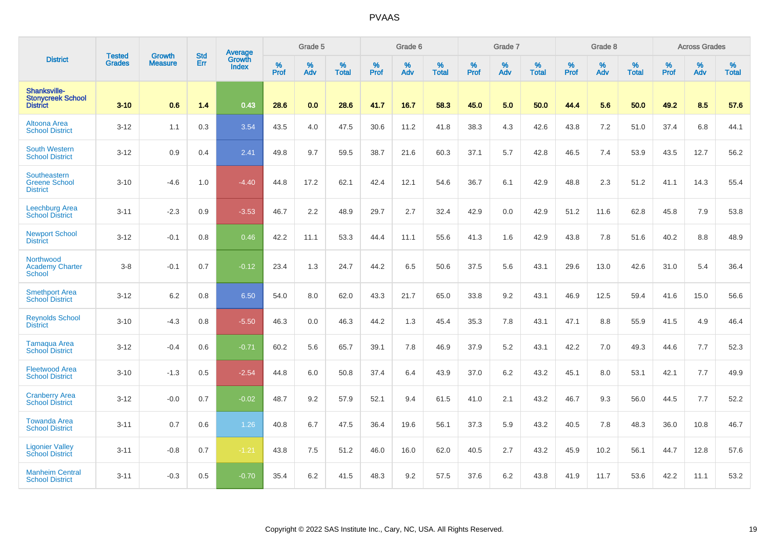|                                                             | <b>Tested</b> | <b>Growth</b>  | <b>Std</b> | Average                       |              | Grade 5  |                   |           | Grade 6  |                   |           | Grade 7  |                   |           | Grade 8  |                   |           | <b>Across Grades</b> |                   |
|-------------------------------------------------------------|---------------|----------------|------------|-------------------------------|--------------|----------|-------------------|-----------|----------|-------------------|-----------|----------|-------------------|-----------|----------|-------------------|-----------|----------------------|-------------------|
| <b>District</b>                                             | <b>Grades</b> | <b>Measure</b> | Err        | <b>Growth</b><br><b>Index</b> | $\%$<br>Prof | %<br>Adv | %<br><b>Total</b> | %<br>Prof | %<br>Adv | %<br><b>Total</b> | %<br>Prof | %<br>Adv | %<br><b>Total</b> | %<br>Prof | %<br>Adv | %<br><b>Total</b> | %<br>Prof | %<br>Adv             | %<br><b>Total</b> |
| Shanksville-<br><b>Stonycreek School</b><br><b>District</b> | $3 - 10$      | 0.6            | 1.4        | 0.43                          | 28.6         | 0.0      | 28.6              | 41.7      | 16.7     | 58.3              | 45.0      | 5.0      | 50.0              | 44.4      | 5.6      | 50.0              | 49.2      | 8.5                  | 57.6              |
| Altoona Area<br><b>School District</b>                      | $3 - 12$      | 1.1            | 0.3        | 3.54                          | 43.5         | 4.0      | 47.5              | 30.6      | 11.2     | 41.8              | 38.3      | 4.3      | 42.6              | 43.8      | 7.2      | 51.0              | 37.4      | 6.8                  | 44.1              |
| <b>South Western</b><br><b>School District</b>              | $3 - 12$      | 0.9            | 0.4        | 2.41                          | 49.8         | 9.7      | 59.5              | 38.7      | 21.6     | 60.3              | 37.1      | 5.7      | 42.8              | 46.5      | 7.4      | 53.9              | 43.5      | 12.7                 | 56.2              |
| Southeastern<br><b>Greene School</b><br><b>District</b>     | $3 - 10$      | $-4.6$         | 1.0        | $-4.40$                       | 44.8         | 17.2     | 62.1              | 42.4      | 12.1     | 54.6              | 36.7      | 6.1      | 42.9              | 48.8      | 2.3      | 51.2              | 41.1      | 14.3                 | 55.4              |
| <b>Leechburg Area</b><br><b>School District</b>             | $3 - 11$      | $-2.3$         | 0.9        | $-3.53$                       | 46.7         | 2.2      | 48.9              | 29.7      | 2.7      | 32.4              | 42.9      | 0.0      | 42.9              | 51.2      | 11.6     | 62.8              | 45.8      | 7.9                  | 53.8              |
| <b>Newport School</b><br><b>District</b>                    | $3 - 12$      | $-0.1$         | 0.8        | 0.46                          | 42.2         | 11.1     | 53.3              | 44.4      | 11.1     | 55.6              | 41.3      | 1.6      | 42.9              | 43.8      | 7.8      | 51.6              | 40.2      | 8.8                  | 48.9              |
| Northwood<br><b>Academy Charter</b><br>School               | $3 - 8$       | $-0.1$         | 0.7        | $-0.12$                       | 23.4         | 1.3      | 24.7              | 44.2      | 6.5      | 50.6              | 37.5      | 5.6      | 43.1              | 29.6      | 13.0     | 42.6              | 31.0      | 5.4                  | 36.4              |
| <b>Smethport Area</b><br><b>School District</b>             | $3 - 12$      | 6.2            | 0.8        | 6.50                          | 54.0         | 8.0      | 62.0              | 43.3      | 21.7     | 65.0              | 33.8      | 9.2      | 43.1              | 46.9      | 12.5     | 59.4              | 41.6      | 15.0                 | 56.6              |
| <b>Reynolds School</b><br><b>District</b>                   | $3 - 10$      | $-4.3$         | 0.8        | $-5.50$                       | 46.3         | 0.0      | 46.3              | 44.2      | 1.3      | 45.4              | 35.3      | 7.8      | 43.1              | 47.1      | 8.8      | 55.9              | 41.5      | 4.9                  | 46.4              |
| Tamaqua Area<br><b>School District</b>                      | $3 - 12$      | $-0.4$         | 0.6        | $-0.71$                       | 60.2         | 5.6      | 65.7              | 39.1      | 7.8      | 46.9              | 37.9      | 5.2      | 43.1              | 42.2      | 7.0      | 49.3              | 44.6      | 7.7                  | 52.3              |
| <b>Fleetwood Area</b><br><b>School District</b>             | $3 - 10$      | $-1.3$         | 0.5        | $-2.54$                       | 44.8         | 6.0      | 50.8              | 37.4      | 6.4      | 43.9              | 37.0      | 6.2      | 43.2              | 45.1      | 8.0      | 53.1              | 42.1      | 7.7                  | 49.9              |
| <b>Cranberry Area</b><br><b>School District</b>             | $3 - 12$      | $-0.0$         | 0.7        | $-0.02$                       | 48.7         | 9.2      | 57.9              | 52.1      | 9.4      | 61.5              | 41.0      | 2.1      | 43.2              | 46.7      | 9.3      | 56.0              | 44.5      | 7.7                  | 52.2              |
| <b>Towanda Area</b><br><b>School District</b>               | $3 - 11$      | 0.7            | 0.6        | 1.26                          | 40.8         | 6.7      | 47.5              | 36.4      | 19.6     | 56.1              | 37.3      | 5.9      | 43.2              | 40.5      | 7.8      | 48.3              | 36.0      | 10.8                 | 46.7              |
| <b>Ligonier Valley</b><br><b>School District</b>            | $3 - 11$      | $-0.8$         | 0.7        | $-1.21$                       | 43.8         | 7.5      | 51.2              | 46.0      | 16.0     | 62.0              | 40.5      | 2.7      | 43.2              | 45.9      | 10.2     | 56.1              | 44.7      | 12.8                 | 57.6              |
| <b>Manheim Central</b><br><b>School District</b>            | $3 - 11$      | $-0.3$         | 0.5        | $-0.70$                       | 35.4         | 6.2      | 41.5              | 48.3      | 9.2      | 57.5              | 37.6      | 6.2      | 43.8              | 41.9      | 11.7     | 53.6              | 42.2      | 11.1                 | 53.2              |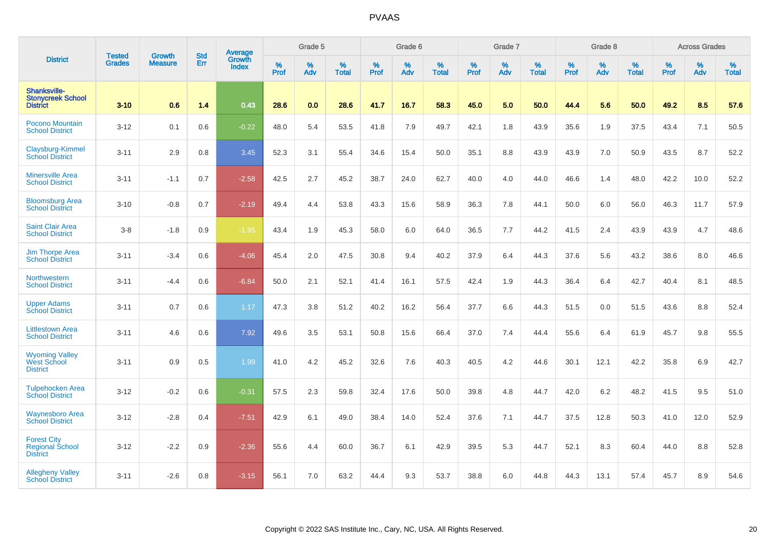|                                                                 |                                |                                 | <b>Std</b> | Average                       |           | Grade 5  |                   |           | Grade 6  |                   |           | Grade 7  |                   |           | Grade 8  |                   |           | <b>Across Grades</b> |                   |
|-----------------------------------------------------------------|--------------------------------|---------------------------------|------------|-------------------------------|-----------|----------|-------------------|-----------|----------|-------------------|-----------|----------|-------------------|-----------|----------|-------------------|-----------|----------------------|-------------------|
| <b>District</b>                                                 | <b>Tested</b><br><b>Grades</b> | <b>Growth</b><br><b>Measure</b> | Err        | <b>Growth</b><br><b>Index</b> | %<br>Prof | %<br>Adv | %<br><b>Total</b> | %<br>Prof | %<br>Adv | %<br><b>Total</b> | %<br>Prof | %<br>Adv | %<br><b>Total</b> | %<br>Prof | %<br>Adv | %<br><b>Total</b> | %<br>Prof | %<br>Adv             | %<br><b>Total</b> |
| Shanksville-<br><b>Stonycreek School</b><br><b>District</b>     | $3 - 10$                       | 0.6                             | 1.4        | 0.43                          | 28.6      | 0.0      | 28.6              | 41.7      | 16.7     | 58.3              | 45.0      | 5.0      | 50.0              | 44.4      | 5.6      | 50.0              | 49.2      | 8.5                  | 57.6              |
| <b>Pocono Mountain</b><br><b>School District</b>                | $3 - 12$                       | 0.1                             | 0.6        | $-0.22$                       | 48.0      | 5.4      | 53.5              | 41.8      | 7.9      | 49.7              | 42.1      | 1.8      | 43.9              | 35.6      | 1.9      | 37.5              | 43.4      | 7.1                  | 50.5              |
| Claysburg-Kimmel<br><b>School District</b>                      | $3 - 11$                       | 2.9                             | 0.8        | 3.45                          | 52.3      | 3.1      | 55.4              | 34.6      | 15.4     | 50.0              | 35.1      | 8.8      | 43.9              | 43.9      | 7.0      | 50.9              | 43.5      | 8.7                  | 52.2              |
| <b>Minersville Area</b><br><b>School District</b>               | $3 - 11$                       | $-1.1$                          | 0.7        | $-2.58$                       | 42.5      | 2.7      | 45.2              | 38.7      | 24.0     | 62.7              | 40.0      | 4.0      | 44.0              | 46.6      | 1.4      | 48.0              | 42.2      | 10.0                 | 52.2              |
| <b>Bloomsburg Area</b><br><b>School District</b>                | $3 - 10$                       | $-0.8$                          | 0.7        | $-2.19$                       | 49.4      | 4.4      | 53.8              | 43.3      | 15.6     | 58.9              | 36.3      | 7.8      | 44.1              | 50.0      | 6.0      | 56.0              | 46.3      | 11.7                 | 57.9              |
| <b>Saint Clair Area</b><br><b>School District</b>               | $3 - 8$                        | $-1.8$                          | 0.9        | $-1.95$                       | 43.4      | 1.9      | 45.3              | 58.0      | 6.0      | 64.0              | 36.5      | 7.7      | 44.2              | 41.5      | 2.4      | 43.9              | 43.9      | 4.7                  | 48.6              |
| <b>Jim Thorpe Area</b><br><b>School District</b>                | $3 - 11$                       | $-3.4$                          | 0.6        | $-4.06$                       | 45.4      | 2.0      | 47.5              | 30.8      | 9.4      | 40.2              | 37.9      | 6.4      | 44.3              | 37.6      | 5.6      | 43.2              | 38.6      | 8.0                  | 46.6              |
| <b>Northwestern</b><br><b>School District</b>                   | $3 - 11$                       | $-4.4$                          | 0.6        | $-6.84$                       | 50.0      | 2.1      | 52.1              | 41.4      | 16.1     | 57.5              | 42.4      | 1.9      | 44.3              | 36.4      | 6.4      | 42.7              | 40.4      | 8.1                  | 48.5              |
| <b>Upper Adams</b><br><b>School District</b>                    | $3 - 11$                       | 0.7                             | 0.6        | 1.17                          | 47.3      | 3.8      | 51.2              | 40.2      | 16.2     | 56.4              | 37.7      | 6.6      | 44.3              | 51.5      | 0.0      | 51.5              | 43.6      | 8.8                  | 52.4              |
| <b>Littlestown Area</b><br><b>School District</b>               | $3 - 11$                       | 4.6                             | 0.6        | 7.92                          | 49.6      | 3.5      | 53.1              | 50.8      | 15.6     | 66.4              | 37.0      | 7.4      | 44.4              | 55.6      | 6.4      | 61.9              | 45.7      | 9.8                  | 55.5              |
| <b>Wyoming Valley</b><br><b>West School</b><br><b>District</b>  | $3 - 11$                       | 0.9                             | 0.5        | 1.99                          | 41.0      | 4.2      | 45.2              | 32.6      | 7.6      | 40.3              | 40.5      | 4.2      | 44.6              | 30.1      | 12.1     | 42.2              | 35.8      | 6.9                  | 42.7              |
| <b>Tulpehocken Area</b><br><b>School District</b>               | $3 - 12$                       | $-0.2$                          | 0.6        | $-0.31$                       | 57.5      | 2.3      | 59.8              | 32.4      | 17.6     | 50.0              | 39.8      | 4.8      | 44.7              | 42.0      | 6.2      | 48.2              | 41.5      | 9.5                  | 51.0              |
| <b>Waynesboro Area</b><br><b>School District</b>                | $3 - 12$                       | $-2.8$                          | 0.4        | $-7.51$                       | 42.9      | 6.1      | 49.0              | 38.4      | 14.0     | 52.4              | 37.6      | 7.1      | 44.7              | 37.5      | 12.8     | 50.3              | 41.0      | 12.0                 | 52.9              |
| <b>Forest City</b><br><b>Regional School</b><br><b>District</b> | $3 - 12$                       | $-2.2$                          | 0.9        | $-2.36$                       | 55.6      | 4.4      | 60.0              | 36.7      | 6.1      | 42.9              | 39.5      | 5.3      | 44.7              | 52.1      | 8.3      | 60.4              | 44.0      | 8.8                  | 52.8              |
| <b>Allegheny Valley</b><br><b>School District</b>               | $3 - 11$                       | $-2.6$                          | 0.8        | $-3.15$                       | 56.1      | 7.0      | 63.2              | 44.4      | 9.3      | 53.7              | 38.8      | 6.0      | 44.8              | 44.3      | 13.1     | 57.4              | 45.7      | 8.9                  | 54.6              |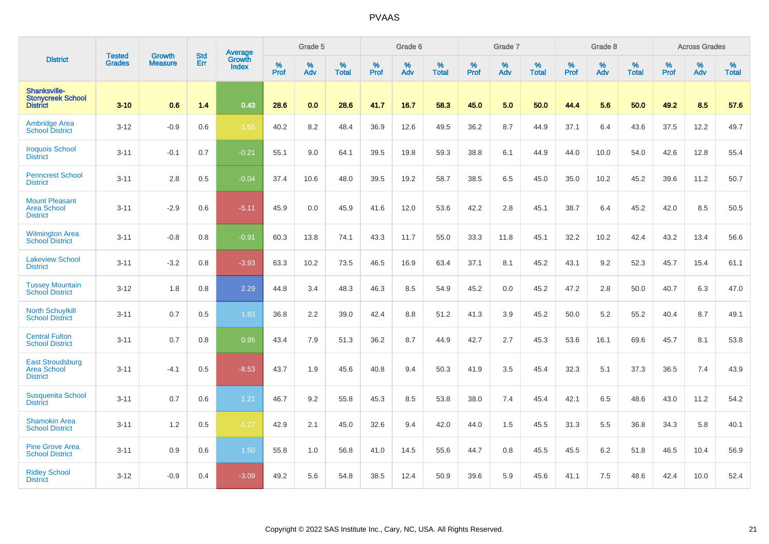|                                                                  |                                |                                 | <b>Std</b> | Average                |              | Grade 5  |                   |           | Grade 6  |                   |           | Grade 7  |                   |           | Grade 8  |                   |           | <b>Across Grades</b> |                   |
|------------------------------------------------------------------|--------------------------------|---------------------------------|------------|------------------------|--------------|----------|-------------------|-----------|----------|-------------------|-----------|----------|-------------------|-----------|----------|-------------------|-----------|----------------------|-------------------|
| <b>District</b>                                                  | <b>Tested</b><br><b>Grades</b> | <b>Growth</b><br><b>Measure</b> | Err        | <b>Growth</b><br>Index | $\%$<br>Prof | %<br>Adv | %<br><b>Total</b> | %<br>Prof | %<br>Adv | %<br><b>Total</b> | %<br>Prof | %<br>Adv | %<br><b>Total</b> | %<br>Prof | %<br>Adv | %<br><b>Total</b> | %<br>Prof | %<br>Adv             | %<br><b>Total</b> |
| Shanksville-<br><b>Stonycreek School</b><br><b>District</b>      | $3 - 10$                       | 0.6                             | 1.4        | 0.43                   | 28.6         | 0.0      | 28.6              | 41.7      | 16.7     | 58.3              | 45.0      | 5.0      | 50.0              | 44.4      | 5.6      | 50.0              | 49.2      | 8.5                  | 57.6              |
| <b>Ambridge Area</b><br><b>School District</b>                   | $3 - 12$                       | $-0.9$                          | 0.6        | $-1.55$                | 40.2         | 8.2      | 48.4              | 36.9      | 12.6     | 49.5              | 36.2      | 8.7      | 44.9              | 37.1      | 6.4      | 43.6              | 37.5      | 12.2                 | 49.7              |
| <b>Iroquois School</b><br><b>District</b>                        | $3 - 11$                       | $-0.1$                          | 0.7        | $-0.21$                | 55.1         | 9.0      | 64.1              | 39.5      | 19.8     | 59.3              | 38.8      | 6.1      | 44.9              | 44.0      | 10.0     | 54.0              | 42.6      | 12.8                 | 55.4              |
| <b>Penncrest School</b><br><b>District</b>                       | $3 - 11$                       | 2.8                             | 0.5        | $-0.04$                | 37.4         | 10.6     | 48.0              | 39.5      | 19.2     | 58.7              | 38.5      | 6.5      | 45.0              | 35.0      | 10.2     | 45.2              | 39.6      | 11.2                 | 50.7              |
| <b>Mount Pleasant</b><br><b>Area School</b><br><b>District</b>   | $3 - 11$                       | $-2.9$                          | 0.6        | $-5.11$                | 45.9         | 0.0      | 45.9              | 41.6      | 12.0     | 53.6              | 42.2      | 2.8      | 45.1              | 38.7      | 6.4      | 45.2              | 42.0      | 8.5                  | 50.5              |
| <b>Wilmington Area</b><br><b>School District</b>                 | $3 - 11$                       | $-0.8$                          | 0.8        | $-0.91$                | 60.3         | 13.8     | 74.1              | 43.3      | 11.7     | 55.0              | 33.3      | 11.8     | 45.1              | 32.2      | 10.2     | 42.4              | 43.2      | 13.4                 | 56.6              |
| <b>Lakeview School</b><br><b>District</b>                        | $3 - 11$                       | $-3.2$                          | 0.8        | $-3.93$                | 63.3         | 10.2     | 73.5              | 46.5      | 16.9     | 63.4              | 37.1      | 8.1      | 45.2              | 43.1      | 9.2      | 52.3              | 45.7      | 15.4                 | 61.1              |
| <b>Tussey Mountain</b><br><b>School District</b>                 | $3 - 12$                       | 1.8                             | 0.8        | 2.29                   | 44.8         | 3.4      | 48.3              | 46.3      | 8.5      | 54.9              | 45.2      | 0.0      | 45.2              | 47.2      | 2.8      | 50.0              | 40.7      | 6.3                  | 47.0              |
| <b>North Schuylkill</b><br><b>School District</b>                | $3 - 11$                       | 0.7                             | 0.5        | 1.83                   | 36.8         | 2.2      | 39.0              | 42.4      | 8.8      | 51.2              | 41.3      | 3.9      | 45.2              | 50.0      | 5.2      | 55.2              | 40.4      | 8.7                  | 49.1              |
| <b>Central Fulton</b><br><b>School District</b>                  | $3 - 11$                       | 0.7                             | 0.8        | 0.95                   | 43.4         | 7.9      | 51.3              | 36.2      | 8.7      | 44.9              | 42.7      | 2.7      | 45.3              | 53.6      | 16.1     | 69.6              | 45.7      | 8.1                  | 53.8              |
| <b>East Stroudsburg</b><br><b>Area School</b><br><b>District</b> | $3 - 11$                       | $-4.1$                          | 0.5        | $-8.53$                | 43.7         | 1.9      | 45.6              | 40.8      | 9.4      | 50.3              | 41.9      | 3.5      | 45.4              | 32.3      | 5.1      | 37.3              | 36.5      | 7.4                  | 43.9              |
| <b>Susquenita School</b><br><b>District</b>                      | $3 - 11$                       | 0.7                             | 0.6        | 1.21                   | 46.7         | 9.2      | 55.8              | 45.3      | 8.5      | 53.8              | 38.0      | 7.4      | 45.4              | 42.1      | 6.5      | 48.6              | 43.0      | 11.2                 | 54.2              |
| <b>Shamokin Area</b><br><b>School District</b>                   | $3 - 11$                       | 1.2                             | 0.5        | $-1.27$                | 42.9         | 2.1      | 45.0              | 32.6      | 9.4      | 42.0              | 44.0      | 1.5      | 45.5              | 31.3      | 5.5      | 36.8              | 34.3      | 5.8                  | 40.1              |
| <b>Pine Grove Area</b><br><b>School District</b>                 | $3 - 11$                       | 0.9                             | 0.6        | 1.50                   | 55.8         | 1.0      | 56.8              | 41.0      | 14.5     | 55.6              | 44.7      | 0.8      | 45.5              | 45.5      | 6.2      | 51.8              | 46.5      | 10.4                 | 56.9              |
| <b>Ridley School</b><br><b>District</b>                          | $3 - 12$                       | $-0.9$                          | 0.4        | $-3.09$                | 49.2         | 5.6      | 54.8              | 38.5      | 12.4     | 50.9              | 39.6      | 5.9      | 45.6              | 41.1      | 7.5      | 48.6              | 42.4      | 10.0                 | 52.4              |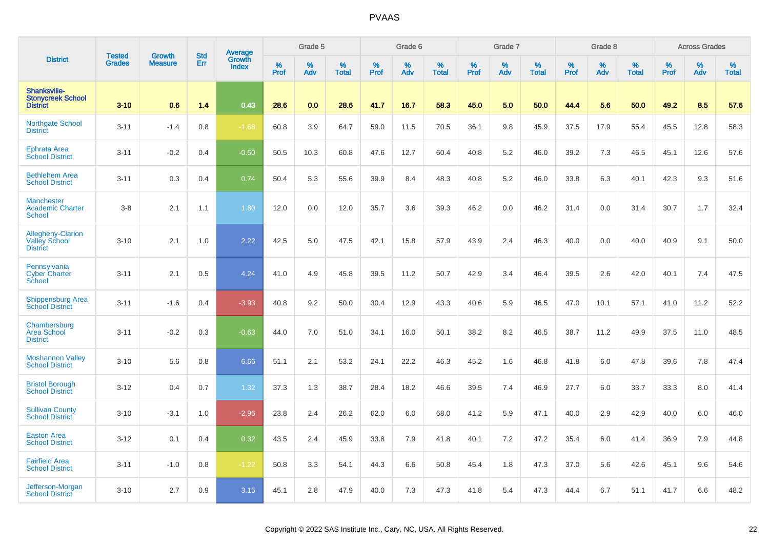|                                                                    | <b>Tested</b> | <b>Growth</b>  | <b>Std</b> | Average                |                     | Grade 5  |                   |                  | Grade 6  |                   |                  | Grade 7  |                   |           | Grade 8  |                   |           | <b>Across Grades</b> |                   |
|--------------------------------------------------------------------|---------------|----------------|------------|------------------------|---------------------|----------|-------------------|------------------|----------|-------------------|------------------|----------|-------------------|-----------|----------|-------------------|-----------|----------------------|-------------------|
| <b>District</b>                                                    | <b>Grades</b> | <b>Measure</b> | Err        | Growth<br><b>Index</b> | $\%$<br><b>Prof</b> | %<br>Adv | %<br><b>Total</b> | %<br><b>Prof</b> | %<br>Adv | %<br><b>Total</b> | %<br><b>Prof</b> | %<br>Adv | %<br><b>Total</b> | %<br>Prof | %<br>Adv | %<br><b>Total</b> | %<br>Prof | %<br>Adv             | %<br><b>Total</b> |
| <b>Shanksville-</b><br><b>Stonycreek School</b><br><b>District</b> | $3 - 10$      | 0.6            | 1.4        | 0.43                   | 28.6                | 0.0      | 28.6              | 41.7             | 16.7     | 58.3              | 45.0             | 5.0      | 50.0              | 44.4      | 5.6      | 50.0              | 49.2      | 8.5                  | 57.6              |
| Northgate School<br><b>District</b>                                | $3 - 11$      | $-1.4$         | 0.8        | $-1.68$                | 60.8                | 3.9      | 64.7              | 59.0             | 11.5     | 70.5              | 36.1             | 9.8      | 45.9              | 37.5      | 17.9     | 55.4              | 45.5      | 12.8                 | 58.3              |
| Ephrata Area<br><b>School District</b>                             | $3 - 11$      | $-0.2$         | 0.4        | $-0.50$                | 50.5                | 10.3     | 60.8              | 47.6             | 12.7     | 60.4              | 40.8             | 5.2      | 46.0              | 39.2      | 7.3      | 46.5              | 45.1      | 12.6                 | 57.6              |
| <b>Bethlehem Area</b><br><b>School District</b>                    | $3 - 11$      | 0.3            | 0.4        | 0.74                   | 50.4                | 5.3      | 55.6              | 39.9             | 8.4      | 48.3              | 40.8             | 5.2      | 46.0              | 33.8      | 6.3      | 40.1              | 42.3      | 9.3                  | 51.6              |
| <b>Manchester</b><br><b>Academic Charter</b><br><b>School</b>      | $3 - 8$       | 2.1            | 1.1        | 1.80                   | 12.0                | 0.0      | 12.0              | 35.7             | 3.6      | 39.3              | 46.2             | 0.0      | 46.2              | 31.4      | 0.0      | 31.4              | 30.7      | 1.7                  | 32.4              |
| Allegheny-Clarion<br><b>Valley School</b><br><b>District</b>       | $3 - 10$      | 2.1            | 1.0        | 2.22                   | 42.5                | 5.0      | 47.5              | 42.1             | 15.8     | 57.9              | 43.9             | 2.4      | 46.3              | 40.0      | 0.0      | 40.0              | 40.9      | 9.1                  | 50.0              |
| Pennsylvania<br><b>Cyber Charter</b><br>School                     | $3 - 11$      | 2.1            | 0.5        | 4.24                   | 41.0                | 4.9      | 45.8              | 39.5             | 11.2     | 50.7              | 42.9             | 3.4      | 46.4              | 39.5      | 2.6      | 42.0              | 40.1      | 7.4                  | 47.5              |
| <b>Shippensburg Area</b><br><b>School District</b>                 | $3 - 11$      | $-1.6$         | 0.4        | $-3.93$                | 40.8                | 9.2      | 50.0              | 30.4             | 12.9     | 43.3              | 40.6             | 5.9      | 46.5              | 47.0      | 10.1     | 57.1              | 41.0      | 11.2                 | 52.2              |
| Chambersburg<br><b>Area School</b><br><b>District</b>              | $3 - 11$      | $-0.2$         | 0.3        | $-0.63$                | 44.0                | 7.0      | 51.0              | 34.1             | 16.0     | 50.1              | 38.2             | 8.2      | 46.5              | 38.7      | 11.2     | 49.9              | 37.5      | 11.0                 | 48.5              |
| <b>Moshannon Valley</b><br><b>School District</b>                  | $3 - 10$      | 5.6            | 0.8        | 6.66                   | 51.1                | 2.1      | 53.2              | 24.1             | 22.2     | 46.3              | 45.2             | 1.6      | 46.8              | 41.8      | 6.0      | 47.8              | 39.6      | 7.8                  | 47.4              |
| <b>Bristol Borough</b><br><b>School District</b>                   | $3 - 12$      | 0.4            | 0.7        | 1.32                   | 37.3                | 1.3      | 38.7              | 28.4             | 18.2     | 46.6              | 39.5             | 7.4      | 46.9              | 27.7      | 6.0      | 33.7              | 33.3      | 8.0                  | 41.4              |
| <b>Sullivan County</b><br><b>School District</b>                   | $3 - 10$      | $-3.1$         | 1.0        | $-2.96$                | 23.8                | 2.4      | 26.2              | 62.0             | 6.0      | 68.0              | 41.2             | 5.9      | 47.1              | 40.0      | 2.9      | 42.9              | 40.0      | 6.0                  | 46.0              |
| <b>Easton Area</b><br><b>School District</b>                       | $3 - 12$      | 0.1            | 0.4        | 0.32                   | 43.5                | 2.4      | 45.9              | 33.8             | 7.9      | 41.8              | 40.1             | 7.2      | 47.2              | 35.4      | 6.0      | 41.4              | 36.9      | 7.9                  | 44.8              |
| <b>Fairfield Area</b><br><b>School District</b>                    | $3 - 11$      | $-1.0$         | 0.8        | $-1.22$                | 50.8                | 3.3      | 54.1              | 44.3             | 6.6      | 50.8              | 45.4             | 1.8      | 47.3              | 37.0      | 5.6      | 42.6              | 45.1      | 9.6                  | 54.6              |
| Jefferson-Morgan<br><b>School District</b>                         | $3 - 10$      | 2.7            | 0.9        | 3.15                   | 45.1                | 2.8      | 47.9              | 40.0             | 7.3      | 47.3              | 41.8             | 5.4      | 47.3              | 44.4      | 6.7      | 51.1              | 41.7      | 6.6                  | 48.2              |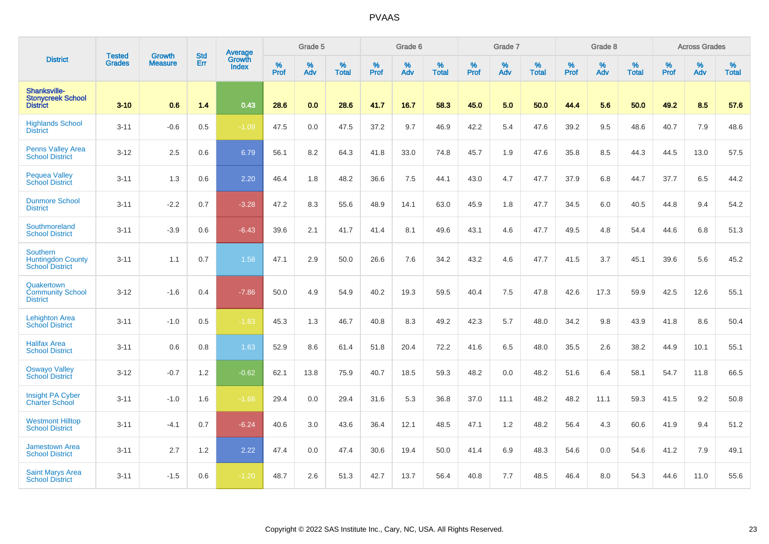|                                                                | <b>Tested</b> | <b>Growth</b>  | <b>Std</b> | Average                       |              | Grade 5  |                   |           | Grade 6  |                   |           | Grade 7  |                   |           | Grade 8  |                   |           | <b>Across Grades</b> |                   |
|----------------------------------------------------------------|---------------|----------------|------------|-------------------------------|--------------|----------|-------------------|-----------|----------|-------------------|-----------|----------|-------------------|-----------|----------|-------------------|-----------|----------------------|-------------------|
| <b>District</b>                                                | <b>Grades</b> | <b>Measure</b> | Err        | <b>Growth</b><br><b>Index</b> | $\%$<br>Prof | %<br>Adv | %<br><b>Total</b> | %<br>Prof | %<br>Adv | %<br><b>Total</b> | %<br>Prof | %<br>Adv | %<br><b>Total</b> | %<br>Prof | %<br>Adv | %<br><b>Total</b> | %<br>Prof | %<br>Adv             | %<br><b>Total</b> |
| Shanksville-<br><b>Stonycreek School</b><br><b>District</b>    | $3 - 10$      | 0.6            | 1.4        | 0.43                          | 28.6         | 0.0      | 28.6              | 41.7      | 16.7     | 58.3              | 45.0      | 5.0      | 50.0              | 44.4      | 5.6      | 50.0              | 49.2      | 8.5                  | 57.6              |
| <b>Highlands School</b><br><b>District</b>                     | $3 - 11$      | $-0.6$         | 0.5        | $-1.09$                       | 47.5         | 0.0      | 47.5              | 37.2      | 9.7      | 46.9              | 42.2      | 5.4      | 47.6              | 39.2      | 9.5      | 48.6              | 40.7      | 7.9                  | 48.6              |
| <b>Penns Valley Area</b><br><b>School District</b>             | $3 - 12$      | 2.5            | 0.6        | 6.79                          | 56.1         | 8.2      | 64.3              | 41.8      | 33.0     | 74.8              | 45.7      | 1.9      | 47.6              | 35.8      | 8.5      | 44.3              | 44.5      | 13.0                 | 57.5              |
| <b>Pequea Valley</b><br><b>School District</b>                 | $3 - 11$      | 1.3            | 0.6        | 2.20                          | 46.4         | 1.8      | 48.2              | 36.6      | 7.5      | 44.1              | 43.0      | 4.7      | 47.7              | 37.9      | 6.8      | 44.7              | 37.7      | 6.5                  | 44.2              |
| <b>Dunmore School</b><br><b>District</b>                       | $3 - 11$      | $-2.2$         | 0.7        | $-3.28$                       | 47.2         | 8.3      | 55.6              | 48.9      | 14.1     | 63.0              | 45.9      | 1.8      | 47.7              | 34.5      | 6.0      | 40.5              | 44.8      | 9.4                  | 54.2              |
| Southmoreland<br><b>School District</b>                        | $3 - 11$      | $-3.9$         | 0.6        | $-6.43$                       | 39.6         | 2.1      | 41.7              | 41.4      | 8.1      | 49.6              | 43.1      | 4.6      | 47.7              | 49.5      | 4.8      | 54.4              | 44.6      | 6.8                  | 51.3              |
| Southern<br><b>Huntingdon County</b><br><b>School District</b> | $3 - 11$      | 1.1            | 0.7        | 1.58                          | 47.1         | 2.9      | 50.0              | 26.6      | 7.6      | 34.2              | 43.2      | 4.6      | 47.7              | 41.5      | 3.7      | 45.1              | 39.6      | 5.6                  | 45.2              |
| Quakertown<br><b>Community School</b><br><b>District</b>       | $3 - 12$      | $-1.6$         | 0.4        | $-7.86$                       | 50.0         | 4.9      | 54.9              | 40.2      | 19.3     | 59.5              | 40.4      | 7.5      | 47.8              | 42.6      | 17.3     | 59.9              | 42.5      | 12.6                 | 55.1              |
| <b>Lehighton Area</b><br><b>School District</b>                | $3 - 11$      | $-1.0$         | 0.5        | $-1.83$                       | 45.3         | 1.3      | 46.7              | 40.8      | 8.3      | 49.2              | 42.3      | 5.7      | 48.0              | 34.2      | 9.8      | 43.9              | 41.8      | 8.6                  | 50.4              |
| <b>Halifax Area</b><br><b>School District</b>                  | $3 - 11$      | 0.6            | 0.8        | 1.63                          | 52.9         | 8.6      | 61.4              | 51.8      | 20.4     | 72.2              | 41.6      | 6.5      | 48.0              | 35.5      | 2.6      | 38.2              | 44.9      | 10.1                 | 55.1              |
| <b>Oswayo Valley</b><br><b>School District</b>                 | $3 - 12$      | $-0.7$         | 1.2        | $-0.62$                       | 62.1         | 13.8     | 75.9              | 40.7      | 18.5     | 59.3              | 48.2      | 0.0      | 48.2              | 51.6      | 6.4      | 58.1              | 54.7      | 11.8                 | 66.5              |
| Insight PA Cyber<br>Charter School                             | $3 - 11$      | $-1.0$         | 1.6        | $-1.68$                       | 29.4         | 0.0      | 29.4              | 31.6      | 5.3      | 36.8              | 37.0      | 11.1     | 48.2              | 48.2      | 11.1     | 59.3              | 41.5      | 9.2                  | 50.8              |
| <b>Westmont Hilltop</b><br><b>School District</b>              | $3 - 11$      | $-4.1$         | 0.7        | $-6.24$                       | 40.6         | 3.0      | 43.6              | 36.4      | 12.1     | 48.5              | 47.1      | 1.2      | 48.2              | 56.4      | 4.3      | 60.6              | 41.9      | 9.4                  | 51.2              |
| <b>Jamestown Area</b><br><b>School District</b>                | $3 - 11$      | 2.7            | 1.2        | 2.22                          | 47.4         | 0.0      | 47.4              | 30.6      | 19.4     | 50.0              | 41.4      | 6.9      | 48.3              | 54.6      | 0.0      | 54.6              | 41.2      | 7.9                  | 49.1              |
| <b>Saint Marys Area</b><br><b>School District</b>              | $3 - 11$      | $-1.5$         | 0.6        | $-1.20$                       | 48.7         | 2.6      | 51.3              | 42.7      | 13.7     | 56.4              | 40.8      | 7.7      | 48.5              | 46.4      | 8.0      | 54.3              | 44.6      | 11.0                 | 55.6              |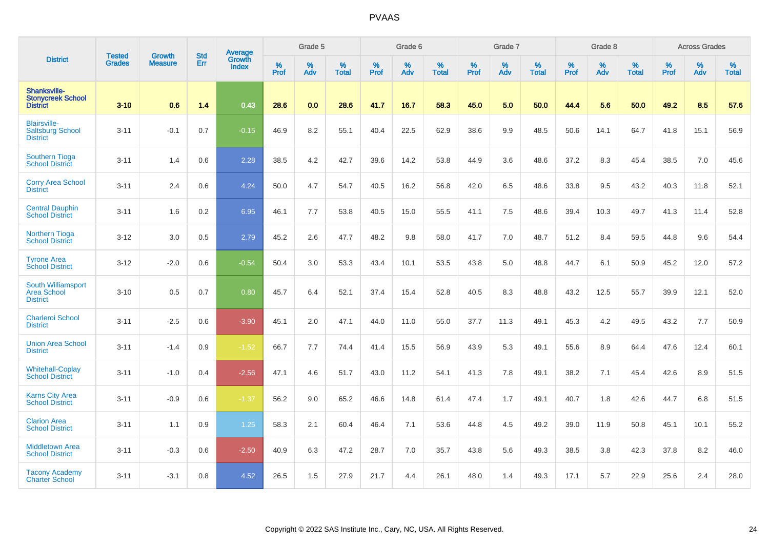|                                                                   |                                |                                 | <b>Std</b> | Average                       |              | Grade 5  |                   |           | Grade 6  |                   |           | Grade 7  |                   |           | Grade 8  |                   |           | <b>Across Grades</b> |                   |
|-------------------------------------------------------------------|--------------------------------|---------------------------------|------------|-------------------------------|--------------|----------|-------------------|-----------|----------|-------------------|-----------|----------|-------------------|-----------|----------|-------------------|-----------|----------------------|-------------------|
| <b>District</b>                                                   | <b>Tested</b><br><b>Grades</b> | <b>Growth</b><br><b>Measure</b> | Err        | <b>Growth</b><br><b>Index</b> | $\%$<br>Prof | %<br>Adv | %<br><b>Total</b> | %<br>Prof | %<br>Adv | %<br><b>Total</b> | %<br>Prof | %<br>Adv | %<br><b>Total</b> | %<br>Prof | %<br>Adv | %<br><b>Total</b> | %<br>Prof | %<br>Adv             | %<br><b>Total</b> |
| Shanksville-<br><b>Stonycreek School</b><br><b>District</b>       | $3 - 10$                       | 0.6                             | 1.4        | 0.43                          | 28.6         | 0.0      | 28.6              | 41.7      | 16.7     | 58.3              | 45.0      | 5.0      | 50.0              | 44.4      | 5.6      | 50.0              | 49.2      | 8.5                  | 57.6              |
| <b>Blairsville-</b><br><b>Saltsburg School</b><br><b>District</b> | $3 - 11$                       | $-0.1$                          | 0.7        | $-0.15$                       | 46.9         | 8.2      | 55.1              | 40.4      | 22.5     | 62.9              | 38.6      | 9.9      | 48.5              | 50.6      | 14.1     | 64.7              | 41.8      | 15.1                 | 56.9              |
| <b>Southern Tioga</b><br><b>School District</b>                   | $3 - 11$                       | 1.4                             | 0.6        | 2.28                          | 38.5         | 4.2      | 42.7              | 39.6      | 14.2     | 53.8              | 44.9      | 3.6      | 48.6              | 37.2      | 8.3      | 45.4              | 38.5      | 7.0                  | 45.6              |
| <b>Corry Area School</b><br><b>District</b>                       | $3 - 11$                       | 2.4                             | 0.6        | 4.24                          | 50.0         | 4.7      | 54.7              | 40.5      | 16.2     | 56.8              | 42.0      | 6.5      | 48.6              | 33.8      | 9.5      | 43.2              | 40.3      | 11.8                 | 52.1              |
| <b>Central Dauphin</b><br><b>School District</b>                  | $3 - 11$                       | 1.6                             | 0.2        | 6.95                          | 46.1         | 7.7      | 53.8              | 40.5      | 15.0     | 55.5              | 41.1      | 7.5      | 48.6              | 39.4      | 10.3     | 49.7              | 41.3      | 11.4                 | 52.8              |
| Northern Tioga<br><b>School District</b>                          | $3 - 12$                       | 3.0                             | 0.5        | 2.79                          | 45.2         | 2.6      | 47.7              | 48.2      | 9.8      | 58.0              | 41.7      | 7.0      | 48.7              | 51.2      | 8.4      | 59.5              | 44.8      | 9.6                  | 54.4              |
| <b>Tyrone Area</b><br><b>School District</b>                      | $3 - 12$                       | $-2.0$                          | 0.6        | $-0.54$                       | 50.4         | 3.0      | 53.3              | 43.4      | 10.1     | 53.5              | 43.8      | 5.0      | 48.8              | 44.7      | 6.1      | 50.9              | 45.2      | 12.0                 | 57.2              |
| South Williamsport<br><b>Area School</b><br><b>District</b>       | $3 - 10$                       | 0.5                             | 0.7        | 0.80                          | 45.7         | 6.4      | 52.1              | 37.4      | 15.4     | 52.8              | 40.5      | 8.3      | 48.8              | 43.2      | 12.5     | 55.7              | 39.9      | 12.1                 | 52.0              |
| <b>Charleroi School</b><br><b>District</b>                        | $3 - 11$                       | $-2.5$                          | 0.6        | $-3.90$                       | 45.1         | 2.0      | 47.1              | 44.0      | 11.0     | 55.0              | 37.7      | 11.3     | 49.1              | 45.3      | 4.2      | 49.5              | 43.2      | 7.7                  | 50.9              |
| <b>Union Area School</b><br><b>District</b>                       | $3 - 11$                       | $-1.4$                          | 0.9        | $-1.52$                       | 66.7         | 7.7      | 74.4              | 41.4      | 15.5     | 56.9              | 43.9      | 5.3      | 49.1              | 55.6      | 8.9      | 64.4              | 47.6      | 12.4                 | 60.1              |
| <b>Whitehall-Coplay</b><br><b>School District</b>                 | $3 - 11$                       | $-1.0$                          | 0.4        | $-2.56$                       | 47.1         | 4.6      | 51.7              | 43.0      | 11.2     | 54.1              | 41.3      | 7.8      | 49.1              | 38.2      | 7.1      | 45.4              | 42.6      | 8.9                  | 51.5              |
| <b>Karns City Area</b><br><b>School District</b>                  | $3 - 11$                       | $-0.9$                          | 0.6        | $-1.37$                       | 56.2         | 9.0      | 65.2              | 46.6      | 14.8     | 61.4              | 47.4      | 1.7      | 49.1              | 40.7      | 1.8      | 42.6              | 44.7      | 6.8                  | 51.5              |
| <b>Clarion Area</b><br><b>School District</b>                     | $3 - 11$                       | 1.1                             | 0.9        | 1.25                          | 58.3         | 2.1      | 60.4              | 46.4      | 7.1      | 53.6              | 44.8      | 4.5      | 49.2              | 39.0      | 11.9     | 50.8              | 45.1      | 10.1                 | 55.2              |
| <b>Middletown Area</b><br><b>School District</b>                  | $3 - 11$                       | $-0.3$                          | 0.6        | $-2.50$                       | 40.9         | 6.3      | 47.2              | 28.7      | 7.0      | 35.7              | 43.8      | 5.6      | 49.3              | 38.5      | 3.8      | 42.3              | 37.8      | 8.2                  | 46.0              |
| <b>Tacony Academy</b><br><b>Charter School</b>                    | $3 - 11$                       | $-3.1$                          | 0.8        | 4.52                          | 26.5         | 1.5      | 27.9              | 21.7      | 4.4      | 26.1              | 48.0      | 1.4      | 49.3              | 17.1      | 5.7      | 22.9              | 25.6      | 2.4                  | 28.0              |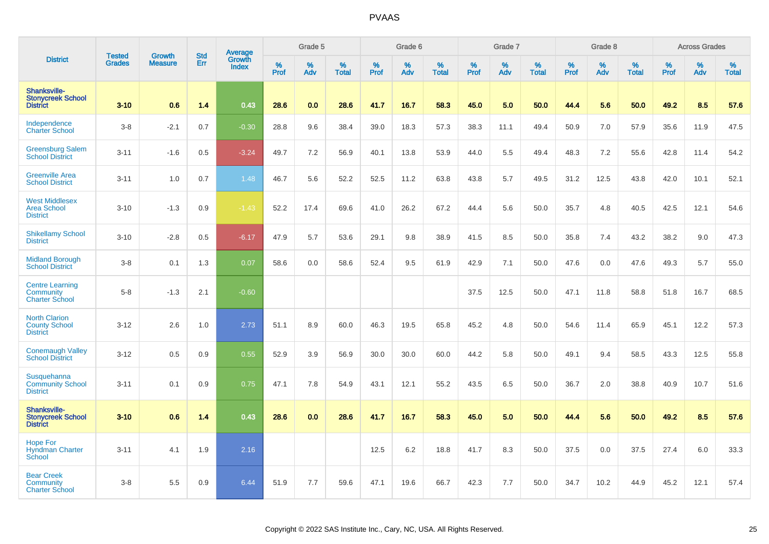|                                                                     |                                | <b>Growth</b>  | <b>Std</b> | Average                |                     | Grade 5     |                      |                  | Grade 6  |                   |           | Grade 7  |                   |              | Grade 8  |                   |              | <b>Across Grades</b> |                   |
|---------------------------------------------------------------------|--------------------------------|----------------|------------|------------------------|---------------------|-------------|----------------------|------------------|----------|-------------------|-----------|----------|-------------------|--------------|----------|-------------------|--------------|----------------------|-------------------|
| <b>District</b>                                                     | <b>Tested</b><br><b>Grades</b> | <b>Measure</b> | Err        | Growth<br><b>Index</b> | $\%$<br><b>Prof</b> | $\%$<br>Adv | $\%$<br><b>Total</b> | %<br><b>Prof</b> | %<br>Adv | %<br><b>Total</b> | %<br>Prof | %<br>Adv | %<br><b>Total</b> | $\%$<br>Prof | %<br>Adv | %<br><b>Total</b> | $\%$<br>Prof | $\%$<br>Adv          | %<br><b>Total</b> |
| Shanksville-<br><b>Stonycreek School</b><br><b>District</b>         | $3 - 10$                       | 0.6            | 1.4        | 0.43                   | 28.6                | 0.0         | 28.6                 | 41.7             | 16.7     | 58.3              | 45.0      | 5.0      | 50.0              | 44.4         | 5.6      | 50.0              | 49.2         | 8.5                  | 57.6              |
| Independence<br><b>Charter School</b>                               | $3 - 8$                        | $-2.1$         | 0.7        | $-0.30$                | 28.8                | 9.6         | 38.4                 | 39.0             | 18.3     | 57.3              | 38.3      | 11.1     | 49.4              | 50.9         | 7.0      | 57.9              | 35.6         | 11.9                 | 47.5              |
| <b>Greensburg Salem</b><br><b>School District</b>                   | $3 - 11$                       | $-1.6$         | 0.5        | $-3.24$                | 49.7                | 7.2         | 56.9                 | 40.1             | 13.8     | 53.9              | 44.0      | 5.5      | 49.4              | 48.3         | 7.2      | 55.6              | 42.8         | 11.4                 | 54.2              |
| <b>Greenville Area</b><br><b>School District</b>                    | $3 - 11$                       | 1.0            | 0.7        | 1.48                   | 46.7                | 5.6         | 52.2                 | 52.5             | 11.2     | 63.8              | 43.8      | 5.7      | 49.5              | 31.2         | 12.5     | 43.8              | 42.0         | 10.1                 | 52.1              |
| <b>West Middlesex</b><br><b>Area School</b><br><b>District</b>      | $3 - 10$                       | $-1.3$         | 0.9        | $-1.43$                | 52.2                | 17.4        | 69.6                 | 41.0             | 26.2     | 67.2              | 44.4      | 5.6      | 50.0              | 35.7         | 4.8      | 40.5              | 42.5         | 12.1                 | 54.6              |
| <b>Shikellamy School</b><br><b>District</b>                         | $3 - 10$                       | $-2.8$         | 0.5        | $-6.17$                | 47.9                | 5.7         | 53.6                 | 29.1             | 9.8      | 38.9              | 41.5      | 8.5      | 50.0              | 35.8         | 7.4      | 43.2              | 38.2         | 9.0                  | 47.3              |
| <b>Midland Borough</b><br><b>School District</b>                    | $3 - 8$                        | 0.1            | 1.3        | 0.07                   | 58.6                | 0.0         | 58.6                 | 52.4             | 9.5      | 61.9              | 42.9      | 7.1      | 50.0              | 47.6         | 0.0      | 47.6              | 49.3         | 5.7                  | 55.0              |
| <b>Centre Learning</b><br><b>Community</b><br><b>Charter School</b> | $5 - 8$                        | $-1.3$         | 2.1        | $-0.60$                |                     |             |                      |                  |          |                   | 37.5      | 12.5     | 50.0              | 47.1         | 11.8     | 58.8              | 51.8         | 16.7                 | 68.5              |
| <b>North Clarion</b><br><b>County School</b><br><b>District</b>     | $3 - 12$                       | 2.6            | 1.0        | 2.73                   | 51.1                | 8.9         | 60.0                 | 46.3             | 19.5     | 65.8              | 45.2      | 4.8      | 50.0              | 54.6         | 11.4     | 65.9              | 45.1         | 12.2                 | 57.3              |
| <b>Conemaugh Valley</b><br><b>School District</b>                   | $3 - 12$                       | 0.5            | 0.9        | 0.55                   | 52.9                | 3.9         | 56.9                 | 30.0             | 30.0     | 60.0              | 44.2      | 5.8      | 50.0              | 49.1         | 9.4      | 58.5              | 43.3         | 12.5                 | 55.8              |
| Susquehanna<br><b>Community School</b><br><b>District</b>           | $3 - 11$                       | 0.1            | 0.9        | 0.75                   | 47.1                | 7.8         | 54.9                 | 43.1             | 12.1     | 55.2              | 43.5      | 6.5      | 50.0              | 36.7         | 2.0      | 38.8              | 40.9         | 10.7                 | 51.6              |
| Shanksville-<br><b>Stonycreek School</b><br><b>District</b>         | $3 - 10$                       | 0.6            | 1.4        | 0.43                   | 28.6                | 0.0         | 28.6                 | 41.7             | 16.7     | 58.3              | 45.0      | 5.0      | 50.0              | 44.4         | 5.6      | 50.0              | 49.2         | 8.5                  | 57.6              |
| <b>Hope For</b><br><b>Hyndman Charter</b><br>School                 | $3 - 11$                       | 4.1            | 1.9        | 2.16                   |                     |             |                      | 12.5             | 6.2      | 18.8              | 41.7      | 8.3      | 50.0              | 37.5         | 0.0      | 37.5              | 27.4         | 6.0                  | 33.3              |
| <b>Bear Creek</b><br><b>Community</b><br><b>Charter School</b>      | $3 - 8$                        | 5.5            | 0.9        | 6.44                   | 51.9                | 7.7         | 59.6                 | 47.1             | 19.6     | 66.7              | 42.3      | 7.7      | 50.0              | 34.7         | 10.2     | 44.9              | 45.2         | 12.1                 | 57.4              |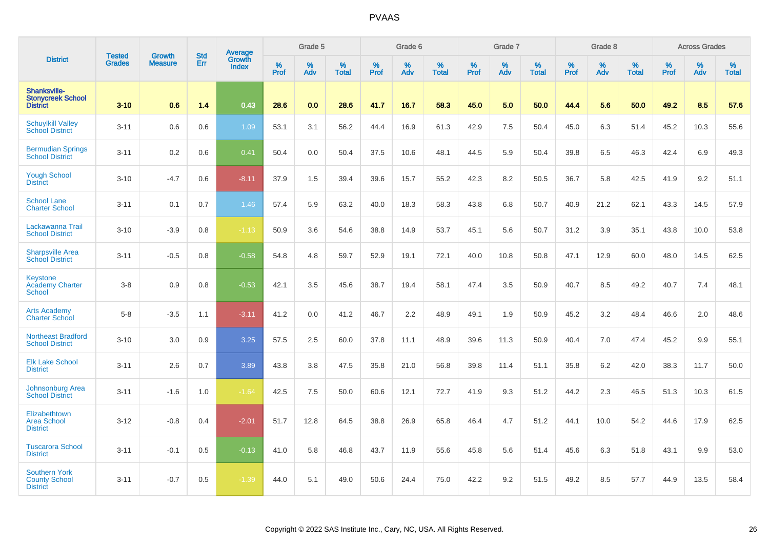|                                                                 |                                |                                 | <b>Std</b> | <b>Average</b>         |           | Grade 5  |                   |           | Grade 6  |                   |           | Grade 7  |                   |           | Grade 8  |                   |           | <b>Across Grades</b> |                   |
|-----------------------------------------------------------------|--------------------------------|---------------------------------|------------|------------------------|-----------|----------|-------------------|-----------|----------|-------------------|-----------|----------|-------------------|-----------|----------|-------------------|-----------|----------------------|-------------------|
| <b>District</b>                                                 | <b>Tested</b><br><b>Grades</b> | <b>Growth</b><br><b>Measure</b> | Err        | Growth<br><b>Index</b> | %<br>Prof | %<br>Adv | %<br><b>Total</b> | %<br>Prof | %<br>Adv | %<br><b>Total</b> | %<br>Prof | %<br>Adv | %<br><b>Total</b> | %<br>Prof | %<br>Adv | %<br><b>Total</b> | %<br>Prof | %<br>Adv             | %<br><b>Total</b> |
| Shanksville-<br><b>Stonycreek School</b><br><b>District</b>     | $3 - 10$                       | 0.6                             | 1.4        | 0.43                   | 28.6      | 0.0      | 28.6              | 41.7      | 16.7     | 58.3              | 45.0      | 5.0      | 50.0              | 44.4      | 5.6      | 50.0              | 49.2      | 8.5                  | 57.6              |
| <b>Schuylkill Valley</b><br><b>School District</b>              | $3 - 11$                       | 0.6                             | 0.6        | 1.09                   | 53.1      | 3.1      | 56.2              | 44.4      | 16.9     | 61.3              | 42.9      | 7.5      | 50.4              | 45.0      | 6.3      | 51.4              | 45.2      | 10.3                 | 55.6              |
| <b>Bermudian Springs</b><br><b>School District</b>              | $3 - 11$                       | 0.2                             | 0.6        | 0.41                   | 50.4      | 0.0      | 50.4              | 37.5      | 10.6     | 48.1              | 44.5      | 5.9      | 50.4              | 39.8      | 6.5      | 46.3              | 42.4      | 6.9                  | 49.3              |
| <b>Yough School</b><br><b>District</b>                          | $3 - 10$                       | $-4.7$                          | 0.6        | $-8.11$                | 37.9      | 1.5      | 39.4              | 39.6      | 15.7     | 55.2              | 42.3      | 8.2      | 50.5              | 36.7      | 5.8      | 42.5              | 41.9      | 9.2                  | 51.1              |
| <b>School Lane</b><br><b>Charter School</b>                     | $3 - 11$                       | 0.1                             | 0.7        | 1.46                   | 57.4      | 5.9      | 63.2              | 40.0      | 18.3     | 58.3              | 43.8      | 6.8      | 50.7              | 40.9      | 21.2     | 62.1              | 43.3      | 14.5                 | 57.9              |
| Lackawanna Trail<br><b>School District</b>                      | $3 - 10$                       | $-3.9$                          | 0.8        | $-1.13$                | 50.9      | 3.6      | 54.6              | 38.8      | 14.9     | 53.7              | 45.1      | 5.6      | 50.7              | 31.2      | 3.9      | 35.1              | 43.8      | 10.0                 | 53.8              |
| <b>Sharpsville Area</b><br><b>School District</b>               | $3 - 11$                       | $-0.5$                          | 0.8        | $-0.58$                | 54.8      | 4.8      | 59.7              | 52.9      | 19.1     | 72.1              | 40.0      | 10.8     | 50.8              | 47.1      | 12.9     | 60.0              | 48.0      | 14.5                 | 62.5              |
| Keystone<br><b>Academy Charter</b><br><b>School</b>             | $3 - 8$                        | 0.9                             | 0.8        | $-0.53$                | 42.1      | 3.5      | 45.6              | 38.7      | 19.4     | 58.1              | 47.4      | 3.5      | 50.9              | 40.7      | 8.5      | 49.2              | 40.7      | 7.4                  | 48.1              |
| <b>Arts Academy</b><br><b>Charter School</b>                    | $5-8$                          | $-3.5$                          | 1.1        | $-3.11$                | 41.2      | 0.0      | 41.2              | 46.7      | 2.2      | 48.9              | 49.1      | 1.9      | 50.9              | 45.2      | 3.2      | 48.4              | 46.6      | 2.0                  | 48.6              |
| <b>Northeast Bradford</b><br><b>School District</b>             | $3 - 10$                       | 3.0                             | 0.9        | 3.25                   | 57.5      | 2.5      | 60.0              | 37.8      | 11.1     | 48.9              | 39.6      | 11.3     | 50.9              | 40.4      | 7.0      | 47.4              | 45.2      | 9.9                  | 55.1              |
| <b>Elk Lake School</b><br><b>District</b>                       | $3 - 11$                       | 2.6                             | 0.7        | 3.89                   | 43.8      | 3.8      | 47.5              | 35.8      | 21.0     | 56.8              | 39.8      | 11.4     | 51.1              | 35.8      | 6.2      | 42.0              | 38.3      | 11.7                 | 50.0              |
| Johnsonburg Area<br><b>School District</b>                      | $3 - 11$                       | $-1.6$                          | 1.0        | $-1.64$                | 42.5      | 7.5      | 50.0              | 60.6      | 12.1     | 72.7              | 41.9      | 9.3      | 51.2              | 44.2      | 2.3      | 46.5              | 51.3      | 10.3                 | 61.5              |
| Elizabethtown<br><b>Area School</b><br><b>District</b>          | $3 - 12$                       | $-0.8$                          | 0.4        | $-2.01$                | 51.7      | 12.8     | 64.5              | 38.8      | 26.9     | 65.8              | 46.4      | 4.7      | 51.2              | 44.1      | 10.0     | 54.2              | 44.6      | 17.9                 | 62.5              |
| <b>Tuscarora School</b><br><b>District</b>                      | $3 - 11$                       | $-0.1$                          | 0.5        | $-0.13$                | 41.0      | 5.8      | 46.8              | 43.7      | 11.9     | 55.6              | 45.8      | 5.6      | 51.4              | 45.6      | 6.3      | 51.8              | 43.1      | 9.9                  | 53.0              |
| <b>Southern York</b><br><b>County School</b><br><b>District</b> | $3 - 11$                       | $-0.7$                          | 0.5        | $-1.39$                | 44.0      | 5.1      | 49.0              | 50.6      | 24.4     | 75.0              | 42.2      | 9.2      | 51.5              | 49.2      | 8.5      | 57.7              | 44.9      | 13.5                 | 58.4              |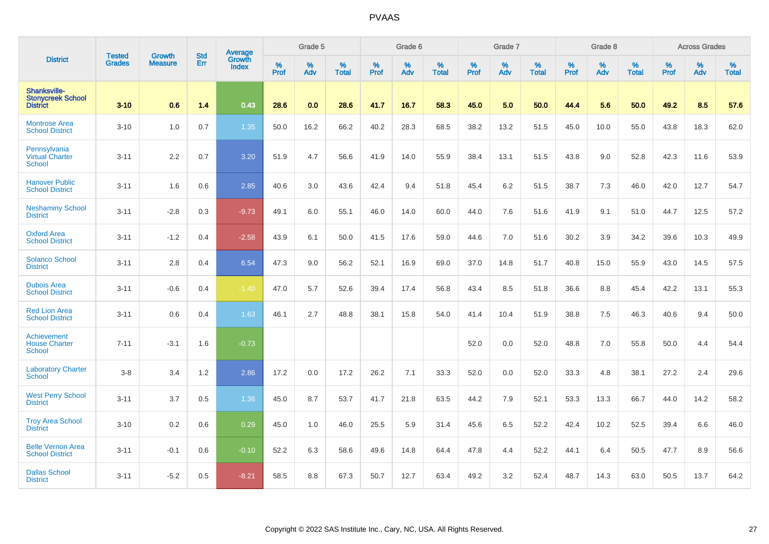|                                                             | <b>Tested</b> | <b>Growth</b>  | <b>Std</b> | Average                       |              | Grade 5  |                   |           | Grade 6  |                   |           | Grade 7  |                   |           | Grade 8  |                   |           | <b>Across Grades</b> |                   |
|-------------------------------------------------------------|---------------|----------------|------------|-------------------------------|--------------|----------|-------------------|-----------|----------|-------------------|-----------|----------|-------------------|-----------|----------|-------------------|-----------|----------------------|-------------------|
| <b>District</b>                                             | <b>Grades</b> | <b>Measure</b> | Err        | <b>Growth</b><br><b>Index</b> | $\%$<br>Prof | %<br>Adv | %<br><b>Total</b> | %<br>Prof | %<br>Adv | %<br><b>Total</b> | %<br>Prof | %<br>Adv | %<br><b>Total</b> | %<br>Prof | %<br>Adv | %<br><b>Total</b> | %<br>Prof | %<br>Adv             | %<br><b>Total</b> |
| Shanksville-<br><b>Stonycreek School</b><br><b>District</b> | $3 - 10$      | 0.6            | 1.4        | 0.43                          | 28.6         | 0.0      | 28.6              | 41.7      | 16.7     | 58.3              | 45.0      | 5.0      | 50.0              | 44.4      | 5.6      | 50.0              | 49.2      | 8.5                  | 57.6              |
| <b>Montrose Area</b><br><b>School District</b>              | $3 - 10$      | 1.0            | 0.7        | 1.35                          | 50.0         | 16.2     | 66.2              | 40.2      | 28.3     | 68.5              | 38.2      | 13.2     | 51.5              | 45.0      | 10.0     | 55.0              | 43.8      | 18.3                 | 62.0              |
| Pennsylvania<br><b>Virtual Charter</b><br><b>School</b>     | $3 - 11$      | 2.2            | 0.7        | 3.20                          | 51.9         | 4.7      | 56.6              | 41.9      | 14.0     | 55.9              | 38.4      | 13.1     | 51.5              | 43.8      | 9.0      | 52.8              | 42.3      | 11.6                 | 53.9              |
| <b>Hanover Public</b><br><b>School District</b>             | $3 - 11$      | 1.6            | 0.6        | 2.85                          | 40.6         | 3.0      | 43.6              | 42.4      | 9.4      | 51.8              | 45.4      | 6.2      | 51.5              | 38.7      | 7.3      | 46.0              | 42.0      | 12.7                 | 54.7              |
| <b>Neshaminy School</b><br><b>District</b>                  | $3 - 11$      | $-2.8$         | 0.3        | $-9.73$                       | 49.1         | 6.0      | 55.1              | 46.0      | 14.0     | 60.0              | 44.0      | 7.6      | 51.6              | 41.9      | 9.1      | 51.0              | 44.7      | 12.5                 | 57.2              |
| <b>Oxford Area</b><br><b>School District</b>                | $3 - 11$      | $-1.2$         | 0.4        | $-2.58$                       | 43.9         | 6.1      | 50.0              | 41.5      | 17.6     | 59.0              | 44.6      | 7.0      | 51.6              | 30.2      | 3.9      | 34.2              | 39.6      | 10.3                 | 49.9              |
| <b>Solanco School</b><br><b>District</b>                    | $3 - 11$      | 2.8            | 0.4        | 6.54                          | 47.3         | 9.0      | 56.2              | 52.1      | 16.9     | 69.0              | 37.0      | 14.8     | 51.7              | 40.8      | 15.0     | 55.9              | 43.0      | 14.5                 | 57.5              |
| <b>Dubois Area</b><br><b>School District</b>                | $3 - 11$      | $-0.6$         | 0.4        | $-1.40$                       | 47.0         | 5.7      | 52.6              | 39.4      | 17.4     | 56.8              | 43.4      | 8.5      | 51.8              | 36.6      | 8.8      | 45.4              | 42.2      | 13.1                 | 55.3              |
| <b>Red Lion Area</b><br><b>School District</b>              | $3 - 11$      | 0.6            | 0.4        | 1.63                          | 46.1         | 2.7      | 48.8              | 38.1      | 15.8     | 54.0              | 41.4      | 10.4     | 51.9              | 38.8      | 7.5      | 46.3              | 40.6      | 9.4                  | 50.0              |
| Achievement<br><b>House Charter</b><br>School               | $7 - 11$      | $-3.1$         | 1.6        | $-0.73$                       |              |          |                   |           |          |                   | 52.0      | 0.0      | 52.0              | 48.8      | 7.0      | 55.8              | 50.0      | 4.4                  | 54.4              |
| <b>Laboratory Charter</b><br><b>School</b>                  | $3-8$         | 3.4            | 1.2        | 2.86                          | 17.2         | 0.0      | 17.2              | 26.2      | 7.1      | 33.3              | 52.0      | 0.0      | 52.0              | 33.3      | 4.8      | 38.1              | 27.2      | 2.4                  | 29.6              |
| <b>West Perry School</b><br><b>District</b>                 | $3 - 11$      | 3.7            | 0.5        | 1.36                          | 45.0         | 8.7      | 53.7              | 41.7      | 21.8     | 63.5              | 44.2      | 7.9      | 52.1              | 53.3      | 13.3     | 66.7              | 44.0      | 14.2                 | 58.2              |
| <b>Troy Area School</b><br><b>District</b>                  | $3 - 10$      | 0.2            | 0.6        | 0.29                          | 45.0         | 1.0      | 46.0              | 25.5      | 5.9      | 31.4              | 45.6      | 6.5      | 52.2              | 42.4      | 10.2     | 52.5              | 39.4      | 6.6                  | 46.0              |
| <b>Belle Vernon Area</b><br><b>School District</b>          | $3 - 11$      | $-0.1$         | 0.6        | $-0.10$                       | 52.2         | 6.3      | 58.6              | 49.6      | 14.8     | 64.4              | 47.8      | 4.4      | 52.2              | 44.1      | 6.4      | 50.5              | 47.7      | 8.9                  | 56.6              |
| <b>Dallas School</b><br><b>District</b>                     | $3 - 11$      | $-5.2$         | 0.5        | $-8.21$                       | 58.5         | 8.8      | 67.3              | 50.7      | 12.7     | 63.4              | 49.2      | 3.2      | 52.4              | 48.7      | 14.3     | 63.0              | 50.5      | 13.7                 | 64.2              |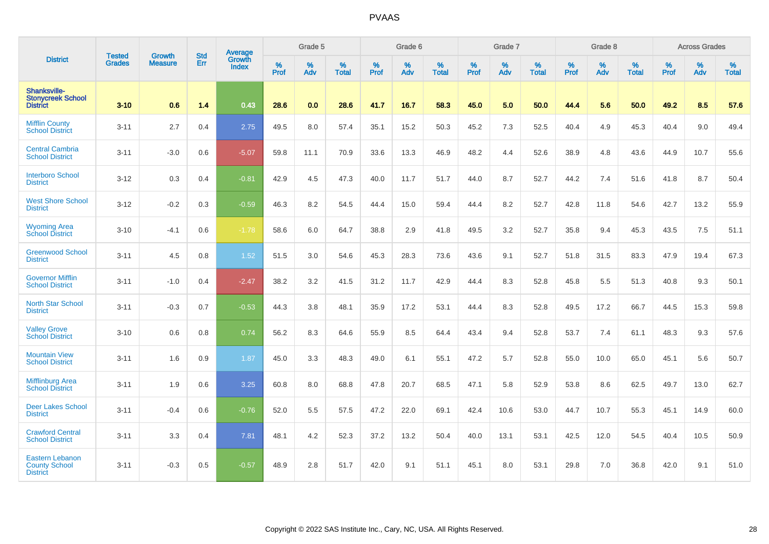|                                                                   | <b>Tested</b> | <b>Growth</b>  | <b>Std</b> | Average         |                  | Grade 5  |                   |           | Grade 6  |                   |           | Grade 7  |                   |           | Grade 8  |                   |                  | <b>Across Grades</b> |                   |
|-------------------------------------------------------------------|---------------|----------------|------------|-----------------|------------------|----------|-------------------|-----------|----------|-------------------|-----------|----------|-------------------|-----------|----------|-------------------|------------------|----------------------|-------------------|
| <b>District</b>                                                   | <b>Grades</b> | <b>Measure</b> | Err        | Growth<br>Index | %<br><b>Prof</b> | %<br>Adv | %<br><b>Total</b> | %<br>Prof | %<br>Adv | %<br><b>Total</b> | %<br>Prof | %<br>Adv | %<br><b>Total</b> | %<br>Prof | %<br>Adv | %<br><b>Total</b> | %<br><b>Prof</b> | %<br>Adv             | %<br><b>Total</b> |
| Shanksville-<br><b>Stonycreek School</b><br><b>District</b>       | $3 - 10$      | 0.6            | 1.4        | 0.43            | 28.6             | 0.0      | 28.6              | 41.7      | 16.7     | 58.3              | 45.0      | 5.0      | 50.0              | 44.4      | 5.6      | 50.0              | 49.2             | 8.5                  | 57.6              |
| <b>Mifflin County</b><br><b>School District</b>                   | $3 - 11$      | 2.7            | 0.4        | 2.75            | 49.5             | 8.0      | 57.4              | 35.1      | 15.2     | 50.3              | 45.2      | 7.3      | 52.5              | 40.4      | 4.9      | 45.3              | 40.4             | 9.0                  | 49.4              |
| <b>Central Cambria</b><br><b>School District</b>                  | $3 - 11$      | $-3.0$         | 0.6        | $-5.07$         | 59.8             | 11.1     | 70.9              | 33.6      | 13.3     | 46.9              | 48.2      | 4.4      | 52.6              | 38.9      | 4.8      | 43.6              | 44.9             | 10.7                 | 55.6              |
| <b>Interboro School</b><br><b>District</b>                        | $3 - 12$      | 0.3            | 0.4        | $-0.81$         | 42.9             | 4.5      | 47.3              | 40.0      | 11.7     | 51.7              | 44.0      | 8.7      | 52.7              | 44.2      | 7.4      | 51.6              | 41.8             | 8.7                  | 50.4              |
| <b>West Shore School</b><br><b>District</b>                       | $3 - 12$      | $-0.2$         | 0.3        | $-0.59$         | 46.3             | 8.2      | 54.5              | 44.4      | 15.0     | 59.4              | 44.4      | 8.2      | 52.7              | 42.8      | 11.8     | 54.6              | 42.7             | 13.2                 | 55.9              |
| <b>Wyoming Area</b><br><b>School District</b>                     | $3 - 10$      | $-4.1$         | 0.6        | $-1.78$         | 58.6             | 6.0      | 64.7              | 38.8      | 2.9      | 41.8              | 49.5      | 3.2      | 52.7              | 35.8      | 9.4      | 45.3              | 43.5             | 7.5                  | 51.1              |
| <b>Greenwood School</b><br><b>District</b>                        | $3 - 11$      | 4.5            | 0.8        | 1.52            | 51.5             | 3.0      | 54.6              | 45.3      | 28.3     | 73.6              | 43.6      | 9.1      | 52.7              | 51.8      | 31.5     | 83.3              | 47.9             | 19.4                 | 67.3              |
| <b>Governor Mifflin</b><br><b>School District</b>                 | $3 - 11$      | $-1.0$         | 0.4        | $-2.47$         | 38.2             | 3.2      | 41.5              | 31.2      | 11.7     | 42.9              | 44.4      | 8.3      | 52.8              | 45.8      | 5.5      | 51.3              | 40.8             | 9.3                  | 50.1              |
| <b>North Star School</b><br><b>District</b>                       | $3 - 11$      | $-0.3$         | 0.7        | $-0.53$         | 44.3             | 3.8      | 48.1              | 35.9      | 17.2     | 53.1              | 44.4      | 8.3      | 52.8              | 49.5      | 17.2     | 66.7              | 44.5             | 15.3                 | 59.8              |
| <b>Valley Grove</b><br><b>School District</b>                     | $3 - 10$      | 0.6            | 0.8        | 0.74            | 56.2             | 8.3      | 64.6              | 55.9      | 8.5      | 64.4              | 43.4      | 9.4      | 52.8              | 53.7      | 7.4      | 61.1              | 48.3             | 9.3                  | 57.6              |
| <b>Mountain View</b><br><b>School District</b>                    | $3 - 11$      | 1.6            | 0.9        | 1.87            | 45.0             | 3.3      | 48.3              | 49.0      | 6.1      | 55.1              | 47.2      | 5.7      | 52.8              | 55.0      | 10.0     | 65.0              | 45.1             | 5.6                  | 50.7              |
| <b>Mifflinburg Area</b><br><b>School District</b>                 | $3 - 11$      | 1.9            | 0.6        | 3.25            | 60.8             | 8.0      | 68.8              | 47.8      | 20.7     | 68.5              | 47.1      | 5.8      | 52.9              | 53.8      | 8.6      | 62.5              | 49.7             | 13.0                 | 62.7              |
| <b>Deer Lakes School</b><br><b>District</b>                       | $3 - 11$      | $-0.4$         | 0.6        | $-0.76$         | 52.0             | 5.5      | 57.5              | 47.2      | 22.0     | 69.1              | 42.4      | 10.6     | 53.0              | 44.7      | 10.7     | 55.3              | 45.1             | 14.9                 | 60.0              |
| <b>Crawford Central</b><br><b>School District</b>                 | $3 - 11$      | 3.3            | 0.4        | 7.81            | 48.1             | 4.2      | 52.3              | 37.2      | 13.2     | 50.4              | 40.0      | 13.1     | 53.1              | 42.5      | 12.0     | 54.5              | 40.4             | 10.5                 | 50.9              |
| <b>Eastern Lebanon</b><br><b>County School</b><br><b>District</b> | $3 - 11$      | $-0.3$         | 0.5        | $-0.57$         | 48.9             | 2.8      | 51.7              | 42.0      | 9.1      | 51.1              | 45.1      | 8.0      | 53.1              | 29.8      | 7.0      | 36.8              | 42.0             | 9.1                  | 51.0              |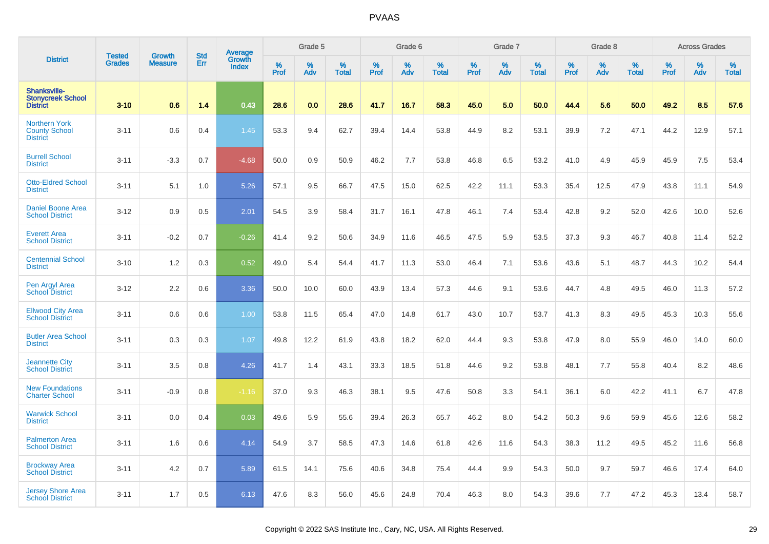|                                                                 | <b>Tested</b> | <b>Growth</b>  | <b>Std</b> |                                   |                     | Grade 5  |                   |           | Grade 6  |                   |              | Grade 7  |                   |           | Grade 8  |                   |                  | <b>Across Grades</b> |                   |
|-----------------------------------------------------------------|---------------|----------------|------------|-----------------------------------|---------------------|----------|-------------------|-----------|----------|-------------------|--------------|----------|-------------------|-----------|----------|-------------------|------------------|----------------------|-------------------|
| <b>District</b>                                                 | <b>Grades</b> | <b>Measure</b> | Err        | Average<br>Growth<br><b>Index</b> | $\%$<br><b>Prof</b> | %<br>Adv | %<br><b>Total</b> | %<br>Prof | %<br>Adv | %<br><b>Total</b> | $\%$<br>Prof | %<br>Adv | %<br><b>Total</b> | %<br>Prof | %<br>Adv | %<br><b>Total</b> | %<br><b>Prof</b> | %<br>Adv             | %<br><b>Total</b> |
| Shanksville-<br><b>Stonvcreek School</b><br><b>District</b>     | $3 - 10$      | 0.6            | 1.4        | 0.43                              | 28.6                | 0.0      | 28.6              | 41.7      | 16.7     | 58.3              | 45.0         | 5.0      | 50.0              | 44.4      | 5.6      | 50.0              | 49.2             | 8.5                  | 57.6              |
| <b>Northern York</b><br><b>County School</b><br><b>District</b> | $3 - 11$      | 0.6            | 0.4        | 1.45                              | 53.3                | 9.4      | 62.7              | 39.4      | 14.4     | 53.8              | 44.9         | 8.2      | 53.1              | 39.9      | 7.2      | 47.1              | 44.2             | 12.9                 | 57.1              |
| <b>Burrell School</b><br><b>District</b>                        | $3 - 11$      | $-3.3$         | 0.7        | $-4.68$                           | 50.0                | 0.9      | 50.9              | 46.2      | 7.7      | 53.8              | 46.8         | 6.5      | 53.2              | 41.0      | 4.9      | 45.9              | 45.9             | 7.5                  | 53.4              |
| <b>Otto-Eldred School</b><br><b>District</b>                    | $3 - 11$      | 5.1            | 1.0        | 5.26                              | 57.1                | 9.5      | 66.7              | 47.5      | 15.0     | 62.5              | 42.2         | 11.1     | 53.3              | 35.4      | 12.5     | 47.9              | 43.8             | 11.1                 | 54.9              |
| Daniel Boone Area<br><b>School District</b>                     | $3 - 12$      | 0.9            | 0.5        | 2.01                              | 54.5                | 3.9      | 58.4              | 31.7      | 16.1     | 47.8              | 46.1         | 7.4      | 53.4              | 42.8      | 9.2      | 52.0              | 42.6             | 10.0                 | 52.6              |
| <b>Everett Area</b><br><b>School District</b>                   | $3 - 11$      | $-0.2$         | 0.7        | $-0.26$                           | 41.4                | 9.2      | 50.6              | 34.9      | 11.6     | 46.5              | 47.5         | 5.9      | 53.5              | 37.3      | 9.3      | 46.7              | 40.8             | 11.4                 | 52.2              |
| <b>Centennial School</b><br><b>District</b>                     | $3 - 10$      | 1.2            | 0.3        | 0.52                              | 49.0                | 5.4      | 54.4              | 41.7      | 11.3     | 53.0              | 46.4         | 7.1      | 53.6              | 43.6      | 5.1      | 48.7              | 44.3             | 10.2                 | 54.4              |
| Pen Argyl Area<br><b>School District</b>                        | $3 - 12$      | 2.2            | 0.6        | 3.36                              | 50.0                | 10.0     | 60.0              | 43.9      | 13.4     | 57.3              | 44.6         | 9.1      | 53.6              | 44.7      | 4.8      | 49.5              | 46.0             | 11.3                 | 57.2              |
| <b>Ellwood City Area</b><br><b>School District</b>              | $3 - 11$      | 0.6            | 0.6        | 1.00                              | 53.8                | 11.5     | 65.4              | 47.0      | 14.8     | 61.7              | 43.0         | 10.7     | 53.7              | 41.3      | 8.3      | 49.5              | 45.3             | 10.3                 | 55.6              |
| <b>Butler Area School</b><br><b>District</b>                    | $3 - 11$      | 0.3            | 0.3        | 1.07                              | 49.8                | 12.2     | 61.9              | 43.8      | 18.2     | 62.0              | 44.4         | 9.3      | 53.8              | 47.9      | 8.0      | 55.9              | 46.0             | 14.0                 | 60.0              |
| <b>Jeannette City</b><br><b>School District</b>                 | $3 - 11$      | 3.5            | 0.8        | 4.26                              | 41.7                | 1.4      | 43.1              | 33.3      | 18.5     | 51.8              | 44.6         | 9.2      | 53.8              | 48.1      | 7.7      | 55.8              | 40.4             | 8.2                  | 48.6              |
| <b>New Foundations</b><br><b>Charter School</b>                 | $3 - 11$      | $-0.9$         | 0.8        | $-1.16$                           | 37.0                | 9.3      | 46.3              | 38.1      | 9.5      | 47.6              | 50.8         | 3.3      | 54.1              | 36.1      | 6.0      | 42.2              | 41.1             | 6.7                  | 47.8              |
| <b>Warwick School</b><br><b>District</b>                        | $3 - 11$      | 0.0            | 0.4        | 0.03                              | 49.6                | 5.9      | 55.6              | 39.4      | 26.3     | 65.7              | 46.2         | 8.0      | 54.2              | 50.3      | 9.6      | 59.9              | 45.6             | 12.6                 | 58.2              |
| <b>Palmerton Area</b><br><b>School District</b>                 | $3 - 11$      | 1.6            | 0.6        | 4.14                              | 54.9                | 3.7      | 58.5              | 47.3      | 14.6     | 61.8              | 42.6         | 11.6     | 54.3              | 38.3      | 11.2     | 49.5              | 45.2             | 11.6                 | 56.8              |
| <b>Brockway Area</b><br><b>School District</b>                  | $3 - 11$      | 4.2            | 0.7        | 5.89                              | 61.5                | 14.1     | 75.6              | 40.6      | 34.8     | 75.4              | 44.4         | 9.9      | 54.3              | 50.0      | 9.7      | 59.7              | 46.6             | 17.4                 | 64.0              |
| <b>Jersey Shore Area</b><br><b>School District</b>              | $3 - 11$      | 1.7            | 0.5        | 6.13                              | 47.6                | 8.3      | 56.0              | 45.6      | 24.8     | 70.4              | 46.3         | 8.0      | 54.3              | 39.6      | 7.7      | 47.2              | 45.3             | 13.4                 | 58.7              |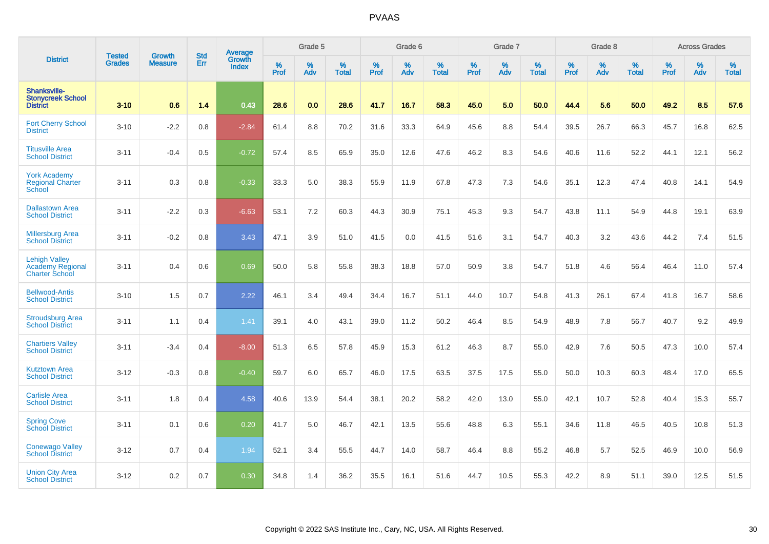|                                                             | <b>Tested</b> | <b>Growth</b>  | <b>Std</b> | Average                       |           | Grade 5  |                   |           | Grade 6  |                   |           | Grade 7  |                   |           | Grade 8  |                   |           | <b>Across Grades</b> |                   |
|-------------------------------------------------------------|---------------|----------------|------------|-------------------------------|-----------|----------|-------------------|-----------|----------|-------------------|-----------|----------|-------------------|-----------|----------|-------------------|-----------|----------------------|-------------------|
| <b>District</b>                                             | <b>Grades</b> | <b>Measure</b> | Err        | <b>Growth</b><br><b>Index</b> | %<br>Prof | %<br>Adv | %<br><b>Total</b> | %<br>Prof | %<br>Adv | %<br><b>Total</b> | %<br>Prof | %<br>Adv | %<br><b>Total</b> | %<br>Prof | %<br>Adv | %<br><b>Total</b> | %<br>Prof | %<br>Adv             | %<br><b>Total</b> |
| Shanksville-<br><b>Stonycreek School</b><br><b>District</b> | $3 - 10$      | 0.6            | 1.4        | 0.43                          | 28.6      | 0.0      | 28.6              | 41.7      | 16.7     | 58.3              | 45.0      | 5.0      | 50.0              | 44.4      | 5.6      | 50.0              | 49.2      | 8.5                  | 57.6              |
| <b>Fort Cherry School</b><br><b>District</b>                | $3 - 10$      | $-2.2$         | 0.8        | $-2.84$                       | 61.4      | 8.8      | 70.2              | 31.6      | 33.3     | 64.9              | 45.6      | 8.8      | 54.4              | 39.5      | 26.7     | 66.3              | 45.7      | 16.8                 | 62.5              |
| <b>Titusville Area</b><br><b>School District</b>            | $3 - 11$      | $-0.4$         | 0.5        | $-0.72$                       | 57.4      | 8.5      | 65.9              | 35.0      | 12.6     | 47.6              | 46.2      | 8.3      | 54.6              | 40.6      | 11.6     | 52.2              | 44.1      | 12.1                 | 56.2              |
| <b>York Academy</b><br><b>Regional Charter</b><br>School    | $3 - 11$      | 0.3            | 0.8        | $-0.33$                       | 33.3      | 5.0      | 38.3              | 55.9      | 11.9     | 67.8              | 47.3      | 7.3      | 54.6              | 35.1      | 12.3     | 47.4              | 40.8      | 14.1                 | 54.9              |
| <b>Dallastown Area</b><br><b>School District</b>            | $3 - 11$      | $-2.2$         | 0.3        | $-6.63$                       | 53.1      | 7.2      | 60.3              | 44.3      | 30.9     | 75.1              | 45.3      | 9.3      | 54.7              | 43.8      | 11.1     | 54.9              | 44.8      | 19.1                 | 63.9              |
| <b>Millersburg Area</b><br><b>School District</b>           | $3 - 11$      | $-0.2$         | 0.8        | 3.43                          | 47.1      | 3.9      | 51.0              | 41.5      | 0.0      | 41.5              | 51.6      | 3.1      | 54.7              | 40.3      | 3.2      | 43.6              | 44.2      | 7.4                  | 51.5              |
| <b>Lehigh Valley</b><br>Academy Regional<br>Charter School  | $3 - 11$      | 0.4            | 0.6        | 0.69                          | 50.0      | 5.8      | 55.8              | 38.3      | 18.8     | 57.0              | 50.9      | 3.8      | 54.7              | 51.8      | 4.6      | 56.4              | 46.4      | 11.0                 | 57.4              |
| <b>Bellwood-Antis</b><br><b>School District</b>             | $3 - 10$      | 1.5            | 0.7        | 2.22                          | 46.1      | 3.4      | 49.4              | 34.4      | 16.7     | 51.1              | 44.0      | 10.7     | 54.8              | 41.3      | 26.1     | 67.4              | 41.8      | 16.7                 | 58.6              |
| <b>Stroudsburg Area</b><br><b>School District</b>           | $3 - 11$      | 1.1            | 0.4        | 1.41                          | 39.1      | 4.0      | 43.1              | 39.0      | 11.2     | 50.2              | 46.4      | 8.5      | 54.9              | 48.9      | 7.8      | 56.7              | 40.7      | 9.2                  | 49.9              |
| <b>Chartiers Valley</b><br><b>School District</b>           | $3 - 11$      | $-3.4$         | 0.4        | $-8.00$                       | 51.3      | 6.5      | 57.8              | 45.9      | 15.3     | 61.2              | 46.3      | 8.7      | 55.0              | 42.9      | 7.6      | 50.5              | 47.3      | 10.0                 | 57.4              |
| <b>Kutztown Area</b><br><b>School District</b>              | $3 - 12$      | $-0.3$         | 0.8        | $-0.40$                       | 59.7      | 6.0      | 65.7              | 46.0      | 17.5     | 63.5              | 37.5      | 17.5     | 55.0              | 50.0      | 10.3     | 60.3              | 48.4      | 17.0                 | 65.5              |
| <b>Carlisle Area</b><br><b>School District</b>              | $3 - 11$      | 1.8            | 0.4        | 4.58                          | 40.6      | 13.9     | 54.4              | 38.1      | 20.2     | 58.2              | 42.0      | 13.0     | 55.0              | 42.1      | 10.7     | 52.8              | 40.4      | 15.3                 | 55.7              |
| <b>Spring Cove</b><br><b>School District</b>                | $3 - 11$      | 0.1            | 0.6        | 0.20                          | 41.7      | 5.0      | 46.7              | 42.1      | 13.5     | 55.6              | 48.8      | 6.3      | 55.1              | 34.6      | 11.8     | 46.5              | 40.5      | 10.8                 | 51.3              |
| <b>Conewago Valley</b><br><b>School District</b>            | $3 - 12$      | 0.7            | 0.4        | 1.94                          | 52.1      | 3.4      | 55.5              | 44.7      | 14.0     | 58.7              | 46.4      | 8.8      | 55.2              | 46.8      | 5.7      | 52.5              | 46.9      | 10.0                 | 56.9              |
| <b>Union City Area</b><br><b>School District</b>            | $3 - 12$      | 0.2            | 0.7        | 0.30                          | 34.8      | 1.4      | 36.2              | 35.5      | 16.1     | 51.6              | 44.7      | 10.5     | 55.3              | 42.2      | 8.9      | 51.1              | 39.0      | 12.5                 | 51.5              |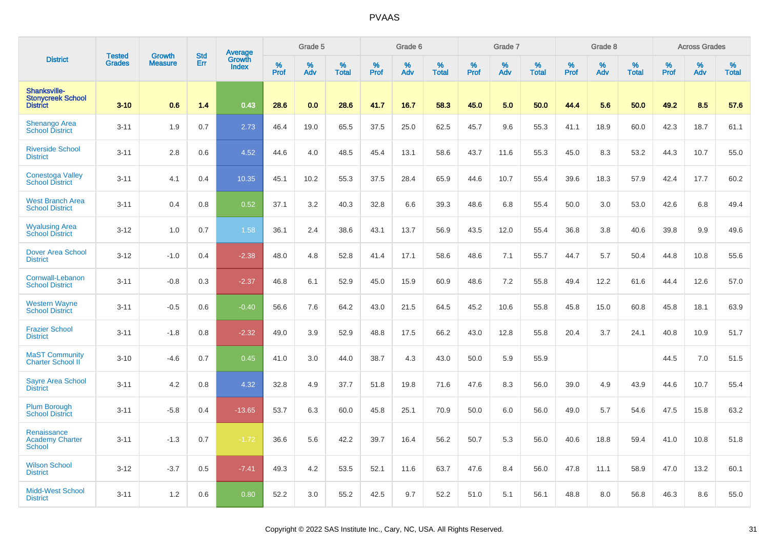|                                                             | <b>Tested</b> | <b>Growth</b>  | <b>Std</b> |                                   |                     | Grade 5  |                   |           | Grade 6  |                   |              | Grade 7  |                   |           | Grade 8  |                   |                  | <b>Across Grades</b> |                   |
|-------------------------------------------------------------|---------------|----------------|------------|-----------------------------------|---------------------|----------|-------------------|-----------|----------|-------------------|--------------|----------|-------------------|-----------|----------|-------------------|------------------|----------------------|-------------------|
| <b>District</b>                                             | <b>Grades</b> | <b>Measure</b> | Err        | Average<br>Growth<br><b>Index</b> | $\%$<br><b>Prof</b> | %<br>Adv | %<br><b>Total</b> | %<br>Prof | %<br>Adv | %<br><b>Total</b> | $\%$<br>Prof | %<br>Adv | %<br><b>Total</b> | %<br>Prof | %<br>Adv | %<br><b>Total</b> | %<br><b>Prof</b> | %<br>Adv             | %<br><b>Total</b> |
| Shanksville-<br><b>Stonvcreek School</b><br><b>District</b> | $3 - 10$      | 0.6            | 1.4        | 0.43                              | 28.6                | 0.0      | 28.6              | 41.7      | 16.7     | 58.3              | 45.0         | 5.0      | 50.0              | 44.4      | 5.6      | 50.0              | 49.2             | 8.5                  | 57.6              |
| <b>Shenango Area</b><br><b>School District</b>              | $3 - 11$      | 1.9            | 0.7        | 2.73                              | 46.4                | 19.0     | 65.5              | 37.5      | 25.0     | 62.5              | 45.7         | 9.6      | 55.3              | 41.1      | 18.9     | 60.0              | 42.3             | 18.7                 | 61.1              |
| <b>Riverside School</b><br><b>District</b>                  | $3 - 11$      | 2.8            | 0.6        | 4.52                              | 44.6                | 4.0      | 48.5              | 45.4      | 13.1     | 58.6              | 43.7         | 11.6     | 55.3              | 45.0      | 8.3      | 53.2              | 44.3             | 10.7                 | 55.0              |
| <b>Conestoga Valley</b><br><b>School District</b>           | $3 - 11$      | 4.1            | 0.4        | 10.35                             | 45.1                | 10.2     | 55.3              | 37.5      | 28.4     | 65.9              | 44.6         | 10.7     | 55.4              | 39.6      | 18.3     | 57.9              | 42.4             | 17.7                 | 60.2              |
| <b>West Branch Area</b><br><b>School District</b>           | $3 - 11$      | 0.4            | 0.8        | 0.52                              | 37.1                | 3.2      | 40.3              | 32.8      | 6.6      | 39.3              | 48.6         | 6.8      | 55.4              | 50.0      | 3.0      | 53.0              | 42.6             | 6.8                  | 49.4              |
| <b>Wyalusing Area</b><br><b>School District</b>             | $3-12$        | 1.0            | 0.7        | 1.58                              | 36.1                | 2.4      | 38.6              | 43.1      | 13.7     | 56.9              | 43.5         | 12.0     | 55.4              | 36.8      | 3.8      | 40.6              | 39.8             | 9.9                  | 49.6              |
| <b>Dover Area School</b><br><b>District</b>                 | $3 - 12$      | $-1.0$         | 0.4        | $-2.38$                           | 48.0                | 4.8      | 52.8              | 41.4      | 17.1     | 58.6              | 48.6         | 7.1      | 55.7              | 44.7      | 5.7      | 50.4              | 44.8             | 10.8                 | 55.6              |
| Cornwall-Lebanon<br><b>School District</b>                  | $3 - 11$      | $-0.8$         | 0.3        | $-2.37$                           | 46.8                | 6.1      | 52.9              | 45.0      | 15.9     | 60.9              | 48.6         | 7.2      | 55.8              | 49.4      | 12.2     | 61.6              | 44.4             | 12.6                 | 57.0              |
| <b>Western Wayne</b><br><b>School District</b>              | $3 - 11$      | $-0.5$         | 0.6        | $-0.40$                           | 56.6                | 7.6      | 64.2              | 43.0      | 21.5     | 64.5              | 45.2         | 10.6     | 55.8              | 45.8      | 15.0     | 60.8              | 45.8             | 18.1                 | 63.9              |
| <b>Frazier School</b><br><b>District</b>                    | $3 - 11$      | $-1.8$         | 0.8        | $-2.32$                           | 49.0                | 3.9      | 52.9              | 48.8      | 17.5     | 66.2              | 43.0         | 12.8     | 55.8              | 20.4      | 3.7      | 24.1              | 40.8             | 10.9                 | 51.7              |
| <b>MaST Community</b><br>Charter School II                  | $3 - 10$      | $-4.6$         | 0.7        | 0.45                              | 41.0                | 3.0      | 44.0              | 38.7      | 4.3      | 43.0              | 50.0         | 5.9      | 55.9              |           |          |                   | 44.5             | 7.0                  | 51.5              |
| <b>Sayre Area School</b><br><b>District</b>                 | $3 - 11$      | 4.2            | 0.8        | 4.32                              | 32.8                | 4.9      | 37.7              | 51.8      | 19.8     | 71.6              | 47.6         | 8.3      | 56.0              | 39.0      | 4.9      | 43.9              | 44.6             | 10.7                 | 55.4              |
| <b>Plum Borough</b><br><b>School District</b>               | $3 - 11$      | $-5.8$         | 0.4        | $-13.65$                          | 53.7                | 6.3      | 60.0              | 45.8      | 25.1     | 70.9              | 50.0         | 6.0      | 56.0              | 49.0      | 5.7      | 54.6              | 47.5             | 15.8                 | 63.2              |
| Renaissance<br><b>Academy Charter</b><br><b>School</b>      | $3 - 11$      | $-1.3$         | 0.7        | $-1.72$                           | 36.6                | 5.6      | 42.2              | 39.7      | 16.4     | 56.2              | 50.7         | 5.3      | 56.0              | 40.6      | 18.8     | 59.4              | 41.0             | 10.8                 | 51.8              |
| <b>Wilson School</b><br><b>District</b>                     | $3 - 12$      | $-3.7$         | 0.5        | $-7.41$                           | 49.3                | 4.2      | 53.5              | 52.1      | 11.6     | 63.7              | 47.6         | 8.4      | 56.0              | 47.8      | 11.1     | 58.9              | 47.0             | 13.2                 | 60.1              |
| <b>Midd-West School</b><br><b>District</b>                  | $3 - 11$      | 1.2            | 0.6        | 0.80                              | 52.2                | 3.0      | 55.2              | 42.5      | 9.7      | 52.2              | 51.0         | 5.1      | 56.1              | 48.8      | 8.0      | 56.8              | 46.3             | 8.6                  | 55.0              |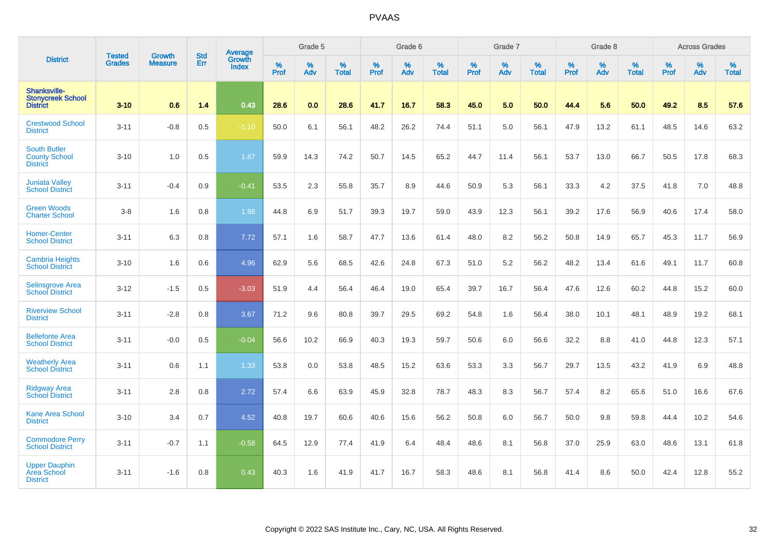|                                                                |                                |                                 | <b>Std</b> | Average                       |           | Grade 5  |                   |           | Grade 6  |                   |           | Grade 7  |                   |           | Grade 8  |                   |           | <b>Across Grades</b> |                   |
|----------------------------------------------------------------|--------------------------------|---------------------------------|------------|-------------------------------|-----------|----------|-------------------|-----------|----------|-------------------|-----------|----------|-------------------|-----------|----------|-------------------|-----------|----------------------|-------------------|
| <b>District</b>                                                | <b>Tested</b><br><b>Grades</b> | <b>Growth</b><br><b>Measure</b> | Err        | <b>Growth</b><br><b>Index</b> | %<br>Prof | %<br>Adv | %<br><b>Total</b> | %<br>Prof | %<br>Adv | %<br><b>Total</b> | %<br>Prof | %<br>Adv | %<br><b>Total</b> | %<br>Prof | %<br>Adv | %<br><b>Total</b> | %<br>Prof | %<br>Adv             | %<br><b>Total</b> |
| Shanksville-<br><b>Stonycreek School</b><br><b>District</b>    | $3 - 10$                       | 0.6                             | 1.4        | 0.43                          | 28.6      | 0.0      | 28.6              | 41.7      | 16.7     | 58.3              | 45.0      | 5.0      | 50.0              | 44.4      | 5.6      | 50.0              | 49.2      | 8.5                  | 57.6              |
| <b>Crestwood School</b><br><b>District</b>                     | $3 - 11$                       | $-0.8$                          | 0.5        | $-1.10$                       | 50.0      | 6.1      | 56.1              | 48.2      | 26.2     | 74.4              | 51.1      | 5.0      | 56.1              | 47.9      | 13.2     | 61.1              | 48.5      | 14.6                 | 63.2              |
| <b>South Butler</b><br><b>County School</b><br><b>District</b> | $3 - 10$                       | 1.0                             | 0.5        | 1.87                          | 59.9      | 14.3     | 74.2              | 50.7      | 14.5     | 65.2              | 44.7      | 11.4     | 56.1              | 53.7      | 13.0     | 66.7              | 50.5      | 17.8                 | 68.3              |
| <b>Juniata Valley</b><br><b>School District</b>                | $3 - 11$                       | $-0.4$                          | 0.9        | $-0.41$                       | 53.5      | 2.3      | 55.8              | 35.7      | 8.9      | 44.6              | 50.9      | 5.3      | 56.1              | 33.3      | 4.2      | 37.5              | 41.8      | 7.0                  | 48.8              |
| <b>Green Woods</b><br><b>Charter School</b>                    | $3-8$                          | 1.6                             | 0.8        | 1.88                          | 44.8      | 6.9      | 51.7              | 39.3      | 19.7     | 59.0              | 43.9      | 12.3     | 56.1              | 39.2      | 17.6     | 56.9              | 40.6      | 17.4                 | 58.0              |
| <b>Homer-Center</b><br><b>School District</b>                  | $3 - 11$                       | 6.3                             | 0.8        | 7.72                          | 57.1      | 1.6      | 58.7              | 47.7      | 13.6     | 61.4              | 48.0      | 8.2      | 56.2              | 50.8      | 14.9     | 65.7              | 45.3      | 11.7                 | 56.9              |
| <b>Cambria Heights</b><br><b>School District</b>               | $3 - 10$                       | 1.6                             | 0.6        | 4.96                          | 62.9      | 5.6      | 68.5              | 42.6      | 24.8     | 67.3              | 51.0      | 5.2      | 56.2              | 48.2      | 13.4     | 61.6              | 49.1      | 11.7                 | 60.8              |
| <b>Selinsgrove Area</b><br><b>School District</b>              | $3 - 12$                       | $-1.5$                          | 0.5        | $-3.03$                       | 51.9      | 4.4      | 56.4              | 46.4      | 19.0     | 65.4              | 39.7      | 16.7     | 56.4              | 47.6      | 12.6     | 60.2              | 44.8      | 15.2                 | 60.0              |
| <b>Riverview School</b><br><b>District</b>                     | $3 - 11$                       | $-2.8$                          | 0.8        | 3.67                          | 71.2      | 9.6      | 80.8              | 39.7      | 29.5     | 69.2              | 54.8      | 1.6      | 56.4              | 38.0      | 10.1     | 48.1              | 48.9      | 19.2                 | 68.1              |
| <b>Bellefonte Area</b><br><b>School District</b>               | $3 - 11$                       | $-0.0$                          | 0.5        | $-0.04$                       | 56.6      | 10.2     | 66.9              | 40.3      | 19.3     | 59.7              | 50.6      | 6.0      | 56.6              | 32.2      | 8.8      | 41.0              | 44.8      | 12.3                 | 57.1              |
| <b>Weatherly Area</b><br><b>School District</b>                | $3 - 11$                       | 0.6                             | 1.1        | 1.33                          | 53.8      | 0.0      | 53.8              | 48.5      | 15.2     | 63.6              | 53.3      | 3.3      | 56.7              | 29.7      | 13.5     | 43.2              | 41.9      | 6.9                  | 48.8              |
| <b>Ridgway Area</b><br><b>School District</b>                  | $3 - 11$                       | 2.8                             | 0.8        | 2.72                          | 57.4      | 6.6      | 63.9              | 45.9      | 32.8     | 78.7              | 48.3      | 8.3      | 56.7              | 57.4      | 8.2      | 65.6              | 51.0      | 16.6                 | 67.6              |
| <b>Kane Area School</b><br><b>District</b>                     | $3 - 10$                       | 3.4                             | 0.7        | 4.52                          | 40.8      | 19.7     | 60.6              | 40.6      | 15.6     | 56.2              | 50.8      | 6.0      | 56.7              | 50.0      | 9.8      | 59.8              | 44.4      | 10.2                 | 54.6              |
| <b>Commodore Perry</b><br><b>School District</b>               | $3 - 11$                       | $-0.7$                          | 1.1        | $-0.58$                       | 64.5      | 12.9     | 77.4              | 41.9      | 6.4      | 48.4              | 48.6      | 8.1      | 56.8              | 37.0      | 25.9     | 63.0              | 48.6      | 13.1                 | 61.8              |
| <b>Upper Dauphin</b><br><b>Area School</b><br><b>District</b>  | $3 - 11$                       | $-1.6$                          | 0.8        | 0.43                          | 40.3      | 1.6      | 41.9              | 41.7      | 16.7     | 58.3              | 48.6      | 8.1      | 56.8              | 41.4      | 8.6      | 50.0              | 42.4      | 12.8                 | 55.2              |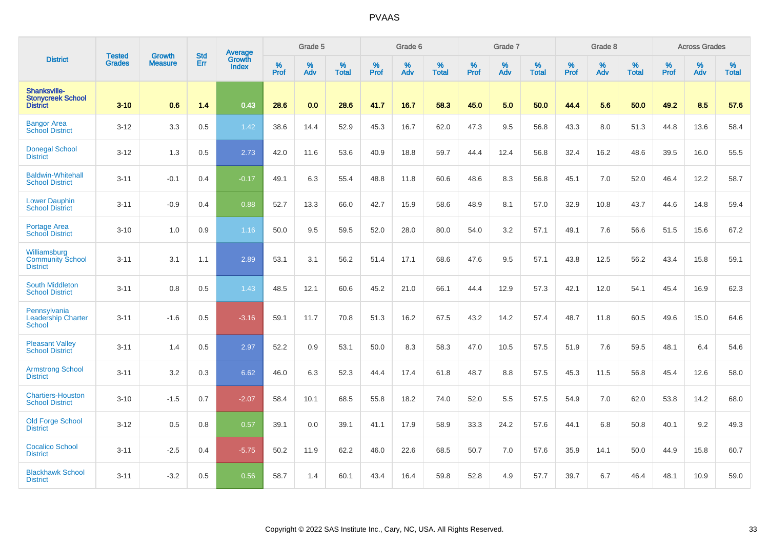|                                                             | <b>Tested</b> | <b>Growth</b>  | <b>Std</b> | Average                       |              | Grade 5  |                   |           | Grade 6  |                   |           | Grade 7  |                   |           | Grade 8  |                   |           | <b>Across Grades</b> |                   |
|-------------------------------------------------------------|---------------|----------------|------------|-------------------------------|--------------|----------|-------------------|-----------|----------|-------------------|-----------|----------|-------------------|-----------|----------|-------------------|-----------|----------------------|-------------------|
| <b>District</b>                                             | <b>Grades</b> | <b>Measure</b> | Err        | <b>Growth</b><br><b>Index</b> | $\%$<br>Prof | %<br>Adv | %<br><b>Total</b> | %<br>Prof | %<br>Adv | %<br><b>Total</b> | %<br>Prof | %<br>Adv | %<br><b>Total</b> | %<br>Prof | %<br>Adv | %<br><b>Total</b> | %<br>Prof | %<br>Adv             | %<br><b>Total</b> |
| Shanksville-<br><b>Stonycreek School</b><br><b>District</b> | $3 - 10$      | 0.6            | 1.4        | 0.43                          | 28.6         | 0.0      | 28.6              | 41.7      | 16.7     | 58.3              | 45.0      | 5.0      | 50.0              | 44.4      | 5.6      | 50.0              | 49.2      | 8.5                  | 57.6              |
| <b>Bangor Area</b><br><b>School District</b>                | $3 - 12$      | 3.3            | 0.5        | 1.42                          | 38.6         | 14.4     | 52.9              | 45.3      | 16.7     | 62.0              | 47.3      | 9.5      | 56.8              | 43.3      | 8.0      | 51.3              | 44.8      | 13.6                 | 58.4              |
| <b>Donegal School</b><br><b>District</b>                    | $3 - 12$      | 1.3            | 0.5        | 2.73                          | 42.0         | 11.6     | 53.6              | 40.9      | 18.8     | 59.7              | 44.4      | 12.4     | 56.8              | 32.4      | 16.2     | 48.6              | 39.5      | 16.0                 | 55.5              |
| <b>Baldwin-Whitehall</b><br><b>School District</b>          | $3 - 11$      | $-0.1$         | 0.4        | $-0.17$                       | 49.1         | 6.3      | 55.4              | 48.8      | 11.8     | 60.6              | 48.6      | 8.3      | 56.8              | 45.1      | 7.0      | 52.0              | 46.4      | 12.2                 | 58.7              |
| <b>Lower Dauphin</b><br><b>School District</b>              | $3 - 11$      | $-0.9$         | 0.4        | 0.88                          | 52.7         | 13.3     | 66.0              | 42.7      | 15.9     | 58.6              | 48.9      | 8.1      | 57.0              | 32.9      | 10.8     | 43.7              | 44.6      | 14.8                 | 59.4              |
| Portage Area<br><b>School District</b>                      | $3 - 10$      | 1.0            | 0.9        | 1.16                          | 50.0         | 9.5      | 59.5              | 52.0      | 28.0     | 80.0              | 54.0      | 3.2      | 57.1              | 49.1      | 7.6      | 56.6              | 51.5      | 15.6                 | 67.2              |
| Williamsburg<br><b>Community School</b><br><b>District</b>  | $3 - 11$      | 3.1            | 1.1        | 2.89                          | 53.1         | 3.1      | 56.2              | 51.4      | 17.1     | 68.6              | 47.6      | 9.5      | 57.1              | 43.8      | 12.5     | 56.2              | 43.4      | 15.8                 | 59.1              |
| <b>South Middleton</b><br><b>School District</b>            | $3 - 11$      | 0.8            | 0.5        | 1.43                          | 48.5         | 12.1     | 60.6              | 45.2      | 21.0     | 66.1              | 44.4      | 12.9     | 57.3              | 42.1      | 12.0     | 54.1              | 45.4      | 16.9                 | 62.3              |
| Pennsylvania<br><b>Leadership Charter</b><br><b>School</b>  | $3 - 11$      | $-1.6$         | 0.5        | $-3.16$                       | 59.1         | 11.7     | 70.8              | 51.3      | 16.2     | 67.5              | 43.2      | 14.2     | 57.4              | 48.7      | 11.8     | 60.5              | 49.6      | 15.0                 | 64.6              |
| <b>Pleasant Valley</b><br><b>School District</b>            | $3 - 11$      | 1.4            | 0.5        | 2.97                          | 52.2         | 0.9      | 53.1              | 50.0      | 8.3      | 58.3              | 47.0      | 10.5     | 57.5              | 51.9      | 7.6      | 59.5              | 48.1      | 6.4                  | 54.6              |
| <b>Armstrong School</b><br><b>District</b>                  | $3 - 11$      | 3.2            | 0.3        | 6.62                          | 46.0         | 6.3      | 52.3              | 44.4      | 17.4     | 61.8              | 48.7      | 8.8      | 57.5              | 45.3      | 11.5     | 56.8              | 45.4      | 12.6                 | 58.0              |
| <b>Chartiers-Houston</b><br><b>School District</b>          | $3 - 10$      | $-1.5$         | 0.7        | $-2.07$                       | 58.4         | 10.1     | 68.5              | 55.8      | 18.2     | 74.0              | 52.0      | 5.5      | 57.5              | 54.9      | 7.0      | 62.0              | 53.8      | 14.2                 | 68.0              |
| <b>Old Forge School</b><br><b>District</b>                  | $3 - 12$      | 0.5            | 0.8        | 0.57                          | 39.1         | 0.0      | 39.1              | 41.1      | 17.9     | 58.9              | 33.3      | 24.2     | 57.6              | 44.1      | 6.8      | 50.8              | 40.1      | 9.2                  | 49.3              |
| <b>Cocalico School</b><br><b>District</b>                   | $3 - 11$      | $-2.5$         | 0.4        | $-5.75$                       | 50.2         | 11.9     | 62.2              | 46.0      | 22.6     | 68.5              | 50.7      | 7.0      | 57.6              | 35.9      | 14.1     | 50.0              | 44.9      | 15.8                 | 60.7              |
| <b>Blackhawk School</b><br><b>District</b>                  | $3 - 11$      | $-3.2$         | 0.5        | 0.56                          | 58.7         | 1.4      | 60.1              | 43.4      | 16.4     | 59.8              | 52.8      | 4.9      | 57.7              | 39.7      | 6.7      | 46.4              | 48.1      | 10.9                 | 59.0              |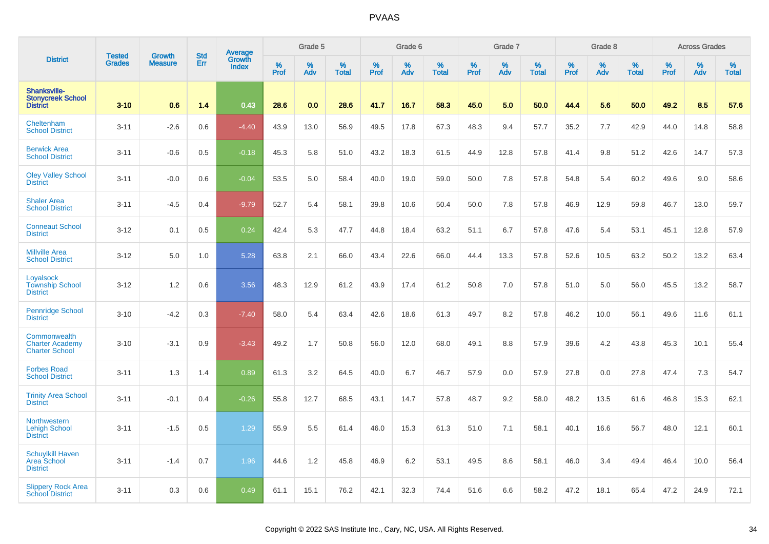|                                                                    | <b>Tested</b> | <b>Growth</b>  | <b>Std</b> | <b>Average</b><br>Growth |                     | Grade 5  |                   |                  | Grade 6  |                   |                  | Grade 7  |                   |           | Grade 8  |                   |           | <b>Across Grades</b> |                   |
|--------------------------------------------------------------------|---------------|----------------|------------|--------------------------|---------------------|----------|-------------------|------------------|----------|-------------------|------------------|----------|-------------------|-----------|----------|-------------------|-----------|----------------------|-------------------|
| <b>District</b>                                                    | <b>Grades</b> | <b>Measure</b> | Err        | <b>Index</b>             | $\%$<br><b>Prof</b> | %<br>Adv | %<br><b>Total</b> | %<br><b>Prof</b> | %<br>Adv | %<br><b>Total</b> | %<br><b>Prof</b> | %<br>Adv | %<br><b>Total</b> | %<br>Prof | %<br>Adv | %<br><b>Total</b> | %<br>Prof | %<br>Adv             | %<br><b>Total</b> |
| <b>Shanksville-</b><br><b>Stonycreek School</b><br><b>District</b> | $3 - 10$      | 0.6            | 1.4        | 0.43                     | 28.6                | 0.0      | 28.6              | 41.7             | 16.7     | 58.3              | 45.0             | 5.0      | 50.0              | 44.4      | 5.6      | 50.0              | 49.2      | 8.5                  | 57.6              |
| Cheltenham<br><b>School District</b>                               | $3 - 11$      | $-2.6$         | 0.6        | $-4.40$                  | 43.9                | 13.0     | 56.9              | 49.5             | 17.8     | 67.3              | 48.3             | 9.4      | 57.7              | 35.2      | 7.7      | 42.9              | 44.0      | 14.8                 | 58.8              |
| <b>Berwick Area</b><br><b>School District</b>                      | $3 - 11$      | $-0.6$         | 0.5        | $-0.18$                  | 45.3                | 5.8      | 51.0              | 43.2             | 18.3     | 61.5              | 44.9             | 12.8     | 57.8              | 41.4      | 9.8      | 51.2              | 42.6      | 14.7                 | 57.3              |
| <b>Oley Valley School</b><br><b>District</b>                       | $3 - 11$      | $-0.0$         | 0.6        | $-0.04$                  | 53.5                | 5.0      | 58.4              | 40.0             | 19.0     | 59.0              | 50.0             | $7.8\,$  | 57.8              | 54.8      | 5.4      | 60.2              | 49.6      | 9.0                  | 58.6              |
| <b>Shaler Area</b><br><b>School District</b>                       | $3 - 11$      | $-4.5$         | 0.4        | $-9.79$                  | 52.7                | 5.4      | 58.1              | 39.8             | 10.6     | 50.4              | 50.0             | 7.8      | 57.8              | 46.9      | 12.9     | 59.8              | 46.7      | 13.0                 | 59.7              |
| <b>Conneaut School</b><br><b>District</b>                          | $3 - 12$      | 0.1            | 0.5        | 0.24                     | 42.4                | 5.3      | 47.7              | 44.8             | 18.4     | 63.2              | 51.1             | 6.7      | 57.8              | 47.6      | 5.4      | 53.1              | 45.1      | 12.8                 | 57.9              |
| <b>Millville Area</b><br><b>School District</b>                    | $3 - 12$      | 5.0            | 1.0        | 5.28                     | 63.8                | 2.1      | 66.0              | 43.4             | 22.6     | 66.0              | 44.4             | 13.3     | 57.8              | 52.6      | 10.5     | 63.2              | 50.2      | 13.2                 | 63.4              |
| Loyalsock<br><b>Township School</b><br><b>District</b>             | $3 - 12$      | 1.2            | 0.6        | 3.56                     | 48.3                | 12.9     | 61.2              | 43.9             | 17.4     | 61.2              | 50.8             | 7.0      | 57.8              | 51.0      | 5.0      | 56.0              | 45.5      | 13.2                 | 58.7              |
| <b>Pennridge School</b><br><b>District</b>                         | $3 - 10$      | $-4.2$         | 0.3        | $-7.40$                  | 58.0                | 5.4      | 63.4              | 42.6             | 18.6     | 61.3              | 49.7             | 8.2      | 57.8              | 46.2      | 10.0     | 56.1              | 49.6      | 11.6                 | 61.1              |
| Commonwealth<br><b>Charter Academy</b><br><b>Charter School</b>    | $3 - 10$      | $-3.1$         | 0.9        | $-3.43$                  | 49.2                | 1.7      | 50.8              | 56.0             | 12.0     | 68.0              | 49.1             | 8.8      | 57.9              | 39.6      | 4.2      | 43.8              | 45.3      | 10.1                 | 55.4              |
| <b>Forbes Road</b><br><b>School District</b>                       | $3 - 11$      | 1.3            | 1.4        | 0.89                     | 61.3                | 3.2      | 64.5              | 40.0             | 6.7      | 46.7              | 57.9             | 0.0      | 57.9              | 27.8      | 0.0      | 27.8              | 47.4      | 7.3                  | 54.7              |
| <b>Trinity Area School</b><br><b>District</b>                      | $3 - 11$      | $-0.1$         | 0.4        | $-0.26$                  | 55.8                | 12.7     | 68.5              | 43.1             | 14.7     | 57.8              | 48.7             | 9.2      | 58.0              | 48.2      | 13.5     | 61.6              | 46.8      | 15.3                 | 62.1              |
| Northwestern<br><b>Lehigh School</b><br><b>District</b>            | $3 - 11$      | $-1.5$         | 0.5        | 1.29                     | 55.9                | 5.5      | 61.4              | 46.0             | 15.3     | 61.3              | 51.0             | 7.1      | 58.1              | 40.1      | 16.6     | 56.7              | 48.0      | 12.1                 | 60.1              |
| <b>Schuylkill Haven</b><br><b>Area School</b><br><b>District</b>   | $3 - 11$      | $-1.4$         | 0.7        | 1.96                     | 44.6                | 1.2      | 45.8              | 46.9             | 6.2      | 53.1              | 49.5             | 8.6      | 58.1              | 46.0      | 3.4      | 49.4              | 46.4      | 10.0                 | 56.4              |
| <b>Slippery Rock Area</b><br><b>School District</b>                | $3 - 11$      | 0.3            | 0.6        | 0.49                     | 61.1                | 15.1     | 76.2              | 42.1             | 32.3     | 74.4              | 51.6             | 6.6      | 58.2              | 47.2      | 18.1     | 65.4              | 47.2      | 24.9                 | 72.1              |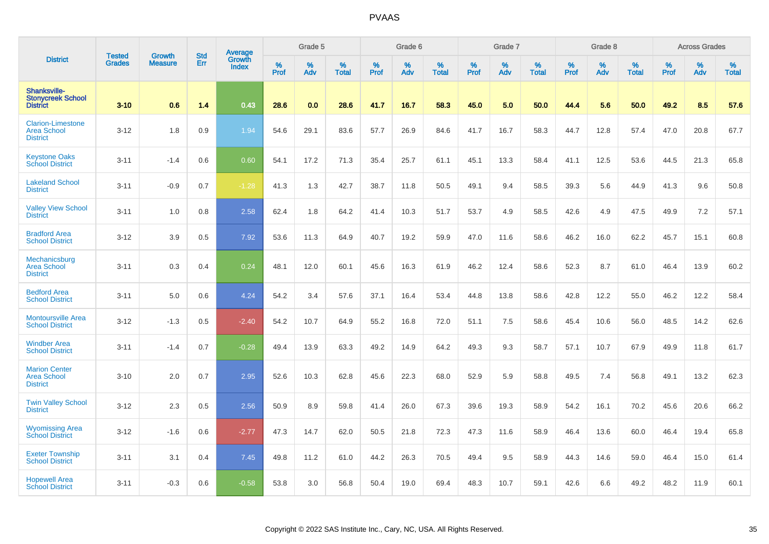|                                                                   |                                | <b>Growth</b>  | <b>Std</b> | Average                |              | Grade 5  |                   |           | Grade 6  |                   |           | Grade 7  |                   |           | Grade 8  |                   |           | <b>Across Grades</b> |                   |
|-------------------------------------------------------------------|--------------------------------|----------------|------------|------------------------|--------------|----------|-------------------|-----------|----------|-------------------|-----------|----------|-------------------|-----------|----------|-------------------|-----------|----------------------|-------------------|
| <b>District</b>                                                   | <b>Tested</b><br><b>Grades</b> | <b>Measure</b> | Err        | Growth<br><b>Index</b> | $\%$<br>Prof | %<br>Adv | %<br><b>Total</b> | %<br>Prof | %<br>Adv | %<br><b>Total</b> | %<br>Prof | %<br>Adv | %<br><b>Total</b> | %<br>Prof | %<br>Adv | %<br><b>Total</b> | %<br>Prof | %<br>Adv             | %<br><b>Total</b> |
| Shanksville-<br><b>Stonycreek School</b><br><b>District</b>       | $3 - 10$                       | 0.6            | 1.4        | 0.43                   | 28.6         | 0.0      | 28.6              | 41.7      | 16.7     | 58.3              | 45.0      | 5.0      | 50.0              | 44.4      | 5.6      | 50.0              | 49.2      | 8.5                  | 57.6              |
| <b>Clarion-Limestone</b><br><b>Area School</b><br><b>District</b> | $3 - 12$                       | 1.8            | 0.9        | 1.94                   | 54.6         | 29.1     | 83.6              | 57.7      | 26.9     | 84.6              | 41.7      | 16.7     | 58.3              | 44.7      | 12.8     | 57.4              | 47.0      | 20.8                 | 67.7              |
| <b>Keystone Oaks</b><br><b>School District</b>                    | $3 - 11$                       | $-1.4$         | 0.6        | 0.60                   | 54.1         | 17.2     | 71.3              | 35.4      | 25.7     | 61.1              | 45.1      | 13.3     | 58.4              | 41.1      | 12.5     | 53.6              | 44.5      | 21.3                 | 65.8              |
| <b>Lakeland School</b><br><b>District</b>                         | $3 - 11$                       | $-0.9$         | 0.7        | $-1.28$                | 41.3         | 1.3      | 42.7              | 38.7      | 11.8     | 50.5              | 49.1      | 9.4      | 58.5              | 39.3      | 5.6      | 44.9              | 41.3      | 9.6                  | 50.8              |
| <b>Valley View School</b><br><b>District</b>                      | $3 - 11$                       | 1.0            | 0.8        | 2.58                   | 62.4         | 1.8      | 64.2              | 41.4      | 10.3     | 51.7              | 53.7      | 4.9      | 58.5              | 42.6      | 4.9      | 47.5              | 49.9      | 7.2                  | 57.1              |
| <b>Bradford Area</b><br><b>School District</b>                    | $3 - 12$                       | 3.9            | 0.5        | 7.92                   | 53.6         | 11.3     | 64.9              | 40.7      | 19.2     | 59.9              | 47.0      | 11.6     | 58.6              | 46.2      | 16.0     | 62.2              | 45.7      | 15.1                 | 60.8              |
| Mechanicsburg<br><b>Area School</b><br><b>District</b>            | $3 - 11$                       | 0.3            | 0.4        | 0.24                   | 48.1         | 12.0     | 60.1              | 45.6      | 16.3     | 61.9              | 46.2      | 12.4     | 58.6              | 52.3      | 8.7      | 61.0              | 46.4      | 13.9                 | 60.2              |
| <b>Bedford Area</b><br><b>School District</b>                     | $3 - 11$                       | 5.0            | 0.6        | 4.24                   | 54.2         | 3.4      | 57.6              | 37.1      | 16.4     | 53.4              | 44.8      | 13.8     | 58.6              | 42.8      | 12.2     | 55.0              | 46.2      | 12.2                 | 58.4              |
| <b>Montoursville Area</b><br><b>School District</b>               | $3 - 12$                       | $-1.3$         | 0.5        | $-2.40$                | 54.2         | 10.7     | 64.9              | 55.2      | 16.8     | 72.0              | 51.1      | 7.5      | 58.6              | 45.4      | 10.6     | 56.0              | 48.5      | 14.2                 | 62.6              |
| <b>Windber Area</b><br><b>School District</b>                     | $3 - 11$                       | $-1.4$         | 0.7        | $-0.28$                | 49.4         | 13.9     | 63.3              | 49.2      | 14.9     | 64.2              | 49.3      | 9.3      | 58.7              | 57.1      | 10.7     | 67.9              | 49.9      | 11.8                 | 61.7              |
| <b>Marion Center</b><br><b>Area School</b><br><b>District</b>     | $3 - 10$                       | 2.0            | 0.7        | 2.95                   | 52.6         | 10.3     | 62.8              | 45.6      | 22.3     | 68.0              | 52.9      | 5.9      | 58.8              | 49.5      | 7.4      | 56.8              | 49.1      | 13.2                 | 62.3              |
| <b>Twin Valley School</b><br><b>District</b>                      | $3 - 12$                       | 2.3            | 0.5        | 2.56                   | 50.9         | 8.9      | 59.8              | 41.4      | 26.0     | 67.3              | 39.6      | 19.3     | 58.9              | 54.2      | 16.1     | 70.2              | 45.6      | 20.6                 | 66.2              |
| <b>Wyomissing Area</b><br><b>School District</b>                  | $3 - 12$                       | $-1.6$         | 0.6        | $-2.77$                | 47.3         | 14.7     | 62.0              | 50.5      | 21.8     | 72.3              | 47.3      | 11.6     | 58.9              | 46.4      | 13.6     | 60.0              | 46.4      | 19.4                 | 65.8              |
| <b>Exeter Township</b><br><b>School District</b>                  | $3 - 11$                       | 3.1            | 0.4        | 7.45                   | 49.8         | 11.2     | 61.0              | 44.2      | 26.3     | 70.5              | 49.4      | 9.5      | 58.9              | 44.3      | 14.6     | 59.0              | 46.4      | 15.0                 | 61.4              |
| <b>Hopewell Area</b><br><b>School District</b>                    | $3 - 11$                       | $-0.3$         | 0.6        | $-0.58$                | 53.8         | 3.0      | 56.8              | 50.4      | 19.0     | 69.4              | 48.3      | 10.7     | 59.1              | 42.6      | 6.6      | 49.2              | 48.2      | 11.9                 | 60.1              |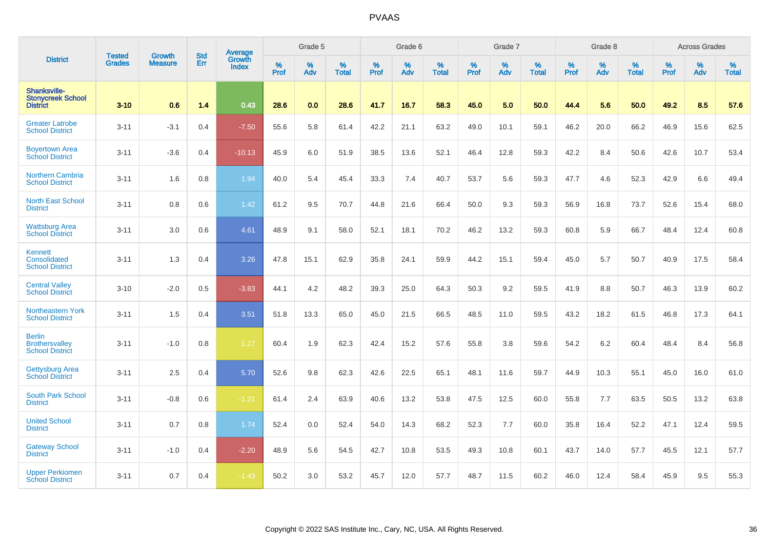|                                                                  | <b>Tested</b> | <b>Growth</b>  | <b>Std</b> | Average                       |           | Grade 5  |                   |           | Grade 6  |                   |           | Grade 7  |                   |           | Grade 8  |                   |           | <b>Across Grades</b> |                   |
|------------------------------------------------------------------|---------------|----------------|------------|-------------------------------|-----------|----------|-------------------|-----------|----------|-------------------|-----------|----------|-------------------|-----------|----------|-------------------|-----------|----------------------|-------------------|
| <b>District</b>                                                  | <b>Grades</b> | <b>Measure</b> | Err        | <b>Growth</b><br><b>Index</b> | %<br>Prof | %<br>Adv | %<br><b>Total</b> | %<br>Prof | %<br>Adv | %<br><b>Total</b> | %<br>Prof | %<br>Adv | %<br><b>Total</b> | %<br>Prof | %<br>Adv | %<br><b>Total</b> | %<br>Prof | %<br>Adv             | %<br><b>Total</b> |
| Shanksville-<br><b>Stonycreek School</b><br><b>District</b>      | $3 - 10$      | 0.6            | 1.4        | 0.43                          | 28.6      | 0.0      | 28.6              | 41.7      | 16.7     | 58.3              | 45.0      | 5.0      | 50.0              | 44.4      | 5.6      | 50.0              | 49.2      | 8.5                  | 57.6              |
| <b>Greater Latrobe</b><br><b>School District</b>                 | $3 - 11$      | $-3.1$         | 0.4        | $-7.50$                       | 55.6      | 5.8      | 61.4              | 42.2      | 21.1     | 63.2              | 49.0      | 10.1     | 59.1              | 46.2      | 20.0     | 66.2              | 46.9      | 15.6                 | 62.5              |
| <b>Boyertown Area</b><br><b>School District</b>                  | $3 - 11$      | $-3.6$         | 0.4        | $-10.13$                      | 45.9      | 6.0      | 51.9              | 38.5      | 13.6     | 52.1              | 46.4      | 12.8     | 59.3              | 42.2      | 8.4      | 50.6              | 42.6      | 10.7                 | 53.4              |
| <b>Northern Cambria</b><br><b>School District</b>                | $3 - 11$      | 1.6            | 0.8        | 1.94                          | 40.0      | 5.4      | 45.4              | 33.3      | 7.4      | 40.7              | 53.7      | 5.6      | 59.3              | 47.7      | 4.6      | 52.3              | 42.9      | 6.6                  | 49.4              |
| <b>North East School</b><br><b>District</b>                      | $3 - 11$      | 0.8            | 0.6        | 1.42                          | 61.2      | 9.5      | 70.7              | 44.8      | 21.6     | 66.4              | 50.0      | 9.3      | 59.3              | 56.9      | 16.8     | 73.7              | 52.6      | 15.4                 | 68.0              |
| <b>Wattsburg Area</b><br><b>School District</b>                  | $3 - 11$      | 3.0            | 0.6        | 4.61                          | 48.9      | 9.1      | 58.0              | 52.1      | 18.1     | 70.2              | 46.2      | 13.2     | 59.3              | 60.8      | 5.9      | 66.7              | 48.4      | 12.4                 | 60.8              |
| Kennett<br>Consolidated<br><b>School District</b>                | $3 - 11$      | 1.3            | 0.4        | 3.26                          | 47.8      | 15.1     | 62.9              | 35.8      | 24.1     | 59.9              | 44.2      | 15.1     | 59.4              | 45.0      | 5.7      | 50.7              | 40.9      | 17.5                 | 58.4              |
| <b>Central Valley</b><br><b>School District</b>                  | $3 - 10$      | $-2.0$         | 0.5        | $-3.83$                       | 44.1      | 4.2      | 48.2              | 39.3      | 25.0     | 64.3              | 50.3      | 9.2      | 59.5              | 41.9      | 8.8      | 50.7              | 46.3      | 13.9                 | 60.2              |
| <b>Northeastern York</b><br><b>School District</b>               | $3 - 11$      | 1.5            | 0.4        | 3.51                          | 51.8      | 13.3     | 65.0              | 45.0      | 21.5     | 66.5              | 48.5      | 11.0     | 59.5              | 43.2      | 18.2     | 61.5              | 46.8      | 17.3                 | 64.1              |
| <b>Berlin</b><br><b>Brothersvalley</b><br><b>School District</b> | $3 - 11$      | $-1.0$         | 0.8        | $-1.17$                       | 60.4      | 1.9      | 62.3              | 42.4      | 15.2     | 57.6              | 55.8      | 3.8      | 59.6              | 54.2      | $6.2\,$  | 60.4              | 48.4      | 8.4                  | 56.8              |
| Gettysburg Area<br><b>School District</b>                        | $3 - 11$      | 2.5            | 0.4        | 5.70                          | 52.6      | 9.8      | 62.3              | 42.6      | 22.5     | 65.1              | 48.1      | 11.6     | 59.7              | 44.9      | 10.3     | 55.1              | 45.0      | 16.0                 | 61.0              |
| South Park School<br><b>District</b>                             | $3 - 11$      | $-0.8$         | 0.6        | $-1.21$                       | 61.4      | 2.4      | 63.9              | 40.6      | 13.2     | 53.8              | 47.5      | 12.5     | 60.0              | 55.8      | 7.7      | 63.5              | 50.5      | 13.2                 | 63.8              |
| <b>United School</b><br><b>District</b>                          | $3 - 11$      | 0.7            | 0.8        | 1.74                          | 52.4      | 0.0      | 52.4              | 54.0      | 14.3     | 68.2              | 52.3      | 7.7      | 60.0              | 35.8      | 16.4     | 52.2              | 47.1      | 12.4                 | 59.5              |
| <b>Gateway School</b><br><b>District</b>                         | $3 - 11$      | $-1.0$         | 0.4        | $-2.20$                       | 48.9      | 5.6      | 54.5              | 42.7      | 10.8     | 53.5              | 49.3      | 10.8     | 60.1              | 43.7      | 14.0     | 57.7              | 45.5      | 12.1                 | 57.7              |
| <b>Upper Perkiomen</b><br><b>School District</b>                 | $3 - 11$      | 0.7            | 0.4        | $-1.43$                       | 50.2      | 3.0      | 53.2              | 45.7      | 12.0     | 57.7              | 48.7      | 11.5     | 60.2              | 46.0      | 12.4     | 58.4              | 45.9      | 9.5                  | 55.3              |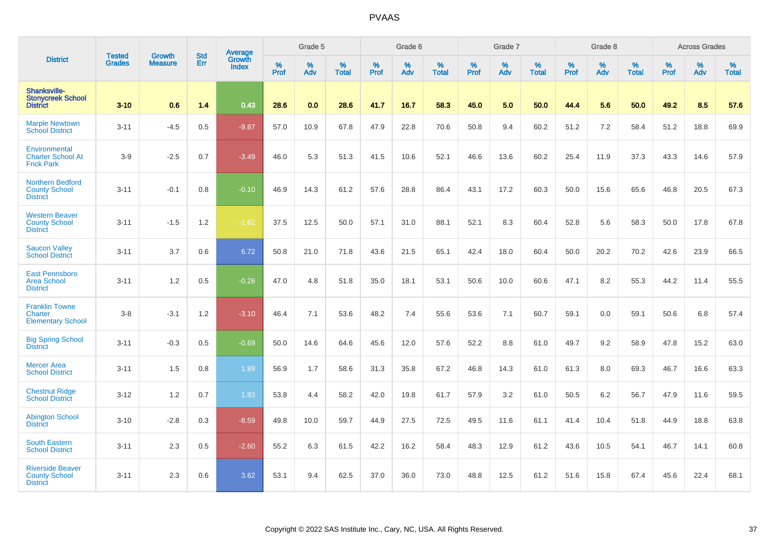|                                                                    |                                |                                 | <b>Std</b> | Average                |           | Grade 5  |                   |           | Grade 6  |                   |           | Grade 7         |                   |           | Grade 8  |                   |           | <b>Across Grades</b> |                   |
|--------------------------------------------------------------------|--------------------------------|---------------------------------|------------|------------------------|-----------|----------|-------------------|-----------|----------|-------------------|-----------|-----------------|-------------------|-----------|----------|-------------------|-----------|----------------------|-------------------|
| <b>District</b>                                                    | <b>Tested</b><br><b>Grades</b> | <b>Growth</b><br><b>Measure</b> | Err        | Growth<br><b>Index</b> | %<br>Prof | %<br>Adv | %<br><b>Total</b> | %<br>Prof | %<br>Adv | %<br><b>Total</b> | %<br>Prof | %<br><b>Adv</b> | %<br><b>Total</b> | %<br>Prof | %<br>Adv | %<br><b>Total</b> | %<br>Prof | %<br>Adv             | %<br><b>Total</b> |
| Shanksville-<br><b>Stonycreek School</b><br><b>District</b>        | $3 - 10$                       | 0.6                             | 1.4        | 0.43                   | 28.6      | 0.0      | 28.6              | 41.7      | 16.7     | 58.3              | 45.0      | 5.0             | 50.0              | 44.4      | 5.6      | 50.0              | 49.2      | 8.5                  | 57.6              |
| <b>Marple Newtown</b><br><b>School District</b>                    | $3 - 11$                       | $-4.5$                          | 0.5        | $-9.87$                | 57.0      | 10.9     | 67.8              | 47.9      | 22.8     | 70.6              | 50.8      | 9.4             | 60.2              | 51.2      | 7.2      | 58.4              | 51.2      | 18.8                 | 69.9              |
| Environmental<br><b>Charter School At</b><br><b>Frick Park</b>     | $3-9$                          | $-2.5$                          | 0.7        | $-3.49$                | 46.0      | 5.3      | 51.3              | 41.5      | 10.6     | 52.1              | 46.6      | 13.6            | 60.2              | 25.4      | 11.9     | 37.3              | 43.3      | 14.6                 | 57.9              |
| <b>Northern Bedford</b><br><b>County School</b><br><b>District</b> | $3 - 11$                       | $-0.1$                          | 0.8        | $-0.10$                | 46.9      | 14.3     | 61.2              | 57.6      | 28.8     | 86.4              | 43.1      | 17.2            | 60.3              | 50.0      | 15.6     | 65.6              | 46.8      | 20.5                 | 67.3              |
| <b>Western Beaver</b><br><b>County School</b><br><b>District</b>   | $3 - 11$                       | $-1.5$                          | 1.2        | $-1.62$                | 37.5      | 12.5     | 50.0              | 57.1      | 31.0     | 88.1              | 52.1      | 8.3             | 60.4              | 52.8      | 5.6      | 58.3              | 50.0      | 17.8                 | 67.8              |
| <b>Saucon Valley</b><br><b>School District</b>                     | $3 - 11$                       | 3.7                             | 0.6        | 6.72                   | 50.8      | 21.0     | 71.8              | 43.6      | 21.5     | 65.1              | 42.4      | 18.0            | 60.4              | 50.0      | 20.2     | 70.2              | 42.6      | 23.9                 | 66.5              |
| <b>East Pennsboro</b><br><b>Area School</b><br><b>District</b>     | $3 - 11$                       | 1.2                             | 0.5        | $-0.26$                | 47.0      | 4.8      | 51.8              | 35.0      | 18.1     | 53.1              | 50.6      | 10.0            | 60.6              | 47.1      | 8.2      | 55.3              | 44.2      | 11.4                 | 55.5              |
| <b>Franklin Towne</b><br>Charter<br><b>Elementary School</b>       | $3-8$                          | $-3.1$                          | 1.2        | $-3.10$                | 46.4      | 7.1      | 53.6              | 48.2      | 7.4      | 55.6              | 53.6      | 7.1             | 60.7              | 59.1      | 0.0      | 59.1              | 50.6      | 6.8                  | 57.4              |
| <b>Big Spring School</b><br><b>District</b>                        | $3 - 11$                       | $-0.3$                          | 0.5        | $-0.69$                | 50.0      | 14.6     | 64.6              | 45.6      | 12.0     | 57.6              | 52.2      | 8.8             | 61.0              | 49.7      | 9.2      | 58.9              | 47.8      | 15.2                 | 63.0              |
| <b>Mercer Area</b><br><b>School District</b>                       | $3 - 11$                       | 1.5                             | 0.8        | 1.89                   | 56.9      | 1.7      | 58.6              | 31.3      | 35.8     | 67.2              | 46.8      | 14.3            | 61.0              | 61.3      | 8.0      | 69.3              | 46.7      | 16.6                 | 63.3              |
| <b>Chestnut Ridge</b><br><b>School District</b>                    | $3 - 12$                       | 1.2                             | 0.7        | 1.83                   | 53.8      | 4.4      | 58.2              | 42.0      | 19.8     | 61.7              | 57.9      | 3.2             | 61.0              | 50.5      | $6.2\,$  | 56.7              | 47.9      | 11.6                 | 59.5              |
| <b>Abington School</b><br><b>District</b>                          | $3 - 10$                       | $-2.8$                          | 0.3        | $-8.59$                | 49.8      | 10.0     | 59.7              | 44.9      | 27.5     | 72.5              | 49.5      | 11.6            | 61.1              | 41.4      | 10.4     | 51.8              | 44.9      | 18.8                 | 63.8              |
| <b>South Eastern</b><br><b>School District</b>                     | $3 - 11$                       | 2.3                             | 0.5        | $-2.60$                | 55.2      | 6.3      | 61.5              | 42.2      | 16.2     | 58.4              | 48.3      | 12.9            | 61.2              | 43.6      | 10.5     | 54.1              | 46.7      | 14.1                 | 60.8              |
| <b>Riverside Beaver</b><br><b>County School</b><br><b>District</b> | $3 - 11$                       | 2.3                             | 0.6        | 3.62                   | 53.1      | 9.4      | 62.5              | 37.0      | 36.0     | 73.0              | 48.8      | 12.5            | 61.2              | 51.6      | 15.8     | 67.4              | 45.6      | 22.4                 | 68.1              |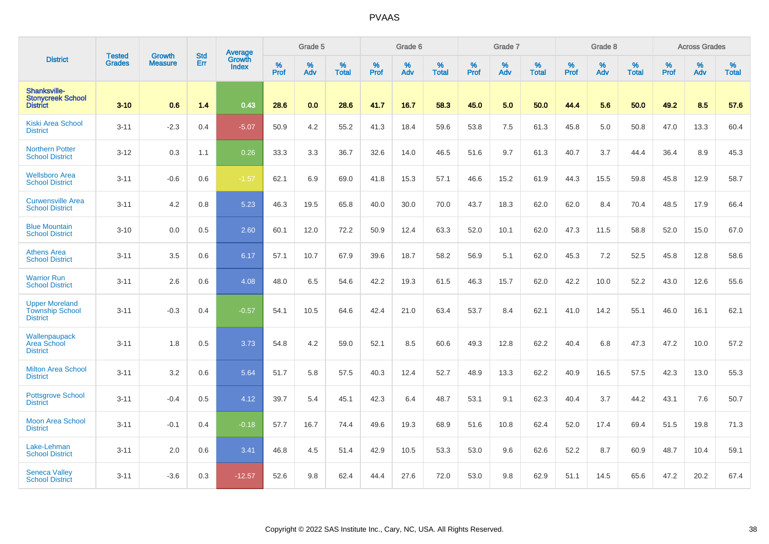|                                                                    | <b>Tested</b> | <b>Growth</b>  | <b>Std</b> | Average                       |           | Grade 5  |                   |           | Grade 6  |                   |           | Grade 7  |                   |           | Grade 8  |                   |           | <b>Across Grades</b> |                   |
|--------------------------------------------------------------------|---------------|----------------|------------|-------------------------------|-----------|----------|-------------------|-----------|----------|-------------------|-----------|----------|-------------------|-----------|----------|-------------------|-----------|----------------------|-------------------|
| <b>District</b>                                                    | <b>Grades</b> | <b>Measure</b> | Err        | <b>Growth</b><br><b>Index</b> | %<br>Prof | %<br>Adv | %<br><b>Total</b> | %<br>Prof | %<br>Adv | %<br><b>Total</b> | %<br>Prof | %<br>Adv | %<br><b>Total</b> | %<br>Prof | %<br>Adv | %<br><b>Total</b> | %<br>Prof | %<br>Adv             | %<br><b>Total</b> |
| Shanksville-<br><b>Stonycreek School</b><br><b>District</b>        | $3 - 10$      | 0.6            | 1.4        | 0.43                          | 28.6      | 0.0      | 28.6              | 41.7      | 16.7     | 58.3              | 45.0      | 5.0      | 50.0              | 44.4      | 5.6      | 50.0              | 49.2      | 8.5                  | 57.6              |
| <b>Kiski Area School</b><br><b>District</b>                        | $3 - 11$      | $-2.3$         | 0.4        | $-5.07$                       | 50.9      | 4.2      | 55.2              | 41.3      | 18.4     | 59.6              | 53.8      | 7.5      | 61.3              | 45.8      | 5.0      | 50.8              | 47.0      | 13.3                 | 60.4              |
| <b>Northern Potter</b><br><b>School District</b>                   | $3 - 12$      | 0.3            | 1.1        | 0.26                          | 33.3      | 3.3      | 36.7              | 32.6      | 14.0     | 46.5              | 51.6      | 9.7      | 61.3              | 40.7      | 3.7      | 44.4              | 36.4      | 8.9                  | 45.3              |
| <b>Wellsboro Area</b><br><b>School District</b>                    | $3 - 11$      | $-0.6$         | 0.6        | $-1.57$                       | 62.1      | 6.9      | 69.0              | 41.8      | 15.3     | 57.1              | 46.6      | 15.2     | 61.9              | 44.3      | 15.5     | 59.8              | 45.8      | 12.9                 | 58.7              |
| <b>Curwensville Area</b><br><b>School District</b>                 | $3 - 11$      | 4.2            | 0.8        | 5.23                          | 46.3      | 19.5     | 65.8              | 40.0      | 30.0     | 70.0              | 43.7      | 18.3     | 62.0              | 62.0      | 8.4      | 70.4              | 48.5      | 17.9                 | 66.4              |
| <b>Blue Mountain</b><br><b>School District</b>                     | $3 - 10$      | 0.0            | 0.5        | 2.60                          | 60.1      | 12.0     | 72.2              | 50.9      | 12.4     | 63.3              | 52.0      | 10.1     | 62.0              | 47.3      | 11.5     | 58.8              | 52.0      | 15.0                 | 67.0              |
| <b>Athens Area</b><br><b>School District</b>                       | $3 - 11$      | 3.5            | 0.6        | 6.17                          | 57.1      | 10.7     | 67.9              | 39.6      | 18.7     | 58.2              | 56.9      | 5.1      | 62.0              | 45.3      | 7.2      | 52.5              | 45.8      | 12.8                 | 58.6              |
| <b>Warrior Run</b><br><b>School District</b>                       | $3 - 11$      | 2.6            | 0.6        | 4.08                          | 48.0      | 6.5      | 54.6              | 42.2      | 19.3     | 61.5              | 46.3      | 15.7     | 62.0              | 42.2      | 10.0     | 52.2              | 43.0      | 12.6                 | 55.6              |
| <b>Upper Moreland</b><br><b>Township School</b><br><b>District</b> | $3 - 11$      | $-0.3$         | 0.4        | $-0.57$                       | 54.1      | 10.5     | 64.6              | 42.4      | 21.0     | 63.4              | 53.7      | 8.4      | 62.1              | 41.0      | 14.2     | 55.1              | 46.0      | 16.1                 | 62.1              |
| Wallenpaupack<br>Area School<br><b>District</b>                    | $3 - 11$      | 1.8            | 0.5        | 3.73                          | 54.8      | 4.2      | 59.0              | 52.1      | 8.5      | 60.6              | 49.3      | 12.8     | 62.2              | 40.4      | 6.8      | 47.3              | 47.2      | 10.0                 | 57.2              |
| <b>Milton Area School</b><br><b>District</b>                       | $3 - 11$      | 3.2            | 0.6        | 5.64                          | 51.7      | 5.8      | 57.5              | 40.3      | 12.4     | 52.7              | 48.9      | 13.3     | 62.2              | 40.9      | 16.5     | 57.5              | 42.3      | 13.0                 | 55.3              |
| <b>Pottsgrove School</b><br><b>District</b>                        | $3 - 11$      | $-0.4$         | 0.5        | 4.12                          | 39.7      | 5.4      | 45.1              | 42.3      | 6.4      | 48.7              | 53.1      | 9.1      | 62.3              | 40.4      | 3.7      | 44.2              | 43.1      | 7.6                  | 50.7              |
| <b>Moon Area School</b><br><b>District</b>                         | $3 - 11$      | $-0.1$         | 0.4        | $-0.18$                       | 57.7      | 16.7     | 74.4              | 49.6      | 19.3     | 68.9              | 51.6      | 10.8     | 62.4              | 52.0      | 17.4     | 69.4              | 51.5      | 19.8                 | 71.3              |
| Lake-Lehman<br><b>School District</b>                              | $3 - 11$      | 2.0            | 0.6        | 3.41                          | 46.8      | 4.5      | 51.4              | 42.9      | 10.5     | 53.3              | 53.0      | 9.6      | 62.6              | 52.2      | 8.7      | 60.9              | 48.7      | 10.4                 | 59.1              |
| <b>Seneca Valley</b><br><b>School District</b>                     | $3 - 11$      | $-3.6$         | 0.3        | $-12.57$                      | 52.6      | 9.8      | 62.4              | 44.4      | 27.6     | 72.0              | 53.0      | 9.8      | 62.9              | 51.1      | 14.5     | 65.6              | 47.2      | 20.2                 | 67.4              |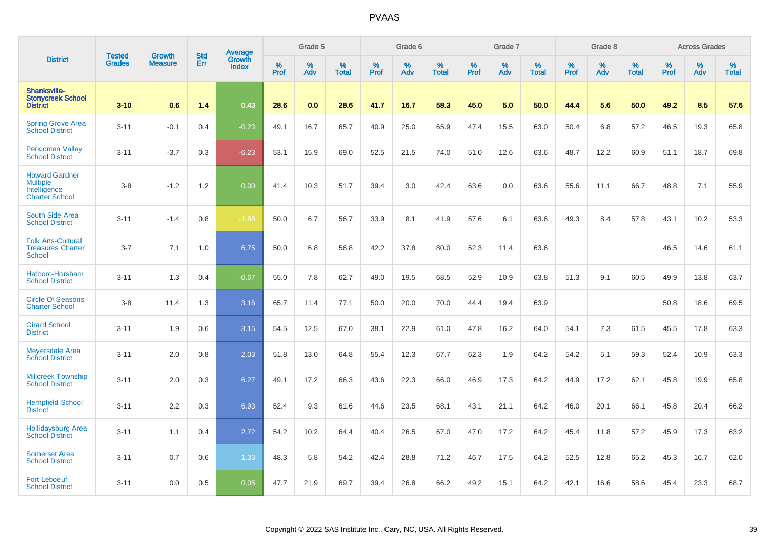|                                                                                   |                                |                                 | <b>Std</b> | <b>Average</b>  |           | Grade 5  |                   |           | Grade 6  |                   |           | Grade 7  |                   |           | Grade 8  |                   |           | <b>Across Grades</b> |                   |
|-----------------------------------------------------------------------------------|--------------------------------|---------------------------------|------------|-----------------|-----------|----------|-------------------|-----------|----------|-------------------|-----------|----------|-------------------|-----------|----------|-------------------|-----------|----------------------|-------------------|
| <b>District</b>                                                                   | <b>Tested</b><br><b>Grades</b> | <b>Growth</b><br><b>Measure</b> | Err        | Growth<br>Index | %<br>Prof | %<br>Adv | %<br><b>Total</b> | %<br>Prof | %<br>Adv | %<br><b>Total</b> | %<br>Prof | %<br>Adv | %<br><b>Total</b> | %<br>Prof | %<br>Adv | %<br><b>Total</b> | %<br>Prof | %<br>Adv             | %<br><b>Total</b> |
| Shanksville-<br><b>Stonycreek School</b><br><b>District</b>                       | $3 - 10$                       | 0.6                             | 1.4        | 0.43            | 28.6      | 0.0      | 28.6              | 41.7      | 16.7     | 58.3              | 45.0      | 5.0      | 50.0              | 44.4      | 5.6      | 50.0              | 49.2      | 8.5                  | 57.6              |
| <b>Spring Grove Area</b><br><b>School District</b>                                | $3 - 11$                       | $-0.1$                          | 0.4        | $-0.23$         | 49.1      | 16.7     | 65.7              | 40.9      | 25.0     | 65.9              | 47.4      | 15.5     | 63.0              | 50.4      | 6.8      | 57.2              | 46.5      | 19.3                 | 65.8              |
| <b>Perkiomen Valley</b><br><b>School District</b>                                 | $3 - 11$                       | $-3.7$                          | 0.3        | $-6.23$         | 53.1      | 15.9     | 69.0              | 52.5      | 21.5     | 74.0              | 51.0      | 12.6     | 63.6              | 48.7      | 12.2     | 60.9              | 51.1      | 18.7                 | 69.8              |
| <b>Howard Gardner</b><br><b>Multiple</b><br>Intelligence<br><b>Charter School</b> | $3 - 8$                        | $-1.2$                          | 1.2        | 0.00            | 41.4      | 10.3     | 51.7              | 39.4      | 3.0      | 42.4              | 63.6      | 0.0      | 63.6              | 55.6      | 11.1     | 66.7              | 48.8      | 7.1                  | 55.9              |
| South Side Area<br><b>School District</b>                                         | $3 - 11$                       | $-1.4$                          | 0.8        | $-1.85$         | 50.0      | 6.7      | 56.7              | 33.9      | 8.1      | 41.9              | 57.6      | 6.1      | 63.6              | 49.3      | 8.4      | 57.8              | 43.1      | 10.2                 | 53.3              |
| <b>Folk Arts-Cultural</b><br><b>Treasures Charter</b><br><b>School</b>            | $3 - 7$                        | 7.1                             | 1.0        | 6.75            | 50.0      | 6.8      | 56.8              | 42.2      | 37.8     | 80.0              | 52.3      | 11.4     | 63.6              |           |          |                   | 46.5      | 14.6                 | 61.1              |
| Hatboro-Horsham<br><b>School District</b>                                         | $3 - 11$                       | 1.3                             | 0.4        | $-0.67$         | 55.0      | 7.8      | 62.7              | 49.0      | 19.5     | 68.5              | 52.9      | 10.9     | 63.8              | 51.3      | 9.1      | 60.5              | 49.9      | 13.8                 | 63.7              |
| <b>Circle Of Seasons</b><br><b>Charter School</b>                                 | $3-8$                          | 11.4                            | 1.3        | 3.16            | 65.7      | 11.4     | 77.1              | 50.0      | 20.0     | 70.0              | 44.4      | 19.4     | 63.9              |           |          |                   | 50.8      | 18.6                 | 69.5              |
| <b>Girard School</b><br><b>District</b>                                           | $3 - 11$                       | 1.9                             | 0.6        | 3.15            | 54.5      | 12.5     | 67.0              | 38.1      | 22.9     | 61.0              | 47.8      | 16.2     | 64.0              | 54.1      | 7.3      | 61.5              | 45.5      | 17.8                 | 63.3              |
| <b>Meyersdale Area</b><br><b>School District</b>                                  | $3 - 11$                       | 2.0                             | 0.8        | 2.03            | 51.8      | 13.0     | 64.8              | 55.4      | 12.3     | 67.7              | 62.3      | 1.9      | 64.2              | 54.2      | 5.1      | 59.3              | 52.4      | 10.9                 | 63.3              |
| <b>Millcreek Township</b><br><b>School District</b>                               | $3 - 11$                       | 2.0                             | 0.3        | 6.27            | 49.1      | 17.2     | 66.3              | 43.6      | 22.3     | 66.0              | 46.9      | 17.3     | 64.2              | 44.9      | 17.2     | 62.1              | 45.8      | 19.9                 | 65.8              |
| <b>Hempfield School</b><br><b>District</b>                                        | $3 - 11$                       | 2.2                             | 0.3        | 6.93            | 52.4      | 9.3      | 61.6              | 44.6      | 23.5     | 68.1              | 43.1      | 21.1     | 64.2              | 46.0      | 20.1     | 66.1              | 45.8      | 20.4                 | 66.2              |
| <b>Hollidaysburg Area</b><br><b>School District</b>                               | $3 - 11$                       | 1.1                             | 0.4        | 2.72            | 54.2      | 10.2     | 64.4              | 40.4      | 26.5     | 67.0              | 47.0      | 17.2     | 64.2              | 45.4      | 11.8     | 57.2              | 45.9      | 17.3                 | 63.2              |
| <b>Somerset Area</b><br><b>School District</b>                                    | $3 - 11$                       | 0.7                             | 0.6        | 1.33            | 48.3      | 5.8      | 54.2              | 42.4      | 28.8     | 71.2              | 46.7      | 17.5     | 64.2              | 52.5      | 12.8     | 65.2              | 45.3      | 16.7                 | 62.0              |
| <b>Fort Leboeuf</b><br><b>School District</b>                                     | $3 - 11$                       | 0.0                             | 0.5        | 0.05            | 47.7      | 21.9     | 69.7              | 39.4      | 26.8     | 66.2              | 49.2      | 15.1     | 64.2              | 42.1      | 16.6     | 58.6              | 45.4      | 23.3                 | 68.7              |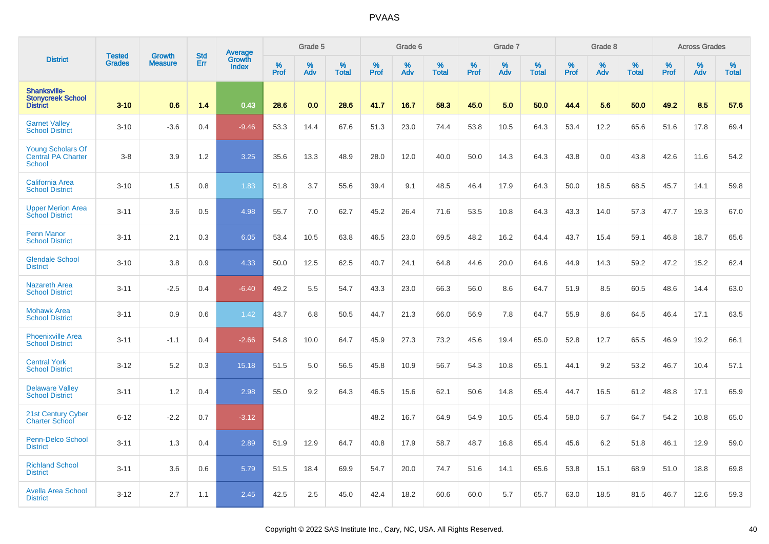|                                                                    | <b>Tested</b> | <b>Growth</b>  | <b>Std</b> |                                   |           | Grade 5  |                   |           | Grade 6  |                   |           | Grade 7  |                   |           | Grade 8  |                   |           | <b>Across Grades</b> |                   |
|--------------------------------------------------------------------|---------------|----------------|------------|-----------------------------------|-----------|----------|-------------------|-----------|----------|-------------------|-----------|----------|-------------------|-----------|----------|-------------------|-----------|----------------------|-------------------|
| <b>District</b>                                                    | <b>Grades</b> | <b>Measure</b> | Err        | <b>Average</b><br>Growth<br>Index | %<br>Prof | %<br>Adv | %<br><b>Total</b> | %<br>Prof | %<br>Adv | %<br><b>Total</b> | %<br>Prof | %<br>Adv | %<br><b>Total</b> | %<br>Prof | %<br>Adv | %<br><b>Total</b> | %<br>Prof | %<br>Adv             | %<br><b>Total</b> |
| <b>Shanksville-</b><br><b>Stonycreek School</b><br><b>District</b> | $3 - 10$      | 0.6            | 1.4        | 0.43                              | 28.6      | 0.0      | 28.6              | 41.7      | 16.7     | 58.3              | 45.0      | 5.0      | 50.0              | 44.4      | 5.6      | 50.0              | 49.2      | 8.5                  | 57.6              |
| <b>Garnet Valley</b><br><b>School District</b>                     | $3 - 10$      | $-3.6$         | 0.4        | $-9.46$                           | 53.3      | 14.4     | 67.6              | 51.3      | 23.0     | 74.4              | 53.8      | 10.5     | 64.3              | 53.4      | 12.2     | 65.6              | 51.6      | 17.8                 | 69.4              |
| <b>Young Scholars Of</b><br>Central PA Charter<br><b>School</b>    | $3-8$         | 3.9            | 1.2        | 3.25                              | 35.6      | 13.3     | 48.9              | 28.0      | 12.0     | 40.0              | 50.0      | 14.3     | 64.3              | 43.8      | 0.0      | 43.8              | 42.6      | 11.6                 | 54.2              |
| <b>California Area</b><br><b>School District</b>                   | $3 - 10$      | 1.5            | 0.8        | 1.83                              | 51.8      | 3.7      | 55.6              | 39.4      | 9.1      | 48.5              | 46.4      | 17.9     | 64.3              | 50.0      | 18.5     | 68.5              | 45.7      | 14.1                 | 59.8              |
| <b>Upper Merion Area</b><br><b>School District</b>                 | $3 - 11$      | 3.6            | 0.5        | 4.98                              | 55.7      | 7.0      | 62.7              | 45.2      | 26.4     | 71.6              | 53.5      | 10.8     | 64.3              | 43.3      | 14.0     | 57.3              | 47.7      | 19.3                 | 67.0              |
| <b>Penn Manor</b><br><b>School District</b>                        | $3 - 11$      | 2.1            | 0.3        | 6.05                              | 53.4      | 10.5     | 63.8              | 46.5      | 23.0     | 69.5              | 48.2      | 16.2     | 64.4              | 43.7      | 15.4     | 59.1              | 46.8      | 18.7                 | 65.6              |
| <b>Glendale School</b><br><b>District</b>                          | $3 - 10$      | 3.8            | 0.9        | 4.33                              | 50.0      | 12.5     | 62.5              | 40.7      | 24.1     | 64.8              | 44.6      | 20.0     | 64.6              | 44.9      | 14.3     | 59.2              | 47.2      | 15.2                 | 62.4              |
| <b>Nazareth Area</b><br><b>School District</b>                     | $3 - 11$      | $-2.5$         | 0.4        | $-6.40$                           | 49.2      | 5.5      | 54.7              | 43.3      | 23.0     | 66.3              | 56.0      | 8.6      | 64.7              | 51.9      | 8.5      | 60.5              | 48.6      | 14.4                 | 63.0              |
| <b>Mohawk Area</b><br><b>School District</b>                       | $3 - 11$      | 0.9            | 0.6        | 1.42                              | 43.7      | 6.8      | 50.5              | 44.7      | 21.3     | 66.0              | 56.9      | 7.8      | 64.7              | 55.9      | 8.6      | 64.5              | 46.4      | 17.1                 | 63.5              |
| <b>Phoenixville Area</b><br><b>School District</b>                 | $3 - 11$      | $-1.1$         | 0.4        | $-2.66$                           | 54.8      | 10.0     | 64.7              | 45.9      | 27.3     | 73.2              | 45.6      | 19.4     | 65.0              | 52.8      | 12.7     | 65.5              | 46.9      | 19.2                 | 66.1              |
| <b>Central York</b><br><b>School District</b>                      | $3 - 12$      | 5.2            | 0.3        | 15.18                             | 51.5      | 5.0      | 56.5              | 45.8      | 10.9     | 56.7              | 54.3      | 10.8     | 65.1              | 44.1      | 9.2      | 53.2              | 46.7      | 10.4                 | 57.1              |
| <b>Delaware Valley</b><br><b>School District</b>                   | $3 - 11$      | 1.2            | 0.4        | 2.98                              | 55.0      | 9.2      | 64.3              | 46.5      | 15.6     | 62.1              | 50.6      | 14.8     | 65.4              | 44.7      | 16.5     | 61.2              | 48.8      | 17.1                 | 65.9              |
| 21st Century Cyber<br><b>Charter School</b>                        | $6 - 12$      | $-2.2$         | 0.7        | $-3.12$                           |           |          |                   | 48.2      | 16.7     | 64.9              | 54.9      | 10.5     | 65.4              | 58.0      | 6.7      | 64.7              | 54.2      | 10.8                 | 65.0              |
| Penn-Delco School<br><b>District</b>                               | $3 - 11$      | 1.3            | 0.4        | 2.89                              | 51.9      | 12.9     | 64.7              | 40.8      | 17.9     | 58.7              | 48.7      | 16.8     | 65.4              | 45.6      | 6.2      | 51.8              | 46.1      | 12.9                 | 59.0              |
| <b>Richland School</b><br><b>District</b>                          | $3 - 11$      | 3.6            | 0.6        | 5.79                              | 51.5      | 18.4     | 69.9              | 54.7      | 20.0     | 74.7              | 51.6      | 14.1     | 65.6              | 53.8      | 15.1     | 68.9              | 51.0      | 18.8                 | 69.8              |
| <b>Avella Area School</b><br><b>District</b>                       | $3 - 12$      | 2.7            | 1.1        | 2.45                              | 42.5      | 2.5      | 45.0              | 42.4      | 18.2     | 60.6              | 60.0      | 5.7      | 65.7              | 63.0      | 18.5     | 81.5              | 46.7      | 12.6                 | 59.3              |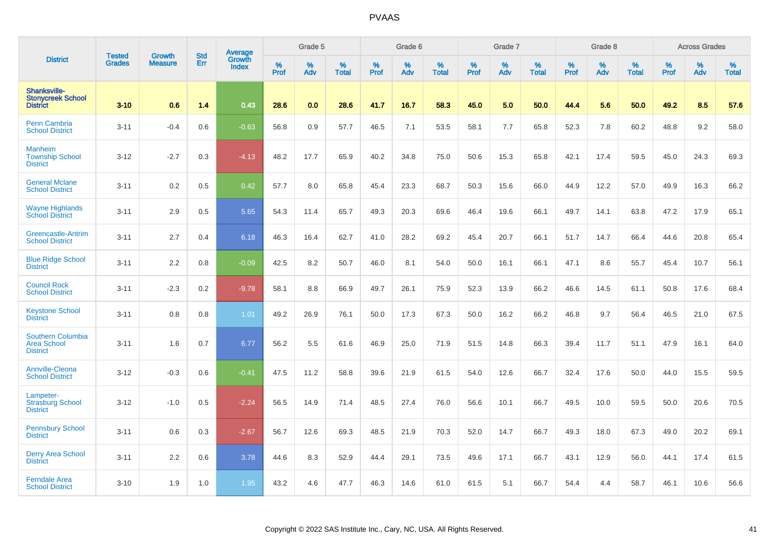|                                                                   | <b>Tested</b> | <b>Growth</b>  | <b>Std</b> | <b>Average</b><br>Growth |                     | Grade 5  |                   |           | Grade 6  |                   |                  | Grade 7  |                   |           | Grade 8  |                   |                  | <b>Across Grades</b> |                   |
|-------------------------------------------------------------------|---------------|----------------|------------|--------------------------|---------------------|----------|-------------------|-----------|----------|-------------------|------------------|----------|-------------------|-----------|----------|-------------------|------------------|----------------------|-------------------|
| <b>District</b>                                                   | <b>Grades</b> | <b>Measure</b> | Err        | <b>Index</b>             | $\%$<br><b>Prof</b> | %<br>Adv | %<br><b>Total</b> | %<br>Prof | %<br>Adv | %<br><b>Total</b> | %<br><b>Prof</b> | %<br>Adv | %<br><b>Total</b> | %<br>Prof | %<br>Adv | %<br><b>Total</b> | %<br><b>Prof</b> | %<br>Adv             | %<br><b>Total</b> |
| Shanksville-<br><b>Stonycreek School</b><br><b>District</b>       | $3 - 10$      | 0.6            | 1.4        | 0.43                     | 28.6                | 0.0      | 28.6              | 41.7      | 16.7     | 58.3              | 45.0             | 5.0      | 50.0              | 44.4      | 5.6      | 50.0              | 49.2             | 8.5                  | 57.6              |
| <b>Penn Cambria</b><br><b>School District</b>                     | $3 - 11$      | $-0.4$         | 0.6        | $-0.63$                  | 56.8                | 0.9      | 57.7              | 46.5      | 7.1      | 53.5              | 58.1             | 7.7      | 65.8              | 52.3      | 7.8      | 60.2              | 48.8             | 9.2                  | 58.0              |
| <b>Manheim</b><br><b>Township School</b><br><b>District</b>       | $3 - 12$      | $-2.7$         | 0.3        | $-4.13$                  | 48.2                | 17.7     | 65.9              | 40.2      | 34.8     | 75.0              | 50.6             | 15.3     | 65.8              | 42.1      | 17.4     | 59.5              | 45.0             | 24.3                 | 69.3              |
| <b>General Mclane</b><br><b>School District</b>                   | $3 - 11$      | 0.2            | 0.5        | 0.42                     | 57.7                | 8.0      | 65.8              | 45.4      | 23.3     | 68.7              | 50.3             | 15.6     | 66.0              | 44.9      | 12.2     | 57.0              | 49.9             | 16.3                 | 66.2              |
| <b>Wayne Highlands</b><br><b>School District</b>                  | $3 - 11$      | 2.9            | 0.5        | 5.65                     | 54.3                | 11.4     | 65.7              | 49.3      | 20.3     | 69.6              | 46.4             | 19.6     | 66.1              | 49.7      | 14.1     | 63.8              | 47.2             | 17.9                 | 65.1              |
| Greencastle-Antrim<br><b>School District</b>                      | $3 - 11$      | 2.7            | 0.4        | 6.18                     | 46.3                | 16.4     | 62.7              | 41.0      | 28.2     | 69.2              | 45.4             | 20.7     | 66.1              | 51.7      | 14.7     | 66.4              | 44.6             | 20.8                 | 65.4              |
| <b>Blue Ridge School</b><br><b>District</b>                       | $3 - 11$      | 2.2            | 0.8        | $-0.09$                  | 42.5                | 8.2      | 50.7              | 46.0      | 8.1      | 54.0              | 50.0             | 16.1     | 66.1              | 47.1      | 8.6      | 55.7              | 45.4             | 10.7                 | 56.1              |
| <b>Council Rock</b><br><b>School District</b>                     | $3 - 11$      | $-2.3$         | 0.2        | $-9.78$                  | 58.1                | 8.8      | 66.9              | 49.7      | 26.1     | 75.9              | 52.3             | 13.9     | 66.2              | 46.6      | 14.5     | 61.1              | 50.8             | 17.6                 | 68.4              |
| <b>Keystone School</b><br><b>District</b>                         | $3 - 11$      | 0.8            | 0.8        | 1.01                     | 49.2                | 26.9     | 76.1              | 50.0      | 17.3     | 67.3              | 50.0             | 16.2     | 66.2              | 46.8      | 9.7      | 56.4              | 46.5             | 21.0                 | 67.5              |
| <b>Southern Columbia</b><br><b>Area School</b><br><b>District</b> | $3 - 11$      | 1.6            | 0.7        | 6.77                     | 56.2                | 5.5      | 61.6              | 46.9      | 25.0     | 71.9              | 51.5             | 14.8     | 66.3              | 39.4      | 11.7     | 51.1              | 47.9             | 16.1                 | 64.0              |
| Annville-Cleona<br><b>School District</b>                         | $3 - 12$      | $-0.3$         | 0.6        | $-0.41$                  | 47.5                | 11.2     | 58.8              | 39.6      | 21.9     | 61.5              | 54.0             | 12.6     | 66.7              | 32.4      | 17.6     | 50.0              | 44.0             | 15.5                 | 59.5              |
| Lampeter-<br><b>Strasburg School</b><br><b>District</b>           | $3 - 12$      | $-1.0$         | 0.5        | $-2.24$                  | 56.5                | 14.9     | 71.4              | 48.5      | 27.4     | 76.0              | 56.6             | 10.1     | 66.7              | 49.5      | 10.0     | 59.5              | 50.0             | 20.6                 | 70.5              |
| <b>Pennsbury School</b><br><b>District</b>                        | $3 - 11$      | 0.6            | 0.3        | $-2.67$                  | 56.7                | 12.6     | 69.3              | 48.5      | 21.9     | 70.3              | 52.0             | 14.7     | 66.7              | 49.3      | 18.0     | 67.3              | 49.0             | 20.2                 | 69.1              |
| <b>Derry Area School</b><br><b>District</b>                       | $3 - 11$      | 2.2            | 0.6        | 3.78                     | 44.6                | 8.3      | 52.9              | 44.4      | 29.1     | 73.5              | 49.6             | 17.1     | 66.7              | 43.1      | 12.9     | 56.0              | 44.1             | 17.4                 | 61.5              |
| <b>Ferndale Area</b><br><b>School District</b>                    | $3 - 10$      | 1.9            | 1.0        | 1.95                     | 43.2                | 4.6      | 47.7              | 46.3      | 14.6     | 61.0              | 61.5             | 5.1      | 66.7              | 54.4      | 4.4      | 58.7              | 46.1             | 10.6                 | 56.6              |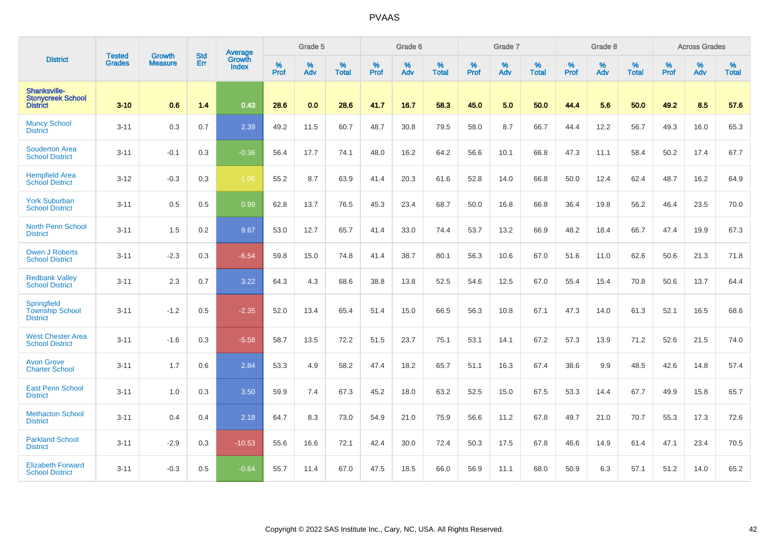|                                                                 | <b>Tested</b> | <b>Growth</b>  | <b>Std</b> | <b>Average</b>         |                  | Grade 5  |                   |           | Grade 6  |                   |           | Grade 7  |                   |           | Grade 8  |                   |           | <b>Across Grades</b> |                   |
|-----------------------------------------------------------------|---------------|----------------|------------|------------------------|------------------|----------|-------------------|-----------|----------|-------------------|-----------|----------|-------------------|-----------|----------|-------------------|-----------|----------------------|-------------------|
| <b>District</b>                                                 | <b>Grades</b> | <b>Measure</b> | <b>Err</b> | Growth<br><b>Index</b> | %<br><b>Prof</b> | %<br>Adv | %<br><b>Total</b> | %<br>Prof | %<br>Adv | %<br><b>Total</b> | %<br>Prof | %<br>Adv | %<br><b>Total</b> | %<br>Prof | %<br>Adv | %<br><b>Total</b> | %<br>Prof | %<br>Adv             | %<br><b>Total</b> |
| Shanksville-<br><b>Stonycreek School</b><br><b>District</b>     | $3 - 10$      | 0.6            | 1.4        | 0.43                   | 28.6             | 0.0      | 28.6              | 41.7      | 16.7     | 58.3              | 45.0      | 5.0      | 50.0              | 44.4      | 5.6      | 50.0              | 49.2      | 8.5                  | 57.6              |
| <b>Muncy School</b><br><b>District</b>                          | $3 - 11$      | 0.3            | 0.7        | 2.39                   | 49.2             | 11.5     | 60.7              | 48.7      | 30.8     | 79.5              | 58.0      | 8.7      | 66.7              | 44.4      | 12.2     | 56.7              | 49.3      | 16.0                 | 65.3              |
| <b>Souderton Area</b><br><b>School District</b>                 | $3 - 11$      | $-0.1$         | 0.3        | $-0.36$                | 56.4             | 17.7     | 74.1              | 48.0      | 16.2     | 64.2              | 56.6      | 10.1     | 66.8              | 47.3      | 11.1     | 58.4              | 50.2      | 17.4                 | 67.7              |
| <b>Hempfield Area</b><br><b>School District</b>                 | $3 - 12$      | $-0.3$         | 0.3        | $-1.06$                | 55.2             | 8.7      | 63.9              | 41.4      | 20.3     | 61.6              | 52.8      | 14.0     | 66.8              | 50.0      | 12.4     | 62.4              | 48.7      | 16.2                 | 64.9              |
| <b>York Suburban</b><br><b>School District</b>                  | $3 - 11$      | 0.5            | 0.5        | 0.99                   | 62.8             | 13.7     | 76.5              | 45.3      | 23.4     | 68.7              | 50.0      | 16.8     | 66.8              | 36.4      | 19.8     | 56.2              | 46.4      | 23.5                 | 70.0              |
| <b>North Penn School</b><br><b>District</b>                     | $3 - 11$      | 1.5            | $0.2\,$    | 9.67                   | 53.0             | 12.7     | 65.7              | 41.4      | 33.0     | 74.4              | 53.7      | 13.2     | 66.9              | 48.2      | 18.4     | 66.7              | 47.4      | 19.9                 | 67.3              |
| <b>Owen J Roberts</b><br><b>School District</b>                 | $3 - 11$      | $-2.3$         | 0.3        | $-6.54$                | 59.8             | 15.0     | 74.8              | 41.4      | 38.7     | 80.1              | 56.3      | 10.6     | 67.0              | 51.6      | 11.0     | 62.6              | 50.6      | 21.3                 | 71.8              |
| <b>Redbank Valley</b><br><b>School District</b>                 | $3 - 11$      | 2.3            | 0.7        | 3.22                   | 64.3             | 4.3      | 68.6              | 38.8      | 13.8     | 52.5              | 54.6      | 12.5     | 67.0              | 55.4      | 15.4     | 70.8              | 50.6      | 13.7                 | 64.4              |
| <b>Springfield</b><br><b>Township School</b><br><b>District</b> | $3 - 11$      | $-1.2$         | 0.5        | $-2.35$                | 52.0             | 13.4     | 65.4              | 51.4      | 15.0     | 66.5              | 56.3      | 10.8     | 67.1              | 47.3      | 14.0     | 61.3              | 52.1      | 16.5                 | 68.6              |
| <b>West Chester Area</b><br><b>School District</b>              | $3 - 11$      | $-1.6$         | 0.3        | $-5.58$                | 58.7             | 13.5     | 72.2              | 51.5      | 23.7     | 75.1              | 53.1      | 14.1     | 67.2              | 57.3      | 13.9     | 71.2              | 52.6      | 21.5                 | 74.0              |
| <b>Avon Grove</b><br><b>Charter School</b>                      | $3 - 11$      | 1.7            | 0.6        | 2.84                   | 53.3             | 4.9      | 58.2              | 47.4      | 18.2     | 65.7              | 51.1      | 16.3     | 67.4              | 38.6      | 9.9      | 48.5              | 42.6      | 14.8                 | 57.4              |
| <b>East Penn School</b><br><b>District</b>                      | $3 - 11$      | 1.0            | 0.3        | 3.50                   | 59.9             | 7.4      | 67.3              | 45.2      | 18.0     | 63.2              | 52.5      | 15.0     | 67.5              | 53.3      | 14.4     | 67.7              | 49.9      | 15.8                 | 65.7              |
| <b>Methacton School</b><br><b>District</b>                      | $3 - 11$      | 0.4            | 0.4        | 2.18                   | 64.7             | 8.3      | 73.0              | 54.9      | 21.0     | 75.9              | 56.6      | 11.2     | 67.8              | 49.7      | 21.0     | 70.7              | 55.3      | 17.3                 | 72.6              |
| <b>Parkland School</b><br><b>District</b>                       | $3 - 11$      | $-2.9$         | 0.3        | $-10.53$               | 55.6             | 16.6     | 72.1              | 42.4      | 30.0     | 72.4              | 50.3      | 17.5     | 67.8              | 46.6      | 14.9     | 61.4              | 47.1      | 23.4                 | 70.5              |
| <b>Elizabeth Forward</b><br><b>School District</b>              | $3 - 11$      | $-0.3$         | 0.5        | $-0.64$                | 55.7             | 11.4     | 67.0              | 47.5      | 18.5     | 66.0              | 56.9      | 11.1     | 68.0              | 50.9      | 6.3      | 57.1              | 51.2      | 14.0                 | 65.2              |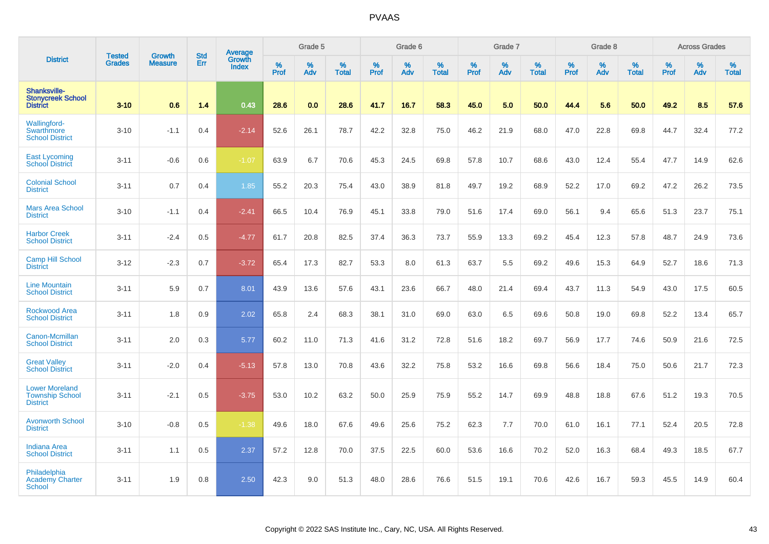|                                                                    |                                |                                 | <b>Std</b> | <b>Average</b>         |           | Grade 5  |                   |           | Grade 6  |                   |           | Grade 7  |                   |           | Grade 8  |                   |                  | <b>Across Grades</b> |                   |
|--------------------------------------------------------------------|--------------------------------|---------------------------------|------------|------------------------|-----------|----------|-------------------|-----------|----------|-------------------|-----------|----------|-------------------|-----------|----------|-------------------|------------------|----------------------|-------------------|
| <b>District</b>                                                    | <b>Tested</b><br><b>Grades</b> | <b>Growth</b><br><b>Measure</b> | Err        | Growth<br><b>Index</b> | %<br>Prof | %<br>Adv | %<br><b>Total</b> | %<br>Prof | %<br>Adv | %<br><b>Total</b> | %<br>Prof | %<br>Adv | %<br><b>Total</b> | %<br>Prof | %<br>Adv | %<br><b>Total</b> | %<br><b>Prof</b> | %<br>Adv             | %<br><b>Total</b> |
| Shanksville-<br><b>Stonycreek School</b><br><b>District</b>        | $3 - 10$                       | 0.6                             | 1.4        | 0.43                   | 28.6      | 0.0      | 28.6              | 41.7      | 16.7     | 58.3              | 45.0      | 5.0      | 50.0              | 44.4      | 5.6      | 50.0              | 49.2             | 8.5                  | 57.6              |
| <b>Wallingford-</b><br>Swarthmore<br><b>School District</b>        | $3 - 10$                       | $-1.1$                          | 0.4        | $-2.14$                | 52.6      | 26.1     | 78.7              | 42.2      | 32.8     | 75.0              | 46.2      | 21.9     | 68.0              | 47.0      | 22.8     | 69.8              | 44.7             | 32.4                 | 77.2              |
| <b>East Lycoming</b><br><b>School District</b>                     | $3 - 11$                       | $-0.6$                          | 0.6        | $-1.07$                | 63.9      | 6.7      | 70.6              | 45.3      | 24.5     | 69.8              | 57.8      | 10.7     | 68.6              | 43.0      | 12.4     | 55.4              | 47.7             | 14.9                 | 62.6              |
| <b>Colonial School</b><br><b>District</b>                          | $3 - 11$                       | 0.7                             | 0.4        | 1.85                   | 55.2      | 20.3     | 75.4              | 43.0      | 38.9     | 81.8              | 49.7      | 19.2     | 68.9              | 52.2      | 17.0     | 69.2              | 47.2             | 26.2                 | 73.5              |
| <b>Mars Area School</b><br><b>District</b>                         | $3 - 10$                       | $-1.1$                          | 0.4        | $-2.41$                | 66.5      | 10.4     | 76.9              | 45.1      | 33.8     | 79.0              | 51.6      | 17.4     | 69.0              | 56.1      | 9.4      | 65.6              | 51.3             | 23.7                 | 75.1              |
| <b>Harbor Creek</b><br><b>School District</b>                      | $3 - 11$                       | $-2.4$                          | 0.5        | $-4.77$                | 61.7      | 20.8     | 82.5              | 37.4      | 36.3     | 73.7              | 55.9      | 13.3     | 69.2              | 45.4      | 12.3     | 57.8              | 48.7             | 24.9                 | 73.6              |
| <b>Camp Hill School</b><br><b>District</b>                         | $3 - 12$                       | $-2.3$                          | 0.7        | $-3.72$                | 65.4      | 17.3     | 82.7              | 53.3      | 8.0      | 61.3              | 63.7      | 5.5      | 69.2              | 49.6      | 15.3     | 64.9              | 52.7             | 18.6                 | 71.3              |
| <b>Line Mountain</b><br><b>School District</b>                     | $3 - 11$                       | 5.9                             | 0.7        | 8.01                   | 43.9      | 13.6     | 57.6              | 43.1      | 23.6     | 66.7              | 48.0      | 21.4     | 69.4              | 43.7      | 11.3     | 54.9              | 43.0             | 17.5                 | 60.5              |
| <b>Rockwood Area</b><br><b>School District</b>                     | $3 - 11$                       | 1.8                             | 0.9        | 2.02                   | 65.8      | 2.4      | 68.3              | 38.1      | 31.0     | 69.0              | 63.0      | 6.5      | 69.6              | 50.8      | 19.0     | 69.8              | 52.2             | 13.4                 | 65.7              |
| <b>Canon-Mcmillan</b><br><b>School District</b>                    | $3 - 11$                       | 2.0                             | 0.3        | 5.77                   | 60.2      | 11.0     | 71.3              | 41.6      | 31.2     | 72.8              | 51.6      | 18.2     | 69.7              | 56.9      | 17.7     | 74.6              | 50.9             | 21.6                 | 72.5              |
| <b>Great Valley</b><br><b>School District</b>                      | $3 - 11$                       | $-2.0$                          | 0.4        | $-5.13$                | 57.8      | 13.0     | 70.8              | 43.6      | 32.2     | 75.8              | 53.2      | 16.6     | 69.8              | 56.6      | 18.4     | 75.0              | 50.6             | 21.7                 | 72.3              |
| <b>Lower Moreland</b><br><b>Township School</b><br><b>District</b> | $3 - 11$                       | $-2.1$                          | 0.5        | $-3.75$                | 53.0      | 10.2     | 63.2              | 50.0      | 25.9     | 75.9              | 55.2      | 14.7     | 69.9              | 48.8      | 18.8     | 67.6              | 51.2             | 19.3                 | 70.5              |
| <b>Avonworth School</b><br><b>District</b>                         | $3 - 10$                       | $-0.8$                          | 0.5        | $-1.38$                | 49.6      | 18.0     | 67.6              | 49.6      | 25.6     | 75.2              | 62.3      | 7.7      | 70.0              | 61.0      | 16.1     | 77.1              | 52.4             | 20.5                 | 72.8              |
| <b>Indiana Area</b><br><b>School District</b>                      | $3 - 11$                       | 1.1                             | 0.5        | 2.37                   | 57.2      | 12.8     | 70.0              | 37.5      | 22.5     | 60.0              | 53.6      | 16.6     | 70.2              | 52.0      | 16.3     | 68.4              | 49.3             | 18.5                 | 67.7              |
| Philadelphia<br>Academy Charter<br><b>School</b>                   | $3 - 11$                       | 1.9                             | 0.8        | 2.50                   | 42.3      | 9.0      | 51.3              | 48.0      | 28.6     | 76.6              | 51.5      | 19.1     | 70.6              | 42.6      | 16.7     | 59.3              | 45.5             | 14.9                 | 60.4              |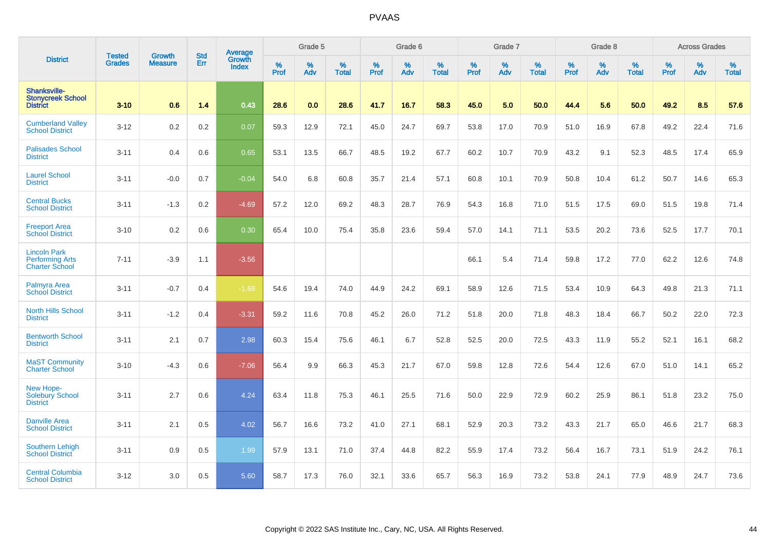|                                                                        | <b>Tested</b> | <b>Growth</b>  | <b>Std</b> | Average                |           | Grade 5  |                   |           | Grade 6  |                   |           | Grade 7  |                   |           | Grade 8  |                   |           | <b>Across Grades</b> |                   |
|------------------------------------------------------------------------|---------------|----------------|------------|------------------------|-----------|----------|-------------------|-----------|----------|-------------------|-----------|----------|-------------------|-----------|----------|-------------------|-----------|----------------------|-------------------|
| <b>District</b>                                                        | <b>Grades</b> | <b>Measure</b> | Err        | <b>Growth</b><br>Index | %<br>Prof | %<br>Adv | %<br><b>Total</b> | %<br>Prof | %<br>Adv | %<br><b>Total</b> | %<br>Prof | %<br>Adv | %<br><b>Total</b> | %<br>Prof | %<br>Adv | %<br><b>Total</b> | %<br>Prof | %<br>Adv             | %<br><b>Total</b> |
| Shanksville-<br><b>Stonycreek School</b><br><b>District</b>            | $3 - 10$      | 0.6            | 1.4        | 0.43                   | 28.6      | 0.0      | 28.6              | 41.7      | 16.7     | 58.3              | 45.0      | 5.0      | 50.0              | 44.4      | 5.6      | 50.0              | 49.2      | 8.5                  | 57.6              |
| <b>Cumberland Valley</b><br><b>School District</b>                     | $3 - 12$      | 0.2            | 0.2        | 0.07                   | 59.3      | 12.9     | 72.1              | 45.0      | 24.7     | 69.7              | 53.8      | 17.0     | 70.9              | 51.0      | 16.9     | 67.8              | 49.2      | 22.4                 | 71.6              |
| <b>Palisades School</b><br><b>District</b>                             | $3 - 11$      | 0.4            | 0.6        | 0.65                   | 53.1      | 13.5     | 66.7              | 48.5      | 19.2     | 67.7              | 60.2      | 10.7     | 70.9              | 43.2      | 9.1      | 52.3              | 48.5      | 17.4                 | 65.9              |
| <b>Laurel School</b><br><b>District</b>                                | $3 - 11$      | $-0.0$         | 0.7        | $-0.04$                | 54.0      | 6.8      | 60.8              | 35.7      | 21.4     | 57.1              | 60.8      | 10.1     | 70.9              | 50.8      | 10.4     | 61.2              | 50.7      | 14.6                 | 65.3              |
| <b>Central Bucks</b><br><b>School District</b>                         | $3 - 11$      | $-1.3$         | 0.2        | $-4.69$                | 57.2      | 12.0     | 69.2              | 48.3      | 28.7     | 76.9              | 54.3      | 16.8     | 71.0              | 51.5      | 17.5     | 69.0              | 51.5      | 19.8                 | 71.4              |
| <b>Freeport Area</b><br><b>School District</b>                         | $3 - 10$      | 0.2            | 0.6        | 0.30                   | 65.4      | 10.0     | 75.4              | 35.8      | 23.6     | 59.4              | 57.0      | 14.1     | 71.1              | 53.5      | 20.2     | 73.6              | 52.5      | 17.7                 | 70.1              |
| <b>Lincoln Park</b><br><b>Performing Arts</b><br><b>Charter School</b> | $7 - 11$      | $-3.9$         | 1.1        | $-3.56$                |           |          |                   |           |          |                   | 66.1      | 5.4      | 71.4              | 59.8      | 17.2     | 77.0              | 62.2      | 12.6                 | 74.8              |
| Palmyra Area<br><b>School District</b>                                 | $3 - 11$      | $-0.7$         | 0.4        | $-1.68$                | 54.6      | 19.4     | 74.0              | 44.9      | 24.2     | 69.1              | 58.9      | 12.6     | 71.5              | 53.4      | 10.9     | 64.3              | 49.8      | 21.3                 | 71.1              |
| <b>North Hills School</b><br><b>District</b>                           | $3 - 11$      | $-1.2$         | 0.4        | $-3.31$                | 59.2      | 11.6     | 70.8              | 45.2      | 26.0     | 71.2              | 51.8      | 20.0     | 71.8              | 48.3      | 18.4     | 66.7              | 50.2      | 22.0                 | 72.3              |
| <b>Bentworth School</b><br><b>District</b>                             | $3 - 11$      | 2.1            | 0.7        | 2.98                   | 60.3      | 15.4     | 75.6              | 46.1      | 6.7      | 52.8              | 52.5      | 20.0     | 72.5              | 43.3      | 11.9     | 55.2              | 52.1      | 16.1                 | 68.2              |
| <b>MaST Community</b><br><b>Charter School</b>                         | $3 - 10$      | $-4.3$         | 0.6        | $-7.06$                | 56.4      | 9.9      | 66.3              | 45.3      | 21.7     | 67.0              | 59.8      | 12.8     | 72.6              | 54.4      | 12.6     | 67.0              | 51.0      | 14.1                 | 65.2              |
| New Hope-<br><b>Solebury School</b><br><b>District</b>                 | $3 - 11$      | 2.7            | 0.6        | 4.24                   | 63.4      | 11.8     | 75.3              | 46.1      | 25.5     | 71.6              | 50.0      | 22.9     | 72.9              | 60.2      | 25.9     | 86.1              | 51.8      | 23.2                 | 75.0              |
| <b>Danville Area</b><br><b>School District</b>                         | $3 - 11$      | 2.1            | 0.5        | 4.02                   | 56.7      | 16.6     | 73.2              | 41.0      | 27.1     | 68.1              | 52.9      | 20.3     | 73.2              | 43.3      | 21.7     | 65.0              | 46.6      | 21.7                 | 68.3              |
| <b>Southern Lehigh</b><br><b>School District</b>                       | $3 - 11$      | 0.9            | 0.5        | 1.99                   | 57.9      | 13.1     | 71.0              | 37.4      | 44.8     | 82.2              | 55.9      | 17.4     | 73.2              | 56.4      | 16.7     | 73.1              | 51.9      | 24.2                 | 76.1              |
| <b>Central Columbia</b><br><b>School District</b>                      | $3 - 12$      | 3.0            | 0.5        | 5.60                   | 58.7      | 17.3     | 76.0              | 32.1      | 33.6     | 65.7              | 56.3      | 16.9     | 73.2              | 53.8      | 24.1     | 77.9              | 48.9      | 24.7                 | 73.6              |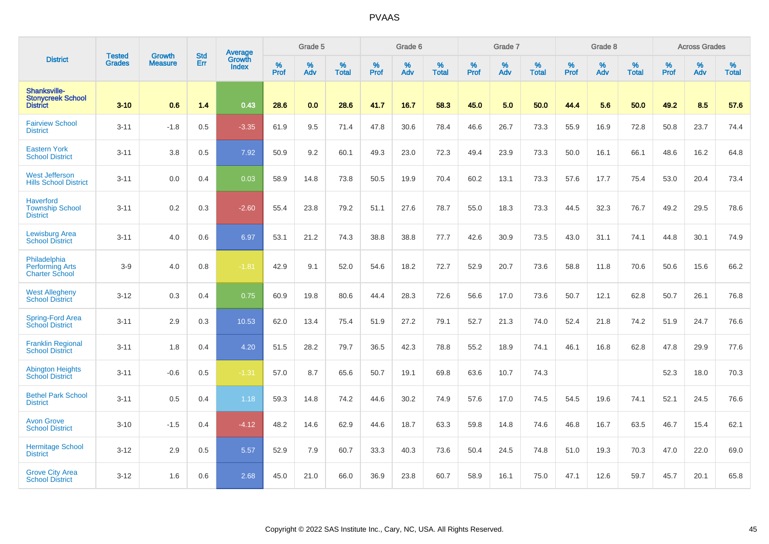|                                                                 |                                |                                 | <b>Std</b> | <b>Average</b>                |           | Grade 5  |                   |           | Grade 6  |                   |           | Grade 7  |                   |           | Grade 8  |                   |           | <b>Across Grades</b> |                   |
|-----------------------------------------------------------------|--------------------------------|---------------------------------|------------|-------------------------------|-----------|----------|-------------------|-----------|----------|-------------------|-----------|----------|-------------------|-----------|----------|-------------------|-----------|----------------------|-------------------|
| <b>District</b>                                                 | <b>Tested</b><br><b>Grades</b> | <b>Growth</b><br><b>Measure</b> | Err        | <b>Growth</b><br><b>Index</b> | %<br>Prof | %<br>Adv | %<br><b>Total</b> | %<br>Prof | %<br>Adv | %<br><b>Total</b> | %<br>Prof | %<br>Adv | %<br><b>Total</b> | %<br>Prof | %<br>Adv | %<br><b>Total</b> | %<br>Prof | %<br>Adv             | %<br><b>Total</b> |
| Shanksville-<br><b>Stonycreek School</b><br><b>District</b>     | $3 - 10$                       | 0.6                             | 1.4        | 0.43                          | 28.6      | 0.0      | 28.6              | 41.7      | 16.7     | 58.3              | 45.0      | 5.0      | 50.0              | 44.4      | 5.6      | 50.0              | 49.2      | 8.5                  | 57.6              |
| <b>Fairview School</b><br><b>District</b>                       | $3 - 11$                       | $-1.8$                          | 0.5        | $-3.35$                       | 61.9      | 9.5      | 71.4              | 47.8      | 30.6     | 78.4              | 46.6      | 26.7     | 73.3              | 55.9      | 16.9     | 72.8              | 50.8      | 23.7                 | 74.4              |
| <b>Eastern York</b><br><b>School District</b>                   | $3 - 11$                       | 3.8                             | 0.5        | 7.92                          | 50.9      | 9.2      | 60.1              | 49.3      | 23.0     | 72.3              | 49.4      | 23.9     | 73.3              | 50.0      | 16.1     | 66.1              | 48.6      | 16.2                 | 64.8              |
| <b>West Jefferson</b><br><b>Hills School District</b>           | $3 - 11$                       | 0.0                             | 0.4        | 0.03                          | 58.9      | 14.8     | 73.8              | 50.5      | 19.9     | 70.4              | 60.2      | 13.1     | 73.3              | 57.6      | 17.7     | 75.4              | 53.0      | 20.4                 | 73.4              |
| <b>Haverford</b><br><b>Township School</b><br><b>District</b>   | $3 - 11$                       | 0.2                             | 0.3        | $-2.60$                       | 55.4      | 23.8     | 79.2              | 51.1      | 27.6     | 78.7              | 55.0      | 18.3     | 73.3              | 44.5      | 32.3     | 76.7              | 49.2      | 29.5                 | 78.6              |
| <b>Lewisburg Area</b><br><b>School District</b>                 | $3 - 11$                       | 4.0                             | 0.6        | 6.97                          | 53.1      | 21.2     | 74.3              | 38.8      | 38.8     | 77.7              | 42.6      | 30.9     | 73.5              | 43.0      | 31.1     | 74.1              | 44.8      | 30.1                 | 74.9              |
| Philadelphia<br><b>Performing Arts</b><br><b>Charter School</b> | $3-9$                          | 4.0                             | 0.8        | $-1.81$                       | 42.9      | 9.1      | 52.0              | 54.6      | 18.2     | 72.7              | 52.9      | 20.7     | 73.6              | 58.8      | 11.8     | 70.6              | 50.6      | 15.6                 | 66.2              |
| <b>West Allegheny</b><br><b>School District</b>                 | $3 - 12$                       | 0.3                             | 0.4        | 0.75                          | 60.9      | 19.8     | 80.6              | 44.4      | 28.3     | 72.6              | 56.6      | 17.0     | 73.6              | 50.7      | 12.1     | 62.8              | 50.7      | 26.1                 | 76.8              |
| Spring-Ford Area<br><b>School District</b>                      | $3 - 11$                       | 2.9                             | 0.3        | 10.53                         | 62.0      | 13.4     | 75.4              | 51.9      | 27.2     | 79.1              | 52.7      | 21.3     | 74.0              | 52.4      | 21.8     | 74.2              | 51.9      | 24.7                 | 76.6              |
| <b>Franklin Regional</b><br><b>School District</b>              | $3 - 11$                       | 1.8                             | 0.4        | 4.20                          | 51.5      | 28.2     | 79.7              | 36.5      | 42.3     | 78.8              | 55.2      | 18.9     | 74.1              | 46.1      | 16.8     | 62.8              | 47.8      | 29.9                 | 77.6              |
| <b>Abington Heights</b><br><b>School District</b>               | $3 - 11$                       | $-0.6$                          | 0.5        | $-1.31$                       | 57.0      | 8.7      | 65.6              | 50.7      | 19.1     | 69.8              | 63.6      | 10.7     | 74.3              |           |          |                   | 52.3      | 18.0                 | 70.3              |
| <b>Bethel Park School</b><br><b>District</b>                    | $3 - 11$                       | 0.5                             | 0.4        | 1.18                          | 59.3      | 14.8     | 74.2              | 44.6      | 30.2     | 74.9              | 57.6      | 17.0     | 74.5              | 54.5      | 19.6     | 74.1              | 52.1      | 24.5                 | 76.6              |
| <b>Avon Grove</b><br><b>School District</b>                     | $3 - 10$                       | $-1.5$                          | 0.4        | $-4.12$                       | 48.2      | 14.6     | 62.9              | 44.6      | 18.7     | 63.3              | 59.8      | 14.8     | 74.6              | 46.8      | 16.7     | 63.5              | 46.7      | 15.4                 | 62.1              |
| <b>Hermitage School</b><br><b>District</b>                      | $3 - 12$                       | 2.9                             | 0.5        | 5.57                          | 52.9      | 7.9      | 60.7              | 33.3      | 40.3     | 73.6              | 50.4      | 24.5     | 74.8              | 51.0      | 19.3     | 70.3              | 47.0      | 22.0                 | 69.0              |
| <b>Grove City Area</b><br><b>School District</b>                | $3 - 12$                       | 1.6                             | 0.6        | 2.68                          | 45.0      | 21.0     | 66.0              | 36.9      | 23.8     | 60.7              | 58.9      | 16.1     | 75.0              | 47.1      | 12.6     | 59.7              | 45.7      | 20.1                 | 65.8              |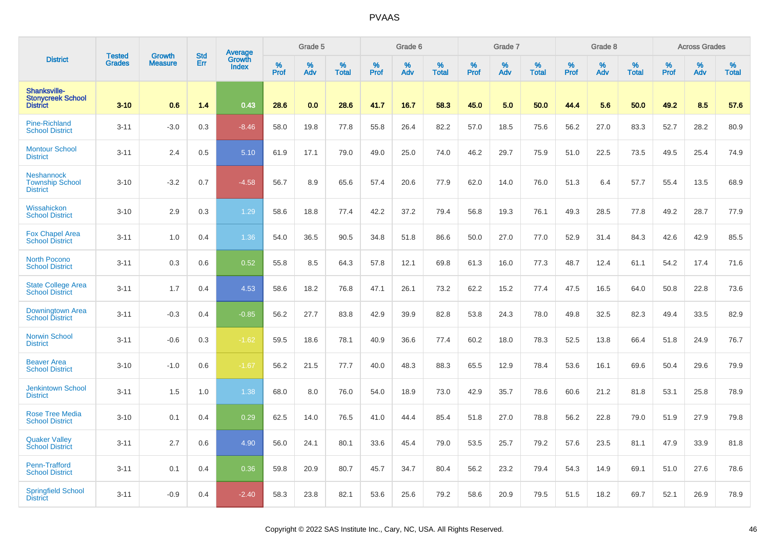|                                                             | <b>Tested</b> | <b>Growth</b>  | <b>Std</b> |                                   |              | Grade 5  |                   |              | Grade 6  |                   |              | Grade 7  |                   |           | Grade 8  |                   |                  | <b>Across Grades</b> |                   |
|-------------------------------------------------------------|---------------|----------------|------------|-----------------------------------|--------------|----------|-------------------|--------------|----------|-------------------|--------------|----------|-------------------|-----------|----------|-------------------|------------------|----------------------|-------------------|
| <b>District</b>                                             | <b>Grades</b> | <b>Measure</b> | Err        | Average<br>Growth<br><b>Index</b> | $\%$<br>Prof | %<br>Adv | %<br><b>Total</b> | $\%$<br>Prof | %<br>Adv | %<br><b>Total</b> | $\%$<br>Prof | %<br>Adv | %<br><b>Total</b> | %<br>Prof | %<br>Adv | %<br><b>Total</b> | %<br><b>Prof</b> | %<br>Adv             | %<br><b>Total</b> |
| Shanksville-<br><b>Stonvcreek School</b><br><b>District</b> | $3 - 10$      | 0.6            | 1.4        | 0.43                              | 28.6         | 0.0      | 28.6              | 41.7         | 16.7     | 58.3              | 45.0         | 5.0      | 50.0              | 44.4      | 5.6      | 50.0              | 49.2             | 8.5                  | 57.6              |
| <b>Pine-Richland</b><br><b>School District</b>              | $3 - 11$      | $-3.0$         | 0.3        | $-8.46$                           | 58.0         | 19.8     | 77.8              | 55.8         | 26.4     | 82.2              | 57.0         | 18.5     | 75.6              | 56.2      | 27.0     | 83.3              | 52.7             | 28.2                 | 80.9              |
| <b>Montour School</b><br><b>District</b>                    | $3 - 11$      | 2.4            | 0.5        | 5.10                              | 61.9         | 17.1     | 79.0              | 49.0         | 25.0     | 74.0              | 46.2         | 29.7     | 75.9              | 51.0      | 22.5     | 73.5              | 49.5             | 25.4                 | 74.9              |
| Neshannock<br><b>Township School</b><br><b>District</b>     | $3 - 10$      | $-3.2$         | 0.7        | $-4.58$                           | 56.7         | 8.9      | 65.6              | 57.4         | 20.6     | 77.9              | 62.0         | 14.0     | 76.0              | 51.3      | 6.4      | 57.7              | 55.4             | 13.5                 | 68.9              |
| Wissahickon<br><b>School District</b>                       | $3 - 10$      | 2.9            | 0.3        | 1.29                              | 58.6         | 18.8     | 77.4              | 42.2         | 37.2     | 79.4              | 56.8         | 19.3     | 76.1              | 49.3      | 28.5     | 77.8              | 49.2             | 28.7                 | 77.9              |
| <b>Fox Chapel Area</b><br><b>School District</b>            | $3 - 11$      | 1.0            | 0.4        | 1.36                              | 54.0         | 36.5     | 90.5              | 34.8         | 51.8     | 86.6              | 50.0         | 27.0     | 77.0              | 52.9      | 31.4     | 84.3              | 42.6             | 42.9                 | 85.5              |
| <b>North Pocono</b><br><b>School District</b>               | $3 - 11$      | 0.3            | 0.6        | 0.52                              | 55.8         | 8.5      | 64.3              | 57.8         | 12.1     | 69.8              | 61.3         | 16.0     | 77.3              | 48.7      | 12.4     | 61.1              | 54.2             | 17.4                 | 71.6              |
| <b>State College Area</b><br><b>School District</b>         | $3 - 11$      | 1.7            | 0.4        | 4.53                              | 58.6         | 18.2     | 76.8              | 47.1         | 26.1     | 73.2              | 62.2         | 15.2     | 77.4              | 47.5      | 16.5     | 64.0              | 50.8             | 22.8                 | 73.6              |
| Downingtown Area<br><b>School District</b>                  | $3 - 11$      | $-0.3$         | 0.4        | $-0.85$                           | 56.2         | 27.7     | 83.8              | 42.9         | 39.9     | 82.8              | 53.8         | 24.3     | 78.0              | 49.8      | 32.5     | 82.3              | 49.4             | 33.5                 | 82.9              |
| <b>Norwin School</b><br><b>District</b>                     | $3 - 11$      | $-0.6$         | 0.3        | $-1.62$                           | 59.5         | 18.6     | 78.1              | 40.9         | 36.6     | 77.4              | 60.2         | 18.0     | 78.3              | 52.5      | 13.8     | 66.4              | 51.8             | 24.9                 | 76.7              |
| <b>Beaver Area</b><br><b>School District</b>                | $3 - 10$      | $-1.0$         | 0.6        | $-1.67$                           | 56.2         | 21.5     | 77.7              | 40.0         | 48.3     | 88.3              | 65.5         | 12.9     | 78.4              | 53.6      | 16.1     | 69.6              | 50.4             | 29.6                 | 79.9              |
| <b>Jenkintown School</b><br><b>District</b>                 | $3 - 11$      | 1.5            | 1.0        | 1.38                              | 68.0         | 8.0      | 76.0              | 54.0         | 18.9     | 73.0              | 42.9         | 35.7     | 78.6              | 60.6      | 21.2     | 81.8              | 53.1             | 25.8                 | 78.9              |
| <b>Rose Tree Media</b><br><b>School District</b>            | $3 - 10$      | 0.1            | 0.4        | 0.29                              | 62.5         | 14.0     | 76.5              | 41.0         | 44.4     | 85.4              | 51.8         | 27.0     | 78.8              | 56.2      | 22.8     | 79.0              | 51.9             | 27.9                 | 79.8              |
| <b>Quaker Valley</b><br><b>School District</b>              | $3 - 11$      | 2.7            | 0.6        | 4.90                              | 56.0         | 24.1     | 80.1              | 33.6         | 45.4     | 79.0              | 53.5         | 25.7     | 79.2              | 57.6      | 23.5     | 81.1              | 47.9             | 33.9                 | 81.8              |
| Penn-Trafford<br><b>School District</b>                     | $3 - 11$      | 0.1            | 0.4        | 0.36                              | 59.8         | 20.9     | 80.7              | 45.7         | 34.7     | 80.4              | 56.2         | 23.2     | 79.4              | 54.3      | 14.9     | 69.1              | 51.0             | 27.6                 | 78.6              |
| <b>Springfield School</b><br><b>District</b>                | $3 - 11$      | $-0.9$         | 0.4        | $-2.40$                           | 58.3         | 23.8     | 82.1              | 53.6         | 25.6     | 79.2              | 58.6         | 20.9     | 79.5              | 51.5      | 18.2     | 69.7              | 52.1             | 26.9                 | 78.9              |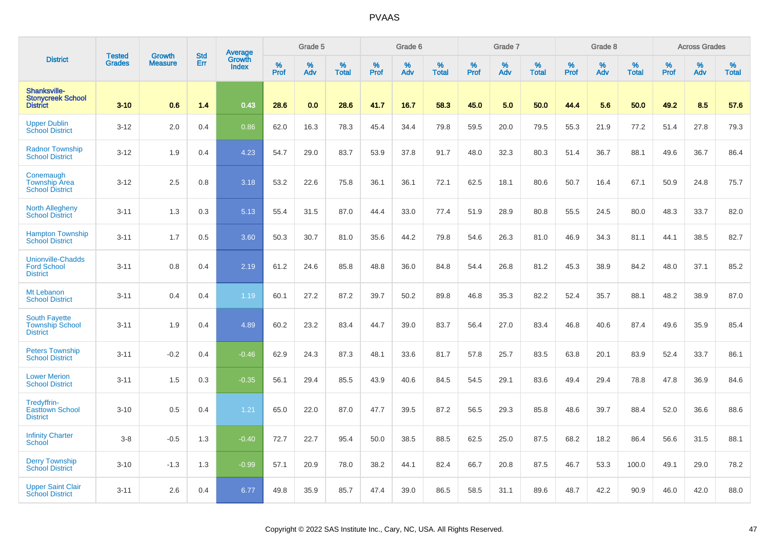|                                                                   | <b>Tested</b> | <b>Growth</b>  | <b>Std</b> |                                          |              | Grade 5  |                   |           | Grade 6  |                   |           | Grade 7  |                   |           | Grade 8  |                   |           | <b>Across Grades</b> |                   |
|-------------------------------------------------------------------|---------------|----------------|------------|------------------------------------------|--------------|----------|-------------------|-----------|----------|-------------------|-----------|----------|-------------------|-----------|----------|-------------------|-----------|----------------------|-------------------|
| <b>District</b>                                                   | <b>Grades</b> | <b>Measure</b> | Err        | <b>Average</b><br>Growth<br><b>Index</b> | $\%$<br>Prof | %<br>Adv | %<br><b>Total</b> | %<br>Prof | %<br>Adv | %<br><b>Total</b> | %<br>Prof | %<br>Adv | %<br><b>Total</b> | %<br>Prof | %<br>Adv | %<br><b>Total</b> | %<br>Prof | %<br>Adv             | %<br><b>Total</b> |
| Shanksville-<br><b>Stonycreek School</b><br><b>District</b>       | $3 - 10$      | 0.6            | 1.4        | 0.43                                     | 28.6         | 0.0      | 28.6              | 41.7      | 16.7     | 58.3              | 45.0      | 5.0      | 50.0              | 44.4      | 5.6      | 50.0              | 49.2      | 8.5                  | 57.6              |
| <b>Upper Dublin</b><br><b>School District</b>                     | $3 - 12$      | 2.0            | 0.4        | 0.86                                     | 62.0         | 16.3     | 78.3              | 45.4      | 34.4     | 79.8              | 59.5      | 20.0     | 79.5              | 55.3      | 21.9     | 77.2              | 51.4      | 27.8                 | 79.3              |
| <b>Radnor Township</b><br><b>School District</b>                  | $3 - 12$      | 1.9            | 0.4        | 4.23                                     | 54.7         | 29.0     | 83.7              | 53.9      | 37.8     | 91.7              | 48.0      | 32.3     | 80.3              | 51.4      | 36.7     | 88.1              | 49.6      | 36.7                 | 86.4              |
| Conemaugh<br><b>Township Area</b><br><b>School District</b>       | $3 - 12$      | 2.5            | 0.8        | 3.18                                     | 53.2         | 22.6     | 75.8              | 36.1      | 36.1     | 72.1              | 62.5      | 18.1     | 80.6              | 50.7      | 16.4     | 67.1              | 50.9      | 24.8                 | 75.7              |
| North Allegheny<br><b>School District</b>                         | $3 - 11$      | 1.3            | 0.3        | 5.13                                     | 55.4         | 31.5     | 87.0              | 44.4      | 33.0     | 77.4              | 51.9      | 28.9     | 80.8              | 55.5      | 24.5     | 80.0              | 48.3      | 33.7                 | 82.0              |
| <b>Hampton Township</b><br><b>School District</b>                 | $3 - 11$      | 1.7            | 0.5        | 3.60                                     | 50.3         | 30.7     | 81.0              | 35.6      | 44.2     | 79.8              | 54.6      | 26.3     | 81.0              | 46.9      | 34.3     | 81.1              | 44.1      | 38.5                 | 82.7              |
| <b>Unionville-Chadds</b><br><b>Ford School</b><br><b>District</b> | $3 - 11$      | 0.8            | 0.4        | 2.19                                     | 61.2         | 24.6     | 85.8              | 48.8      | 36.0     | 84.8              | 54.4      | 26.8     | 81.2              | 45.3      | 38.9     | 84.2              | 48.0      | 37.1                 | 85.2              |
| Mt Lebanon<br><b>School District</b>                              | $3 - 11$      | 0.4            | 0.4        | 1.19                                     | 60.1         | 27.2     | 87.2              | 39.7      | 50.2     | 89.8              | 46.8      | 35.3     | 82.2              | 52.4      | 35.7     | 88.1              | 48.2      | 38.9                 | 87.0              |
| <b>South Fayette</b><br><b>Township School</b><br><b>District</b> | $3 - 11$      | 1.9            | 0.4        | 4.89                                     | 60.2         | 23.2     | 83.4              | 44.7      | 39.0     | 83.7              | 56.4      | 27.0     | 83.4              | 46.8      | 40.6     | 87.4              | 49.6      | 35.9                 | 85.4              |
| <b>Peters Township</b><br><b>School District</b>                  | $3 - 11$      | $-0.2$         | 0.4        | $-0.46$                                  | 62.9         | 24.3     | 87.3              | 48.1      | 33.6     | 81.7              | 57.8      | 25.7     | 83.5              | 63.8      | 20.1     | 83.9              | 52.4      | 33.7                 | 86.1              |
| <b>Lower Merion</b><br><b>School District</b>                     | $3 - 11$      | 1.5            | 0.3        | $-0.35$                                  | 56.1         | 29.4     | 85.5              | 43.9      | 40.6     | 84.5              | 54.5      | 29.1     | 83.6              | 49.4      | 29.4     | 78.8              | 47.8      | 36.9                 | 84.6              |
| Tredyffrin-<br><b>Easttown School</b><br><b>District</b>          | $3 - 10$      | 0.5            | 0.4        | 1.21                                     | 65.0         | 22.0     | 87.0              | 47.7      | 39.5     | 87.2              | 56.5      | 29.3     | 85.8              | 48.6      | 39.7     | 88.4              | 52.0      | 36.6                 | 88.6              |
| <b>Infinity Charter</b><br><b>School</b>                          | $3-8$         | $-0.5$         | 1.3        | $-0.40$                                  | 72.7         | 22.7     | 95.4              | 50.0      | 38.5     | 88.5              | 62.5      | 25.0     | 87.5              | 68.2      | 18.2     | 86.4              | 56.6      | 31.5                 | 88.1              |
| <b>Derry Township</b><br><b>School District</b>                   | $3 - 10$      | $-1.3$         | 1.3        | $-0.99$                                  | 57.1         | 20.9     | 78.0              | 38.2      | 44.1     | 82.4              | 66.7      | 20.8     | 87.5              | 46.7      | 53.3     | 100.0             | 49.1      | 29.0                 | 78.2              |
| <b>Upper Saint Clair</b><br><b>School District</b>                | $3 - 11$      | 2.6            | 0.4        | 6.77                                     | 49.8         | 35.9     | 85.7              | 47.4      | 39.0     | 86.5              | 58.5      | 31.1     | 89.6              | 48.7      | 42.2     | 90.9              | 46.0      | 42.0                 | 88.0              |